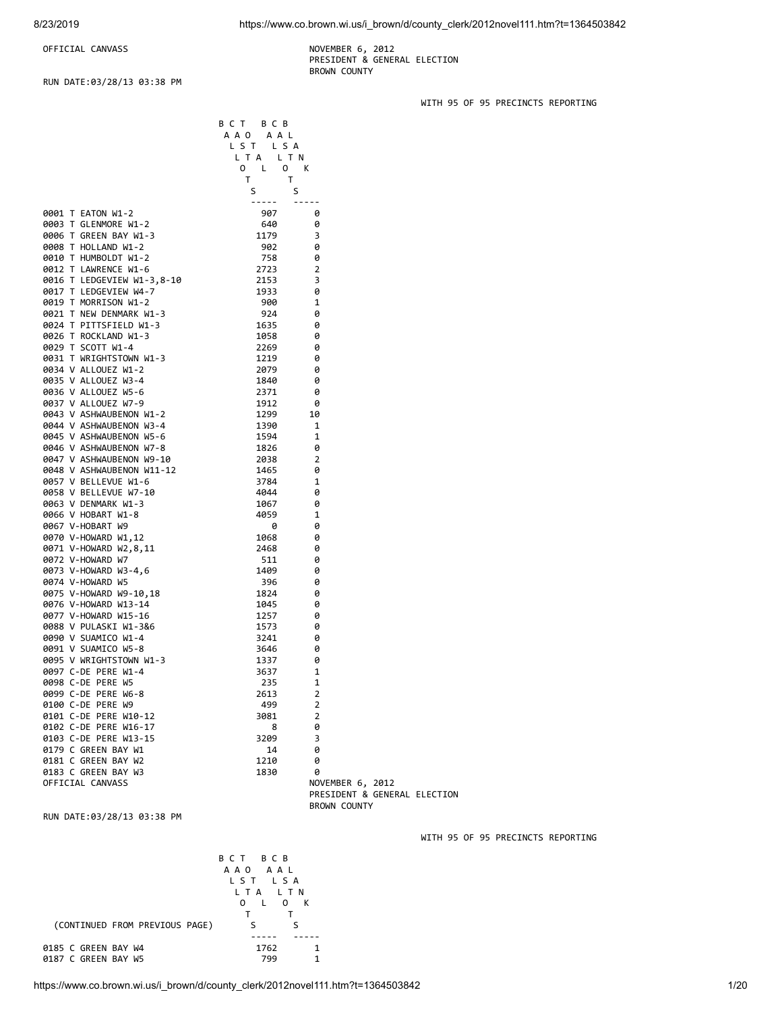WITH 95 OF 95 PRECINCTS REPORTING

WITH 95 OF 95 PRECINCTS REPORTING

OFFICIAL CANVASS NOVEMBER 6, 2012

 PRESIDENT & GENERAL ELECTION BROWN COUNTY

RUN DATE:03/28/13 03:38 PM

B C T B C B A A O A A L L S T L S A L T A L T N O L O K<br>T T T T S S ----- ----- 0001 T EATON W1-2 907 0 0003 T GLENMORE W1-2 640 0<br>0006 T GREEN BAY W1-3 1179 3 0006 T GREEN BAY W1-3 1179 3<br>19008 T HOLLAND W1-2 1000 302 0 0008 T HOLLAND W1-2 902 0 0010 T HUMBOLDT W1-2 758 0<br>0012 T LAWRENCE W1-6 2723 2 0012 T LAWRENCE W1-6 2723 2<br>0016 T LEDGEVIEW W1-3,8-10 2153 2153 3 0016 T LEDGEVIEW W1-3,8-10 2153<br>0017 T LEDGEVIEW W4-7 2001 21933 0017 T LEDGEVIEW W4-7 1933 0<br>0019 T MORRISON W1-2 1900 1 0019 T MORRISON W1-2<br>19021 T NEW DENMARK W1-3 924 0 0021 T NEW DENMARK W1-3 924<br>0024 T PITTSFTFID W1-3 1635 0024 T PITTSFIELD W1-3 1635 0<br>0026 T ROCKLAND W1-3 1058 0 0026 T ROCKLAND W1-3 0029 T SCOTT W1-4 2269 0 0031 T WRIGHTSTOWN W1-3 1219 0<br>0034 V ALLOUEZ W1-2 2079 0 0034 V ALLOUEZ W1-2<br>0035 V ALLOUEZ W3-4 2079 1840 0035 V ALLOUEZ W3-4 1840 0<br>0036 V ALLOUEZ W5-6 1840 2371 0 0036 V ALLOUEZ W5-6 0037 V ALLOUEZ W7-9 1912 0 0043 V ASHWAUBENON W1-2 1299 10<br>0044 V ASHWAUBENON W3-4 1390 1 0044 V ASHWAUBENON W3-4 1390 1 0045 V ASHWAUBENON W5-6 1594 1<br>19046 V ASHWAUBENON W7-8 1826 0 0046 V ASHWAUBENON W7-8 1826 0<br>0047 V ASHWAUBENON W9-10 2038 2 0047 V ASHWAUBENON W9-10 0048 V ASHWAUBENON W11-12 1465 0 0057 V BELLEVUE W1-6 3784 1 0058 V BELLEVUE W7-10 4044<br>0063 V DENMARK W1-3 4067 0063 V DENMARK W1-3 1067 0 0066 V HOBART W1-8 4059 1<br>1 + 0067 V-HOBART W9 4059 0 0067 V-HOBART W9 0070 V-HOWARD W1,12 1068 0 0071 V-HOWARD W2,8,11 2468 0<br>0072 V-HOWARD W7 511 0 0072 V-HOWARD W7<br>0073 V-HOWARD W3-4.6 1409 0073 V-HOWARD W3-4,6 1409 0 0074 V-HOWARD W5 396 396 0<br>19975 V-HOWARD W9-10,18 396 31824 0 0075 V-HOWARD W9-10,18<br>0076 V-HOWARD W13-14 1045 0076 V-HOWARD W13-14 1045 0 0077 V-HOWARD W15-16 1257 0 0088 V PULASKI W1-3&6 1573<br>0090 V SUAMICO W1-4 1573 16890 1690 0090 V SUAMICO W1-4 3241 0 0091 V SUAMICO W5-8 3646 0<br>1995 V WRIGHTSTOWN W1-3 3646 1337 0 0095 V WRIGHTSTOWN W1-3 1337<br>0097 C-DE PERE W1-4 1000 3637 0097 C-DE PERE W1-4 3637 1 0098 C-DE PERE W5 235 1<br>0099 C-DE PERE W6-8 2613 2 0099 C-DE PERE W6-8 2013 2613 2<br>0100 C-DE PERE W9 2 499 2 0100 C-DE PERE W9 499 2 0101 C-DE PERE W10-12 0102 C-DE PERE W16-17 8 0<br>0103 C-DE PERE W13-15 3209 3 0103 C-DE PERE W13-15 3209 3<br>0179 C GREEN BAY W1 34 34 4 34 0179 C GREEN BAY W1 0181 C GREEN BAY W2 1210 0 0183 C GREEN BAY W3<br>OFFICIAL CANVASS NOVEMBER 6, 2012 PRESIDENT & GENERAL ELECTION BROWN COUNTY

RUN DATE:03/28/13 03:38 PM

 B C T B C B A A O A A L L S T L S A L T A L T N O L O K T T (CONTINUED FROM PREVIOUS PAGE) S S ----- ----- 0185 C GREEN BAY W4 1762 1<br>187 C GREEN BAY W5 1799 1 0187 C GREEN BAY W5 799 1

https://www.co.brown.wi.us/i\_brown/d/county\_clerk/2012novel111.htm?t=1364503842 1/20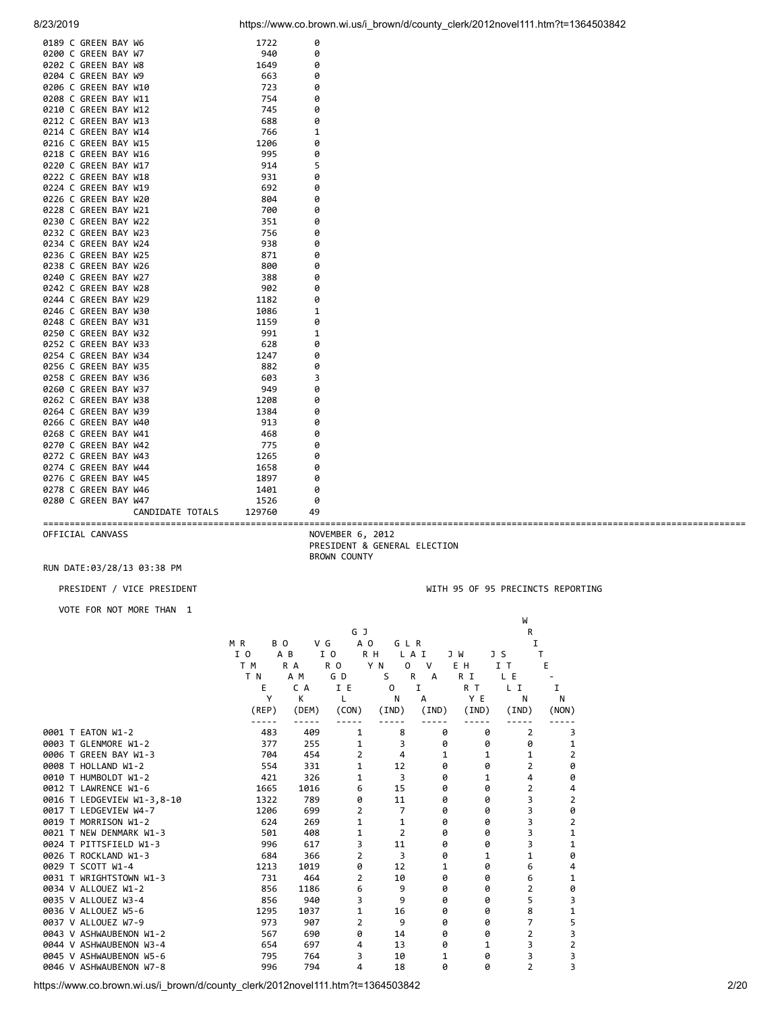|  | 0189 C GREEN BAY W6  |                  | 1722   | 0            |
|--|----------------------|------------------|--------|--------------|
|  | 0200 C GREEN BAY W7  |                  | 940    | 0            |
|  | 0202 C GREEN BAY W8  |                  | 1649   | 0            |
|  | 0204 C GREEN BAY W9  |                  | 663    | 0            |
|  | 0206 C GREEN BAY W10 |                  | 723    | 0            |
|  | 0208 C GREEN BAY W11 |                  | 754    | 0            |
|  | 0210 C GREEN BAY W12 |                  | 745    | 0            |
|  | 0212 C GREEN BAY W13 |                  | 688    | 0            |
|  | 0214 C GREEN BAY W14 |                  | 766    | 1            |
|  | 0216 C GREEN BAY W15 |                  | 1206   | 0            |
|  | 0218 C GREEN BAY W16 |                  | 995    | 0            |
|  | 0220 C GREEN BAY W17 |                  | 914    | 5            |
|  | 0222 C GREEN BAY W18 |                  | 931    | 0            |
|  | 0224 C GREEN BAY W19 |                  | 692    | 0            |
|  | 0226 C GREEN BAY W20 |                  | 804    | 0            |
|  | 0228 C GREEN BAY W21 |                  | 700    | 0            |
|  | 0230 C GREEN BAY W22 |                  | 351    | 0            |
|  | 0232 C GREEN BAY W23 |                  | 756    | 0            |
|  | 0234 C GREEN BAY W24 |                  | 938    | 0            |
|  | 0236 C GREEN BAY W25 |                  | 871    | 0            |
|  | 0238 C GREEN BAY W26 |                  | 800    | 0            |
|  | 0240 C GREEN BAY W27 |                  | 388    | 0            |
|  | 0242 C GREEN BAY W28 |                  | 902    | 0            |
|  | 0244 C GREEN BAY W29 |                  | 1182   | 0            |
|  | 0246 C GREEN BAY W30 |                  | 1086   | $\mathbf{1}$ |
|  | 0248 C GREEN BAY W31 |                  | 1159   | 0            |
|  | 0250 C GREEN BAY W32 |                  | 991    | $\mathbf{1}$ |
|  | 0252 C GREEN BAY W33 |                  | 628    | 0            |
|  | 0254 C GREEN BAY W34 |                  | 1247   | 0            |
|  | 0256 C GREEN BAY W35 |                  | 882    | 0            |
|  | 0258 C GREEN BAY W36 |                  | 603    | 3            |
|  | 0260 C GREEN BAY W37 |                  | 949    | 0            |
|  | 0262 C GREEN BAY W38 |                  | 1208   | 0            |
|  | 0264 C GREEN BAY W39 |                  | 1384   | 0            |
|  | 0266 C GREEN BAY W40 |                  | 913    | 0            |
|  | 0268 C GREEN BAY W41 |                  | 468    | 0            |
|  | 0270 C GREEN BAY W42 |                  | 775    | 0            |
|  | 0272 C GREEN BAY W43 |                  | 1265   | 0            |
|  | 0274 C GREEN BAY W44 |                  | 1658   | 0            |
|  | 0276 C GREEN BAY W45 |                  | 1897   | 0            |
|  | 0278 C GREEN BAY W46 |                  | 1401   | 0            |
|  | 0280 C GREEN BAY W47 |                  | 1526   | 0            |
|  |                      | CANDIDATE TOTALS | 129760 | 49           |

==================================================================================================================================== OFFICIAL CANVASS NOVEMBER 6, 2012 PRESIDENT & GENERAL ELECTION BROWN COUNTY

# RUN DATE:03/28/13 03:38 PM

PRESIDENT / VICE PRESIDENT WITH 95 OF 95 PRECINCTS REPORTING

VOTE FOR NOT MORE THAN 1

|                            |            |       | G J            |                |                   |       | R              |                         |
|----------------------------|------------|-------|----------------|----------------|-------------------|-------|----------------|-------------------------|
|                            | M R<br>BO. |       | V G<br>A O     | GLR            |                   |       | Ι.             |                         |
|                            | I 0        | A B   | I O            | R H            | L A I             | J W   | J S            | т                       |
|                            | T M        | R A   | R <sub>0</sub> | Y N<br>0       | $\mathsf{V}$      | E H   | ΙT             | Е                       |
|                            | T N        | A M   | G D            | S              | $\mathsf{R}$<br>A | R I   | L E            |                         |
|                            | Е          | C A   | I E            | $\mathbf 0$    | I                 | R T   | L I            | 1                       |
|                            | Υ          | K     | L              | N              | A                 | Y E   | N              | Ν                       |
|                            | (REP)      | (DEM) | (CON)          | (IND)          | (IND)             | (IND) | (IND)          | (NON)                   |
| 0001 T EATON W1-2          | 483        | 409   | 1              | 8              | 0                 | 0     | 2              | 3                       |
| 0003 T GLENMORE W1-2       | 377        | 255   | 1              | 3              | 0                 | 0     | 0              | 1                       |
| 0006 T GREEN BAY W1-3      | 704        | 454   | $\overline{2}$ | 4              | 1                 | 1     | 1              | 2                       |
| 0008 T HOLLAND W1-2        | 554        | 331   | 1              | 12             | 0                 | 0     | $\overline{2}$ | 0                       |
| 0010 T HUMBOLDT W1-2       | 421        | 326   | 1              | 3              | 0                 | 1     | 4              | 0                       |
| 0012 T LAWRENCE W1-6       | 1665       | 1016  | 6              | 15             | 0                 | 0     | $\overline{2}$ | 4                       |
| 0016 T LEDGEVIEW W1-3,8-10 | 1322       | 789   | 0              | 11             | 0                 | 0     | 3              | $\mathbf 2$             |
| 0017 T LEDGEVIEW W4-7      | 1206       | 699   | $\overline{2}$ | $\overline{7}$ | 0                 | 0     | 3              | 0                       |
| 0019 T MORRISON W1-2       | 624        | 269   | 1              | 1              | 0                 | 0     | 3              | $\overline{\mathbf{c}}$ |
| 0021 T NEW DENMARK W1-3    | 501        | 408   | 1              | $\overline{2}$ | 0                 | 0     | 3              | 1                       |
| 0024 T PITTSFIELD W1-3     | 996        | 617   | 3              | 11             | 0                 | 0     | 3              | 1                       |
| 0026 T ROCKLAND W1-3       | 684        | 366   | 2              | 3              | 0                 | 1     | 1              | 0                       |
| 0029 T SCOTT W1-4          | 1213       | 1019  | 0              | 12             | 1                 | 0     | 6              | 4                       |
| 0031 T WRIGHTSTOWN W1-3    | 731        | 464   | $\overline{2}$ | 10             | 0                 | 0     | 6              | 1                       |
| 0034 V ALLOUEZ W1-2        | 856        | 1186  | 6              | 9              | 0                 | 0     | $\overline{2}$ | 0                       |
| 0035 V ALLOUEZ W3-4        | 856        | 940   | 3              | 9              | 0                 | 0     | 5              | 3                       |
| 0036 V ALLOUEZ W5-6        | 1295       | 1037  | 1              | 16             | 0                 | 0     | 8              | 1                       |
| 0037 V ALLOUEZ W7-9        | 973        | 907   | 2              | 9              | 0                 | 0     | 7              | $\frac{5}{3}$           |
| 0043 V ASHWAUBENON W1-2    | 567        | 690   | 0              | 14             | 0                 | 0     | $\overline{2}$ |                         |
| 0044 V ASHWAUBENON W3-4    | 654        | 697   | 4              | 13             | 0                 | 1     | 3              | $\mathbf 2$             |
| 0045 V ASHWAUBENON W5-6    | 795        | 764   | 3              | 10             | $\mathbf{1}$      | ø     | 3              | 3                       |
| 0046 V ASHWAUBENON W7-8    | 996        | 794   | 4              | 18             | 0                 | 0     | $\overline{2}$ | 3                       |

we are the contract of the contract of the contract of the contract of the contract of the contract of the contract of the contract of the contract of the contract of the contract of the contract of the contract of the con

https://www.co.brown.wi.us/i\_brown/d/county\_clerk/2012novel111.htm?t=1364503842 2/20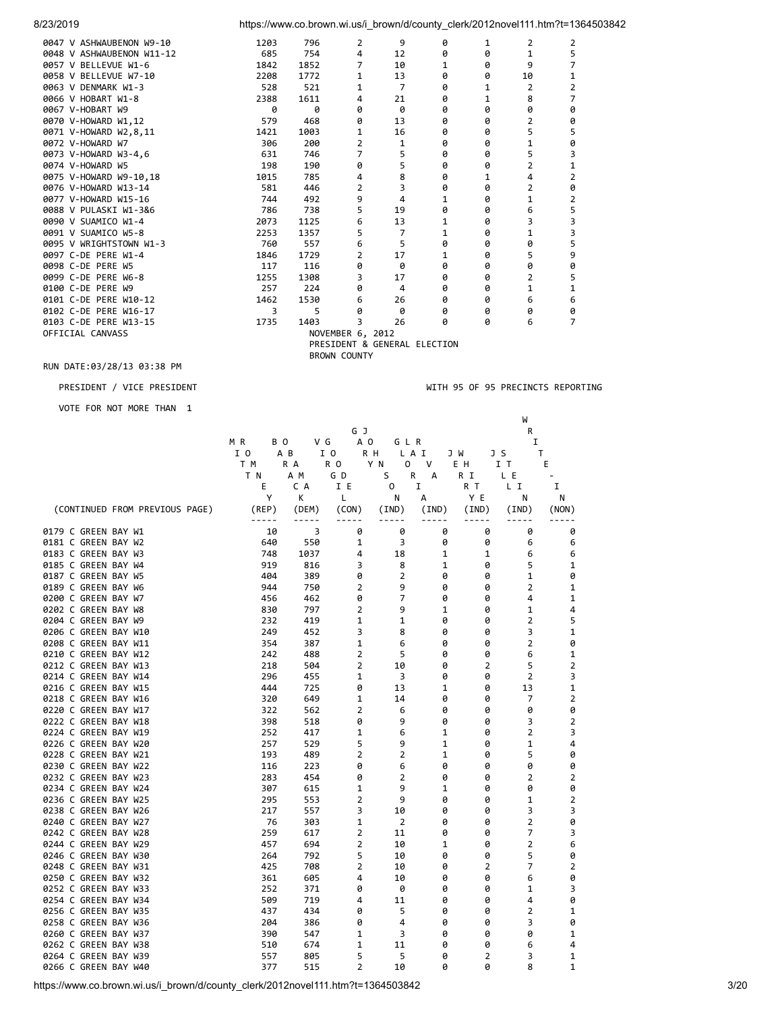| 8/23/2019                 |      | https://www.co.brown.wi.us/i_brown/d/county_clerk/2012novel111.htm?t=1364503842 |                     |                              |   |   |                |                |  |
|---------------------------|------|---------------------------------------------------------------------------------|---------------------|------------------------------|---|---|----------------|----------------|--|
| 0047 V ASHWAUBENON W9-10  | 1203 | 796                                                                             | 2                   | 9                            | 0 | 1 | 2              | 2              |  |
| 0048 V ASHWAUBENON W11-12 | 685  | 754                                                                             | 4                   | 12                           | 0 | 0 | 1              | 5              |  |
| 0057 V BELLEVUE W1-6      | 1842 | 1852                                                                            | 7                   | 10                           | 1 | 0 | 9              |                |  |
| 0058 V BELLEVUE W7-10     | 2208 | 1772                                                                            | 1                   | 13                           | 0 | 0 | 10             | 1              |  |
| 0063 V DENMARK W1-3       | 528  | 521                                                                             | 1                   | 7                            | ø | 1 | 2              | 2              |  |
| 0066 V HOBART W1-8        | 2388 | 1611                                                                            | 4                   | 21                           | 0 | 1 | 8              | 7              |  |
| 0067 V-HOBART W9          | 0    | 0                                                                               | 0                   | 0                            | 0 | 0 | 0              | 0              |  |
| 0070 V-HOWARD W1,12       | 579  | 468                                                                             | 0                   | 13                           | 0 | 0 | 2              | 0              |  |
| 0071 V-HOWARD W2,8,11     | 1421 | 1003                                                                            | 1                   | 16                           | 0 | 0 | 5              | 5              |  |
| 0072 V-HOWARD W7          | 306  | 200                                                                             | $\overline{2}$      | 1                            | 0 | 0 | 1              | 0              |  |
| 0073 V-HOWARD W3-4,6      | 631  | 746                                                                             | 7                   | 5                            | 0 | 0 | 5              | 3              |  |
| 0074 V-HOWARD W5          | 198  | 190                                                                             | 0                   | 5                            | 0 | 0 | 2              | 1              |  |
| 0075 V-HOWARD W9-10,18    | 1015 | 785                                                                             | 4                   | 8                            | 0 | 1 | 4              | $\overline{2}$ |  |
| 0076 V-HOWARD W13-14      | 581  | 446                                                                             | $\overline{2}$      | 3                            | ø | 0 | $\overline{2}$ | 0              |  |
| 0077 V-HOWARD W15-16      | 744  | 492                                                                             | 9                   | 4                            | 1 | 0 | 1              | 2              |  |
| 0088 V PULASKI W1-3&6     | 786  | 738                                                                             | 5                   | 19                           | 0 | 0 | 6              | 5              |  |
| 0090 V SUAMICO W1-4       | 2073 | 1125                                                                            | 6                   | 13                           | 1 | 0 | 3              | 3              |  |
| 0091 V SUAMICO W5-8       | 2253 | 1357                                                                            | 5                   | 7                            | 1 | 0 | 1              | 3              |  |
| 0095 V WRIGHTSTOWN W1-3   | 760  | 557                                                                             | 6                   | 5                            | 0 | 0 | 0              | 5              |  |
| 0097 C-DE PERE W1-4       | 1846 | 1729                                                                            | 2                   | 17                           | 1 | 0 | 5              | 9              |  |
| 0098 C-DE PERE W5         | 117  | 116                                                                             | 0                   | 0                            | 0 | 0 | 0              | 0              |  |
| 0099 C-DE PERE W6-8       | 1255 | 1308                                                                            | 3                   | 17                           | 0 | 0 | 2              | 5              |  |
| 0100 C-DE PERE W9         | 257  | 224                                                                             | 0                   | 4                            | 0 | 0 | 1              | 1              |  |
| 0101 C-DE PERE W10-12     | 1462 | 1530                                                                            | 6                   | 26                           | 0 | 0 | 6              | 6              |  |
| 0102 C-DE PERE W16-17     | 3    | 5                                                                               | 0                   | ø                            | ø | 0 | 0              | 0              |  |
| 0103 C-DE PERE W13-15     | 1735 | 1403                                                                            | 3                   | 26                           | ø | ø | 6              | 7              |  |
| OFFICIAL CANVASS          |      |                                                                                 | NOVEMBER 6, 2012    |                              |   |   |                |                |  |
|                           |      |                                                                                 |                     | PRESIDENT & GENERAL ELECTION |   |   |                |                |  |
|                           |      |                                                                                 | <b>BROWN COUNTY</b> |                              |   |   |                |                |  |

VOTE FOR NOT MORE THAN 1

PRESIDENT / VICE PRESIDENT WITH 95 OF 95 PRECINCTS REPORTING

|                                |             |       |                |                |              |                | W              |                |
|--------------------------------|-------------|-------|----------------|----------------|--------------|----------------|----------------|----------------|
|                                |             |       | G J            |                |              |                | R              |                |
|                                | MR<br>B O   | V G   | A O            | GLR            |              |                | I              |                |
|                                | I 0         | A B   | I O            | R H            | L A I        | J W            | J S            | T              |
|                                | T M         | R A   | R O            | Y N<br>0       | V            | E H            | IТ             | Е              |
|                                | T N         | A M   | G D            | S              | R<br>A       | R I            | L E            |                |
|                                | E           | C A   | I E            | 0              | I            | R T            | L I            | I              |
|                                | Υ           | K     | Г              | N              | А            | Y E            | N              | Ν              |
| (CONTINUED FROM PREVIOUS PAGE) | (REP)       | (DEM) | (CON)          | (IND)          | (IND)        | (IND)          | (IND)          | (NON)          |
|                                | $- - - - -$ | ----- |                |                |              |                |                |                |
| 0179 C GREEN BAY W1            | 10          | 3     | 0              | 0              | 0            | 0              | 0              | 0              |
| 0181 C GREEN BAY W2            | 640         | 550   | 1              | 3              | 0            | 0              | 6              | 6              |
| 0183 C GREEN BAY W3            | 748         | 1037  | 4              | 18             | 1            | 1              | 6              | 6              |
| 0185 C GREEN BAY W4            | 919         | 816   | 3              | 8              | 1            | 0              | 5              | 1              |
| 0187 C GREEN BAY W5            | 404         | 389   | 0              | $\overline{2}$ | 0            | 0              | 1              | 0              |
| 0189 C GREEN BAY W6            | 944         | 750   | 2              | 9              | 0            | 0              | $\overline{2}$ | 1              |
| 0200 C GREEN BAY W7            | 456         | 462   | 0              | 7              | 0            | 0              | 4              | 1              |
| 0202 C GREEN BAY W8            | 830         | 797   | $\overline{2}$ | 9              | 1            | 0              | 1              | 4              |
| 0204 C GREEN BAY W9            | 232         | 419   | 1              | 1              | 0            | 0              | $\overline{2}$ | 5              |
| 0206 C GREEN BAY W10           | 249         | 452   | 3              | 8              | 0            | 0              | 3              | 1              |
| 0208 C GREEN BAY W11           | 354         | 387   | 1              | 6              | 0            | 0              | 2              | 0              |
| 0210 C GREEN BAY W12           | 242         | 488   | $\overline{2}$ | 5              | 0            | 0              | 6              | 1              |
| 0212 C GREEN BAY W13           | 218         | 504   | $\overline{2}$ | 10             | 0            | 2              | 5              | 2              |
| 0214 C GREEN BAY W14           | 296         | 455   | 1              | 3              | 0            | 0              | $\overline{2}$ | 3              |
| 0216 C GREEN BAY W15           | 444         | 725   | 0              | 13             | $\mathbf{1}$ | 0              | 13             | $\mathbf 1$    |
| 0218 C GREEN BAY W16           | 320         | 649   | 1              | 14             | 0            | 0              | $\overline{7}$ | $\overline{2}$ |
| 0220 C GREEN BAY W17           | 322         | 562   | $\overline{2}$ | 6              | 0            | 0              | 0              | 0              |
| 0222 C GREEN BAY W18           | 398         | 518   | 0              | 9              | 0            | 0              | 3              | $\overline{2}$ |
| 0224 C GREEN BAY W19           | 252         | 417   | 1              | 6              | $\mathbf{1}$ | 0              | $\overline{2}$ | 3              |
| 0226 C GREEN BAY W20           | 257         | 529   | 5              | 9              | 1            | 0              | 1              | 4              |
| 0228 C GREEN BAY W21           | 193         | 489   | $\overline{2}$ | $\overline{2}$ | $\mathbf{1}$ | 0              | 5              | 0              |
| 0230 C GREEN BAY W22           | 116         | 223   | 0              | 6              | 0            | 0              | 0              | 0              |
| 0232 C GREEN BAY W23           | 283         | 454   | 0              | $\overline{2}$ | 0            | 0              | $\overline{2}$ | $\overline{2}$ |
| 0234 C GREEN BAY W24           | 307         | 615   | 1              | 9              | 1            | 0              | 0              | 0              |
| 0236 C GREEN BAY W25           | 295         | 553   | $\overline{2}$ | 9              | ø            | 0              | 1              | $\overline{2}$ |
| 0238 C GREEN BAY W26           | 217         | 557   | 3              | 10             | 0            | 0              | 3              | 3              |
| 0240 C GREEN BAY W27           | 76          | 303   | 1              | $\overline{2}$ | 0            | 0              | $\overline{2}$ | 0              |
| 0242 C GREEN BAY W28           | 259         | 617   | $\overline{2}$ | 11             | 0            | 0              | $\overline{7}$ | 3              |
| 0244 C GREEN BAY W29           | 457         | 694   | $\overline{2}$ | 10             | 1            | 0              | $\overline{2}$ | 6              |
| 0246 C GREEN BAY W30           | 264         | 792   | 5              | 10             | 0            | 0              | 5              | 0              |
| 0248 C GREEN BAY W31           | 425         | 708   | $\overline{2}$ | 10             | 0            | $\overline{2}$ | $\overline{7}$ | $\overline{2}$ |
| 0250 C GREEN BAY W32           | 361         | 605   | 4              | 10             | 0            | 0              | 6              | 0              |
| 0252 C GREEN BAY W33           | 252         | 371   | 0              | 0              | 0            | 0              | 1              | 3              |
| 0254 C GREEN BAY W34           | 509         | 719   | 4              | 11             | 0            | 0              | 4              | 0              |
| 0256 C GREEN BAY W35           | 437         | 434   | 0              | 5              | 0            | 0              | $\overline{2}$ | 1              |
| 0258 C GREEN BAY W36           | 204         | 386   | 0              | 4              | 0            | 0              | 3              | 0              |
| 0260 C GREEN BAY W37           | 390         | 547   | 1              | 3              | 0            | 0              | 0              | $\mathbf 1$    |
| 0262 C GREEN BAY W38           | 510         | 674   | 1              | 11             | 0            | 0              | 6              | 4              |
| 0264 C GREEN BAY W39           | 557         | 805   | 5              | 5              | 0            | $\overline{2}$ | 3              | 1              |
| 0266 C GREEN BAY W40           | 377         | 515   | $\overline{2}$ | 10             | 0            | 0              | 8              | 1              |

https://www.co.brown.wi.us/i\_brown/d/county\_clerk/2012novel111.htm?t=1364503842 3/20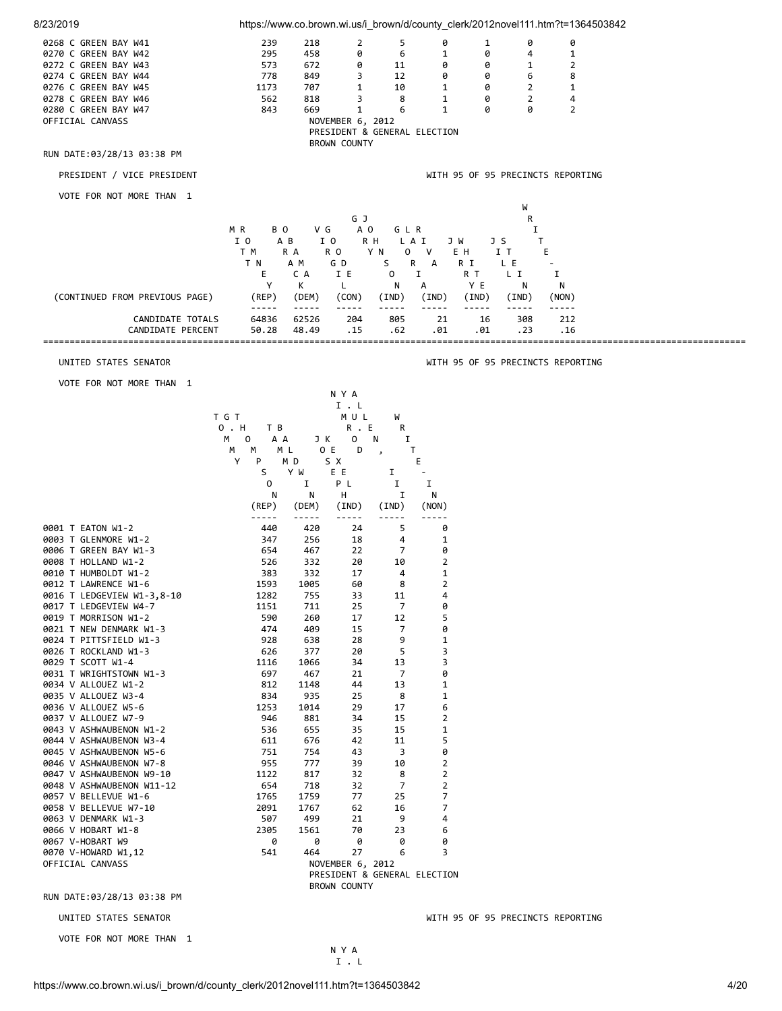| 239<br>5<br>0268 C GREEN BAY W41<br>218<br>2<br>0<br>0<br>1<br>0<br>458<br>0<br>$\mathbf{1}$<br>$\mathbf{1}$<br>0270 C GREEN BAY W42<br>295<br>6<br>0<br>4<br>$\overline{2}$<br>0272 C GREEN BAY W43<br>573<br>672<br>0<br>0<br>0<br>11<br>1<br>0274 C GREEN BAY W44<br>8<br>778<br>849<br>3<br>12<br>0<br>0<br>6<br>0276 C GREEN BAY W45<br>1173<br>707<br>1<br>10<br>2<br>1<br>1<br>0<br>818<br>8<br>$\overline{2}$<br>0278 C GREEN BAY W46<br>562<br>3<br>1<br>0<br>4<br>$\overline{2}$<br>0280 C GREEN BAY W47<br>843<br>669<br>1<br>6<br>$\mathbf{1}$<br>ø<br>0<br>NOVEMBER 6, 2012<br>OFFICIAL CANVASS<br>PRESIDENT & GENERAL ELECTION<br><b>BROWN COUNTY</b><br>RUN DATE:03/28/13 03:38 PM<br>PRESIDENT / VICE PRESIDENT<br>WITH 95 OF 95 PRECINCTS REPORTING<br>VOTE FOR NOT MORE THAN 1<br>W<br>G J<br>R<br>A O<br>MR<br>B O<br>V G<br>GLR<br>I<br>I 0<br>I O<br>A B<br>R H<br>L A I<br>Τ<br>J W<br>JS<br>T M<br>R A<br>R O<br>Y N<br>0<br>V<br>E H<br>IT<br>Е<br>T N<br>A M<br>G D<br>S<br>R<br>А<br>R I<br>L E<br>Ε<br>C A<br>I E<br>0<br>Ι.<br>R T<br>L I<br>1<br>Y<br>К<br>YE<br>L.<br>N<br>А<br>N<br>N<br>(CONTINUED FROM PREVIOUS PAGE)<br>(REP)<br>(DEM)<br>(CON)<br>(IND)<br>(IND)<br>(IND)<br>(IND)<br>(NON)<br>-----<br>-----<br>$- - - - - -$<br>-----<br>-----<br>-----<br>-----<br>64836<br>62526<br>21<br>CANDIDATE TOTALS<br>204<br>805<br>308<br>212<br>16<br>CANDIDATE PERCENT<br>50.28<br>48.49<br>. 15<br>.62<br>.01<br>.01<br>.23<br>.16<br>UNITED STATES SENATOR<br>WITH 95 OF 95 PRECINCTS REPORTING<br>VOTE FOR NOT MORE THAN 1<br>N Y A<br>$I$ . $L$<br>T G T<br>MUL<br>W<br>0 . H<br>R. E<br>T B<br>R<br>M<br>A A<br>0<br>N<br>1<br>0<br>JK<br>M L<br>O E<br>D<br>T<br>М<br>M<br>$\,$<br>Υ<br>M D<br>S X<br>Е<br>P<br>S<br>Y W<br>E E<br>Ι.<br>P L<br>0<br>Ι.<br>I<br>1<br>N<br>н<br>I<br>N<br>N<br>(REP)<br>(DEM)<br>(IND)<br>(IND)<br>(NON)<br>-----<br>-----<br>5<br>0001 T EATON W1-2<br>0<br>440<br>420<br>24<br>0003 T GLENMORE W1-2<br>256<br>4<br>1<br>347<br>18<br>0006 T GREEN BAY W1-3<br>22<br>7<br>0<br>654<br>467<br>$\overline{2}$<br>0008 T HOLLAND W1-2<br>526<br>332<br>20<br>10<br>0010 T HUMBOLDT W1-2<br>383<br>332<br>17<br>4<br>1<br>$\overline{2}$<br>1005<br>60<br>8<br>0012 T LAWRENCE W1-6<br>1593<br>1282<br>33<br>11<br>4<br>0016 T LEDGEVIEW W1-3,8-10<br>755<br>25<br>7<br>0<br>1151<br>711<br>0017 T LEDGEVIEW W4-7<br>5<br>0019 T MORRISON W1-2<br>590<br>260<br>17<br>12<br>0<br>0021 T NEW DENMARK W1-3<br>474<br>409<br>15<br>7<br>9<br>0024 T PITTSFIELD W1-3<br>928<br>638<br>28<br>1<br>5<br>3<br>377<br>20<br>0026 T ROCKLAND W1-3<br>626<br>0029 T SCOTT W1-4<br>34<br>13<br>3<br>1116<br>1066<br>7<br>0<br>0031 T WRIGHTSTOWN W1-3<br>697<br>467<br>21<br>13<br>0034 V ALLOUEZ W1-2<br>812<br>1148<br>44<br>1<br>$\mathbf 1$<br>0035 V ALLOUEZ W3-4<br>834<br>935<br>25<br>8<br>1014<br>29<br>17<br>6<br>0036 V ALLOUEZ W5-6<br>1253<br>$\overline{2}$<br>0037 V ALLOUEZ W7-9<br>946<br>881<br>34<br>15<br>$\mathbf 1$<br>35<br>15<br>0043 V ASHWAUBENON W1-2<br>536<br>655<br>5<br>676<br>42<br>0044 V ASHWAUBENON W3-4<br>611<br>11<br>3<br>0<br>0045 V ASHWAUBENON W5-6<br>751<br>754<br>43<br>0046 V ASHWAUBENON W7-8<br>955<br>777<br>39<br>10<br>2<br>$\overline{2}$<br>0047 V ASHWAUBENON W9-10<br>1122<br>817<br>32<br>8<br>$\overline{7}$<br>$\overline{2}$<br>0048 V ASHWAUBENON W11-12<br>654<br>718<br>32<br>7<br>1759<br>77<br>25<br>0057 V BELLEVUE W1-6<br>1765<br>7<br>0058 V BELLEVUE W7-10<br>2091<br>1767<br>62<br>16<br>499<br>9<br>4<br>0063 V DENMARK W1-3<br>507<br>21<br>0066 V HOBART W1-8<br>2305<br>1561<br>70<br>23<br>6<br>0067 V-HOBART W9<br>0<br>0<br>0<br>0<br>0<br>0070 V-HOWARD W1,12<br>541<br>464<br>27<br>6<br>3<br>OFFICIAL CANVASS<br>NOVEMBER 6, 2012<br>PRESIDENT & GENERAL ELECTION<br><b>BROWN COUNTY</b><br>RUN DATE:03/28/13 03:38 PM<br>UNITED STATES SENATOR<br>WITH 95 OF 95 PRECINCTS REPORTING | 8/23/2019                | https://www.co.brown.wi.us/i_brown/d/county_clerk/2012novel111.htm?t=1364503842 |  |  |  |  |
|-------------------------------------------------------------------------------------------------------------------------------------------------------------------------------------------------------------------------------------------------------------------------------------------------------------------------------------------------------------------------------------------------------------------------------------------------------------------------------------------------------------------------------------------------------------------------------------------------------------------------------------------------------------------------------------------------------------------------------------------------------------------------------------------------------------------------------------------------------------------------------------------------------------------------------------------------------------------------------------------------------------------------------------------------------------------------------------------------------------------------------------------------------------------------------------------------------------------------------------------------------------------------------------------------------------------------------------------------------------------------------------------------------------------------------------------------------------------------------------------------------------------------------------------------------------------------------------------------------------------------------------------------------------------------------------------------------------------------------------------------------------------------------------------------------------------------------------------------------------------------------------------------------------------------------------------------------------------------------------------------------------------------------------------------------------------------------------------------------------------------------------------------------------------------------------------------------------------------------------------------------------------------------------------------------------------------------------------------------------------------------------------------------------------------------------------------------------------------------------------------------------------------------------------------------------------------------------------------------------------------------------------------------------------------------------------------------------------------------------------------------------------------------------------------------------------------------------------------------------------------------------------------------------------------------------------------------------------------------------------------------------------------------------------------------------------------------------------------------------------------------------------------------------------------------------------------------------------------------------------------------------------------------------------------------------------------------------------------------------------------------------------------------------------------------------------------------------------------------------------------------------------------------------------------------------------------------------------------------------------------------------------------------------------------------------------------------------------------------------------------------------------------------------------------------------------------------------------------------------------------------------------------------------------------------|--------------------------|---------------------------------------------------------------------------------|--|--|--|--|
|                                                                                                                                                                                                                                                                                                                                                                                                                                                                                                                                                                                                                                                                                                                                                                                                                                                                                                                                                                                                                                                                                                                                                                                                                                                                                                                                                                                                                                                                                                                                                                                                                                                                                                                                                                                                                                                                                                                                                                                                                                                                                                                                                                                                                                                                                                                                                                                                                                                                                                                                                                                                                                                                                                                                                                                                                                                                                                                                                                                                                                                                                                                                                                                                                                                                                                                                                                                                                                                                                                                                                                                                                                                                                                                                                                                                                                                                                                                               |                          |                                                                                 |  |  |  |  |
|                                                                                                                                                                                                                                                                                                                                                                                                                                                                                                                                                                                                                                                                                                                                                                                                                                                                                                                                                                                                                                                                                                                                                                                                                                                                                                                                                                                                                                                                                                                                                                                                                                                                                                                                                                                                                                                                                                                                                                                                                                                                                                                                                                                                                                                                                                                                                                                                                                                                                                                                                                                                                                                                                                                                                                                                                                                                                                                                                                                                                                                                                                                                                                                                                                                                                                                                                                                                                                                                                                                                                                                                                                                                                                                                                                                                                                                                                                                               |                          |                                                                                 |  |  |  |  |
|                                                                                                                                                                                                                                                                                                                                                                                                                                                                                                                                                                                                                                                                                                                                                                                                                                                                                                                                                                                                                                                                                                                                                                                                                                                                                                                                                                                                                                                                                                                                                                                                                                                                                                                                                                                                                                                                                                                                                                                                                                                                                                                                                                                                                                                                                                                                                                                                                                                                                                                                                                                                                                                                                                                                                                                                                                                                                                                                                                                                                                                                                                                                                                                                                                                                                                                                                                                                                                                                                                                                                                                                                                                                                                                                                                                                                                                                                                                               |                          |                                                                                 |  |  |  |  |
|                                                                                                                                                                                                                                                                                                                                                                                                                                                                                                                                                                                                                                                                                                                                                                                                                                                                                                                                                                                                                                                                                                                                                                                                                                                                                                                                                                                                                                                                                                                                                                                                                                                                                                                                                                                                                                                                                                                                                                                                                                                                                                                                                                                                                                                                                                                                                                                                                                                                                                                                                                                                                                                                                                                                                                                                                                                                                                                                                                                                                                                                                                                                                                                                                                                                                                                                                                                                                                                                                                                                                                                                                                                                                                                                                                                                                                                                                                                               |                          |                                                                                 |  |  |  |  |
|                                                                                                                                                                                                                                                                                                                                                                                                                                                                                                                                                                                                                                                                                                                                                                                                                                                                                                                                                                                                                                                                                                                                                                                                                                                                                                                                                                                                                                                                                                                                                                                                                                                                                                                                                                                                                                                                                                                                                                                                                                                                                                                                                                                                                                                                                                                                                                                                                                                                                                                                                                                                                                                                                                                                                                                                                                                                                                                                                                                                                                                                                                                                                                                                                                                                                                                                                                                                                                                                                                                                                                                                                                                                                                                                                                                                                                                                                                                               |                          |                                                                                 |  |  |  |  |
|                                                                                                                                                                                                                                                                                                                                                                                                                                                                                                                                                                                                                                                                                                                                                                                                                                                                                                                                                                                                                                                                                                                                                                                                                                                                                                                                                                                                                                                                                                                                                                                                                                                                                                                                                                                                                                                                                                                                                                                                                                                                                                                                                                                                                                                                                                                                                                                                                                                                                                                                                                                                                                                                                                                                                                                                                                                                                                                                                                                                                                                                                                                                                                                                                                                                                                                                                                                                                                                                                                                                                                                                                                                                                                                                                                                                                                                                                                                               |                          |                                                                                 |  |  |  |  |
|                                                                                                                                                                                                                                                                                                                                                                                                                                                                                                                                                                                                                                                                                                                                                                                                                                                                                                                                                                                                                                                                                                                                                                                                                                                                                                                                                                                                                                                                                                                                                                                                                                                                                                                                                                                                                                                                                                                                                                                                                                                                                                                                                                                                                                                                                                                                                                                                                                                                                                                                                                                                                                                                                                                                                                                                                                                                                                                                                                                                                                                                                                                                                                                                                                                                                                                                                                                                                                                                                                                                                                                                                                                                                                                                                                                                                                                                                                                               |                          |                                                                                 |  |  |  |  |
|                                                                                                                                                                                                                                                                                                                                                                                                                                                                                                                                                                                                                                                                                                                                                                                                                                                                                                                                                                                                                                                                                                                                                                                                                                                                                                                                                                                                                                                                                                                                                                                                                                                                                                                                                                                                                                                                                                                                                                                                                                                                                                                                                                                                                                                                                                                                                                                                                                                                                                                                                                                                                                                                                                                                                                                                                                                                                                                                                                                                                                                                                                                                                                                                                                                                                                                                                                                                                                                                                                                                                                                                                                                                                                                                                                                                                                                                                                                               |                          |                                                                                 |  |  |  |  |
|                                                                                                                                                                                                                                                                                                                                                                                                                                                                                                                                                                                                                                                                                                                                                                                                                                                                                                                                                                                                                                                                                                                                                                                                                                                                                                                                                                                                                                                                                                                                                                                                                                                                                                                                                                                                                                                                                                                                                                                                                                                                                                                                                                                                                                                                                                                                                                                                                                                                                                                                                                                                                                                                                                                                                                                                                                                                                                                                                                                                                                                                                                                                                                                                                                                                                                                                                                                                                                                                                                                                                                                                                                                                                                                                                                                                                                                                                                                               |                          |                                                                                 |  |  |  |  |
|                                                                                                                                                                                                                                                                                                                                                                                                                                                                                                                                                                                                                                                                                                                                                                                                                                                                                                                                                                                                                                                                                                                                                                                                                                                                                                                                                                                                                                                                                                                                                                                                                                                                                                                                                                                                                                                                                                                                                                                                                                                                                                                                                                                                                                                                                                                                                                                                                                                                                                                                                                                                                                                                                                                                                                                                                                                                                                                                                                                                                                                                                                                                                                                                                                                                                                                                                                                                                                                                                                                                                                                                                                                                                                                                                                                                                                                                                                                               |                          |                                                                                 |  |  |  |  |
|                                                                                                                                                                                                                                                                                                                                                                                                                                                                                                                                                                                                                                                                                                                                                                                                                                                                                                                                                                                                                                                                                                                                                                                                                                                                                                                                                                                                                                                                                                                                                                                                                                                                                                                                                                                                                                                                                                                                                                                                                                                                                                                                                                                                                                                                                                                                                                                                                                                                                                                                                                                                                                                                                                                                                                                                                                                                                                                                                                                                                                                                                                                                                                                                                                                                                                                                                                                                                                                                                                                                                                                                                                                                                                                                                                                                                                                                                                                               |                          |                                                                                 |  |  |  |  |
|                                                                                                                                                                                                                                                                                                                                                                                                                                                                                                                                                                                                                                                                                                                                                                                                                                                                                                                                                                                                                                                                                                                                                                                                                                                                                                                                                                                                                                                                                                                                                                                                                                                                                                                                                                                                                                                                                                                                                                                                                                                                                                                                                                                                                                                                                                                                                                                                                                                                                                                                                                                                                                                                                                                                                                                                                                                                                                                                                                                                                                                                                                                                                                                                                                                                                                                                                                                                                                                                                                                                                                                                                                                                                                                                                                                                                                                                                                                               |                          |                                                                                 |  |  |  |  |
|                                                                                                                                                                                                                                                                                                                                                                                                                                                                                                                                                                                                                                                                                                                                                                                                                                                                                                                                                                                                                                                                                                                                                                                                                                                                                                                                                                                                                                                                                                                                                                                                                                                                                                                                                                                                                                                                                                                                                                                                                                                                                                                                                                                                                                                                                                                                                                                                                                                                                                                                                                                                                                                                                                                                                                                                                                                                                                                                                                                                                                                                                                                                                                                                                                                                                                                                                                                                                                                                                                                                                                                                                                                                                                                                                                                                                                                                                                                               |                          |                                                                                 |  |  |  |  |
|                                                                                                                                                                                                                                                                                                                                                                                                                                                                                                                                                                                                                                                                                                                                                                                                                                                                                                                                                                                                                                                                                                                                                                                                                                                                                                                                                                                                                                                                                                                                                                                                                                                                                                                                                                                                                                                                                                                                                                                                                                                                                                                                                                                                                                                                                                                                                                                                                                                                                                                                                                                                                                                                                                                                                                                                                                                                                                                                                                                                                                                                                                                                                                                                                                                                                                                                                                                                                                                                                                                                                                                                                                                                                                                                                                                                                                                                                                                               |                          |                                                                                 |  |  |  |  |
|                                                                                                                                                                                                                                                                                                                                                                                                                                                                                                                                                                                                                                                                                                                                                                                                                                                                                                                                                                                                                                                                                                                                                                                                                                                                                                                                                                                                                                                                                                                                                                                                                                                                                                                                                                                                                                                                                                                                                                                                                                                                                                                                                                                                                                                                                                                                                                                                                                                                                                                                                                                                                                                                                                                                                                                                                                                                                                                                                                                                                                                                                                                                                                                                                                                                                                                                                                                                                                                                                                                                                                                                                                                                                                                                                                                                                                                                                                                               |                          |                                                                                 |  |  |  |  |
|                                                                                                                                                                                                                                                                                                                                                                                                                                                                                                                                                                                                                                                                                                                                                                                                                                                                                                                                                                                                                                                                                                                                                                                                                                                                                                                                                                                                                                                                                                                                                                                                                                                                                                                                                                                                                                                                                                                                                                                                                                                                                                                                                                                                                                                                                                                                                                                                                                                                                                                                                                                                                                                                                                                                                                                                                                                                                                                                                                                                                                                                                                                                                                                                                                                                                                                                                                                                                                                                                                                                                                                                                                                                                                                                                                                                                                                                                                                               |                          |                                                                                 |  |  |  |  |
|                                                                                                                                                                                                                                                                                                                                                                                                                                                                                                                                                                                                                                                                                                                                                                                                                                                                                                                                                                                                                                                                                                                                                                                                                                                                                                                                                                                                                                                                                                                                                                                                                                                                                                                                                                                                                                                                                                                                                                                                                                                                                                                                                                                                                                                                                                                                                                                                                                                                                                                                                                                                                                                                                                                                                                                                                                                                                                                                                                                                                                                                                                                                                                                                                                                                                                                                                                                                                                                                                                                                                                                                                                                                                                                                                                                                                                                                                                                               |                          |                                                                                 |  |  |  |  |
|                                                                                                                                                                                                                                                                                                                                                                                                                                                                                                                                                                                                                                                                                                                                                                                                                                                                                                                                                                                                                                                                                                                                                                                                                                                                                                                                                                                                                                                                                                                                                                                                                                                                                                                                                                                                                                                                                                                                                                                                                                                                                                                                                                                                                                                                                                                                                                                                                                                                                                                                                                                                                                                                                                                                                                                                                                                                                                                                                                                                                                                                                                                                                                                                                                                                                                                                                                                                                                                                                                                                                                                                                                                                                                                                                                                                                                                                                                                               |                          |                                                                                 |  |  |  |  |
|                                                                                                                                                                                                                                                                                                                                                                                                                                                                                                                                                                                                                                                                                                                                                                                                                                                                                                                                                                                                                                                                                                                                                                                                                                                                                                                                                                                                                                                                                                                                                                                                                                                                                                                                                                                                                                                                                                                                                                                                                                                                                                                                                                                                                                                                                                                                                                                                                                                                                                                                                                                                                                                                                                                                                                                                                                                                                                                                                                                                                                                                                                                                                                                                                                                                                                                                                                                                                                                                                                                                                                                                                                                                                                                                                                                                                                                                                                                               |                          |                                                                                 |  |  |  |  |
|                                                                                                                                                                                                                                                                                                                                                                                                                                                                                                                                                                                                                                                                                                                                                                                                                                                                                                                                                                                                                                                                                                                                                                                                                                                                                                                                                                                                                                                                                                                                                                                                                                                                                                                                                                                                                                                                                                                                                                                                                                                                                                                                                                                                                                                                                                                                                                                                                                                                                                                                                                                                                                                                                                                                                                                                                                                                                                                                                                                                                                                                                                                                                                                                                                                                                                                                                                                                                                                                                                                                                                                                                                                                                                                                                                                                                                                                                                                               |                          |                                                                                 |  |  |  |  |
|                                                                                                                                                                                                                                                                                                                                                                                                                                                                                                                                                                                                                                                                                                                                                                                                                                                                                                                                                                                                                                                                                                                                                                                                                                                                                                                                                                                                                                                                                                                                                                                                                                                                                                                                                                                                                                                                                                                                                                                                                                                                                                                                                                                                                                                                                                                                                                                                                                                                                                                                                                                                                                                                                                                                                                                                                                                                                                                                                                                                                                                                                                                                                                                                                                                                                                                                                                                                                                                                                                                                                                                                                                                                                                                                                                                                                                                                                                                               |                          |                                                                                 |  |  |  |  |
|                                                                                                                                                                                                                                                                                                                                                                                                                                                                                                                                                                                                                                                                                                                                                                                                                                                                                                                                                                                                                                                                                                                                                                                                                                                                                                                                                                                                                                                                                                                                                                                                                                                                                                                                                                                                                                                                                                                                                                                                                                                                                                                                                                                                                                                                                                                                                                                                                                                                                                                                                                                                                                                                                                                                                                                                                                                                                                                                                                                                                                                                                                                                                                                                                                                                                                                                                                                                                                                                                                                                                                                                                                                                                                                                                                                                                                                                                                                               |                          |                                                                                 |  |  |  |  |
|                                                                                                                                                                                                                                                                                                                                                                                                                                                                                                                                                                                                                                                                                                                                                                                                                                                                                                                                                                                                                                                                                                                                                                                                                                                                                                                                                                                                                                                                                                                                                                                                                                                                                                                                                                                                                                                                                                                                                                                                                                                                                                                                                                                                                                                                                                                                                                                                                                                                                                                                                                                                                                                                                                                                                                                                                                                                                                                                                                                                                                                                                                                                                                                                                                                                                                                                                                                                                                                                                                                                                                                                                                                                                                                                                                                                                                                                                                                               |                          |                                                                                 |  |  |  |  |
|                                                                                                                                                                                                                                                                                                                                                                                                                                                                                                                                                                                                                                                                                                                                                                                                                                                                                                                                                                                                                                                                                                                                                                                                                                                                                                                                                                                                                                                                                                                                                                                                                                                                                                                                                                                                                                                                                                                                                                                                                                                                                                                                                                                                                                                                                                                                                                                                                                                                                                                                                                                                                                                                                                                                                                                                                                                                                                                                                                                                                                                                                                                                                                                                                                                                                                                                                                                                                                                                                                                                                                                                                                                                                                                                                                                                                                                                                                                               |                          |                                                                                 |  |  |  |  |
|                                                                                                                                                                                                                                                                                                                                                                                                                                                                                                                                                                                                                                                                                                                                                                                                                                                                                                                                                                                                                                                                                                                                                                                                                                                                                                                                                                                                                                                                                                                                                                                                                                                                                                                                                                                                                                                                                                                                                                                                                                                                                                                                                                                                                                                                                                                                                                                                                                                                                                                                                                                                                                                                                                                                                                                                                                                                                                                                                                                                                                                                                                                                                                                                                                                                                                                                                                                                                                                                                                                                                                                                                                                                                                                                                                                                                                                                                                                               |                          |                                                                                 |  |  |  |  |
|                                                                                                                                                                                                                                                                                                                                                                                                                                                                                                                                                                                                                                                                                                                                                                                                                                                                                                                                                                                                                                                                                                                                                                                                                                                                                                                                                                                                                                                                                                                                                                                                                                                                                                                                                                                                                                                                                                                                                                                                                                                                                                                                                                                                                                                                                                                                                                                                                                                                                                                                                                                                                                                                                                                                                                                                                                                                                                                                                                                                                                                                                                                                                                                                                                                                                                                                                                                                                                                                                                                                                                                                                                                                                                                                                                                                                                                                                                                               |                          |                                                                                 |  |  |  |  |
|                                                                                                                                                                                                                                                                                                                                                                                                                                                                                                                                                                                                                                                                                                                                                                                                                                                                                                                                                                                                                                                                                                                                                                                                                                                                                                                                                                                                                                                                                                                                                                                                                                                                                                                                                                                                                                                                                                                                                                                                                                                                                                                                                                                                                                                                                                                                                                                                                                                                                                                                                                                                                                                                                                                                                                                                                                                                                                                                                                                                                                                                                                                                                                                                                                                                                                                                                                                                                                                                                                                                                                                                                                                                                                                                                                                                                                                                                                                               |                          |                                                                                 |  |  |  |  |
|                                                                                                                                                                                                                                                                                                                                                                                                                                                                                                                                                                                                                                                                                                                                                                                                                                                                                                                                                                                                                                                                                                                                                                                                                                                                                                                                                                                                                                                                                                                                                                                                                                                                                                                                                                                                                                                                                                                                                                                                                                                                                                                                                                                                                                                                                                                                                                                                                                                                                                                                                                                                                                                                                                                                                                                                                                                                                                                                                                                                                                                                                                                                                                                                                                                                                                                                                                                                                                                                                                                                                                                                                                                                                                                                                                                                                                                                                                                               |                          |                                                                                 |  |  |  |  |
|                                                                                                                                                                                                                                                                                                                                                                                                                                                                                                                                                                                                                                                                                                                                                                                                                                                                                                                                                                                                                                                                                                                                                                                                                                                                                                                                                                                                                                                                                                                                                                                                                                                                                                                                                                                                                                                                                                                                                                                                                                                                                                                                                                                                                                                                                                                                                                                                                                                                                                                                                                                                                                                                                                                                                                                                                                                                                                                                                                                                                                                                                                                                                                                                                                                                                                                                                                                                                                                                                                                                                                                                                                                                                                                                                                                                                                                                                                                               |                          |                                                                                 |  |  |  |  |
|                                                                                                                                                                                                                                                                                                                                                                                                                                                                                                                                                                                                                                                                                                                                                                                                                                                                                                                                                                                                                                                                                                                                                                                                                                                                                                                                                                                                                                                                                                                                                                                                                                                                                                                                                                                                                                                                                                                                                                                                                                                                                                                                                                                                                                                                                                                                                                                                                                                                                                                                                                                                                                                                                                                                                                                                                                                                                                                                                                                                                                                                                                                                                                                                                                                                                                                                                                                                                                                                                                                                                                                                                                                                                                                                                                                                                                                                                                                               |                          |                                                                                 |  |  |  |  |
|                                                                                                                                                                                                                                                                                                                                                                                                                                                                                                                                                                                                                                                                                                                                                                                                                                                                                                                                                                                                                                                                                                                                                                                                                                                                                                                                                                                                                                                                                                                                                                                                                                                                                                                                                                                                                                                                                                                                                                                                                                                                                                                                                                                                                                                                                                                                                                                                                                                                                                                                                                                                                                                                                                                                                                                                                                                                                                                                                                                                                                                                                                                                                                                                                                                                                                                                                                                                                                                                                                                                                                                                                                                                                                                                                                                                                                                                                                                               |                          |                                                                                 |  |  |  |  |
|                                                                                                                                                                                                                                                                                                                                                                                                                                                                                                                                                                                                                                                                                                                                                                                                                                                                                                                                                                                                                                                                                                                                                                                                                                                                                                                                                                                                                                                                                                                                                                                                                                                                                                                                                                                                                                                                                                                                                                                                                                                                                                                                                                                                                                                                                                                                                                                                                                                                                                                                                                                                                                                                                                                                                                                                                                                                                                                                                                                                                                                                                                                                                                                                                                                                                                                                                                                                                                                                                                                                                                                                                                                                                                                                                                                                                                                                                                                               |                          |                                                                                 |  |  |  |  |
|                                                                                                                                                                                                                                                                                                                                                                                                                                                                                                                                                                                                                                                                                                                                                                                                                                                                                                                                                                                                                                                                                                                                                                                                                                                                                                                                                                                                                                                                                                                                                                                                                                                                                                                                                                                                                                                                                                                                                                                                                                                                                                                                                                                                                                                                                                                                                                                                                                                                                                                                                                                                                                                                                                                                                                                                                                                                                                                                                                                                                                                                                                                                                                                                                                                                                                                                                                                                                                                                                                                                                                                                                                                                                                                                                                                                                                                                                                                               |                          |                                                                                 |  |  |  |  |
|                                                                                                                                                                                                                                                                                                                                                                                                                                                                                                                                                                                                                                                                                                                                                                                                                                                                                                                                                                                                                                                                                                                                                                                                                                                                                                                                                                                                                                                                                                                                                                                                                                                                                                                                                                                                                                                                                                                                                                                                                                                                                                                                                                                                                                                                                                                                                                                                                                                                                                                                                                                                                                                                                                                                                                                                                                                                                                                                                                                                                                                                                                                                                                                                                                                                                                                                                                                                                                                                                                                                                                                                                                                                                                                                                                                                                                                                                                                               |                          |                                                                                 |  |  |  |  |
|                                                                                                                                                                                                                                                                                                                                                                                                                                                                                                                                                                                                                                                                                                                                                                                                                                                                                                                                                                                                                                                                                                                                                                                                                                                                                                                                                                                                                                                                                                                                                                                                                                                                                                                                                                                                                                                                                                                                                                                                                                                                                                                                                                                                                                                                                                                                                                                                                                                                                                                                                                                                                                                                                                                                                                                                                                                                                                                                                                                                                                                                                                                                                                                                                                                                                                                                                                                                                                                                                                                                                                                                                                                                                                                                                                                                                                                                                                                               |                          |                                                                                 |  |  |  |  |
|                                                                                                                                                                                                                                                                                                                                                                                                                                                                                                                                                                                                                                                                                                                                                                                                                                                                                                                                                                                                                                                                                                                                                                                                                                                                                                                                                                                                                                                                                                                                                                                                                                                                                                                                                                                                                                                                                                                                                                                                                                                                                                                                                                                                                                                                                                                                                                                                                                                                                                                                                                                                                                                                                                                                                                                                                                                                                                                                                                                                                                                                                                                                                                                                                                                                                                                                                                                                                                                                                                                                                                                                                                                                                                                                                                                                                                                                                                                               |                          |                                                                                 |  |  |  |  |
|                                                                                                                                                                                                                                                                                                                                                                                                                                                                                                                                                                                                                                                                                                                                                                                                                                                                                                                                                                                                                                                                                                                                                                                                                                                                                                                                                                                                                                                                                                                                                                                                                                                                                                                                                                                                                                                                                                                                                                                                                                                                                                                                                                                                                                                                                                                                                                                                                                                                                                                                                                                                                                                                                                                                                                                                                                                                                                                                                                                                                                                                                                                                                                                                                                                                                                                                                                                                                                                                                                                                                                                                                                                                                                                                                                                                                                                                                                                               |                          |                                                                                 |  |  |  |  |
|                                                                                                                                                                                                                                                                                                                                                                                                                                                                                                                                                                                                                                                                                                                                                                                                                                                                                                                                                                                                                                                                                                                                                                                                                                                                                                                                                                                                                                                                                                                                                                                                                                                                                                                                                                                                                                                                                                                                                                                                                                                                                                                                                                                                                                                                                                                                                                                                                                                                                                                                                                                                                                                                                                                                                                                                                                                                                                                                                                                                                                                                                                                                                                                                                                                                                                                                                                                                                                                                                                                                                                                                                                                                                                                                                                                                                                                                                                                               |                          |                                                                                 |  |  |  |  |
|                                                                                                                                                                                                                                                                                                                                                                                                                                                                                                                                                                                                                                                                                                                                                                                                                                                                                                                                                                                                                                                                                                                                                                                                                                                                                                                                                                                                                                                                                                                                                                                                                                                                                                                                                                                                                                                                                                                                                                                                                                                                                                                                                                                                                                                                                                                                                                                                                                                                                                                                                                                                                                                                                                                                                                                                                                                                                                                                                                                                                                                                                                                                                                                                                                                                                                                                                                                                                                                                                                                                                                                                                                                                                                                                                                                                                                                                                                                               |                          |                                                                                 |  |  |  |  |
|                                                                                                                                                                                                                                                                                                                                                                                                                                                                                                                                                                                                                                                                                                                                                                                                                                                                                                                                                                                                                                                                                                                                                                                                                                                                                                                                                                                                                                                                                                                                                                                                                                                                                                                                                                                                                                                                                                                                                                                                                                                                                                                                                                                                                                                                                                                                                                                                                                                                                                                                                                                                                                                                                                                                                                                                                                                                                                                                                                                                                                                                                                                                                                                                                                                                                                                                                                                                                                                                                                                                                                                                                                                                                                                                                                                                                                                                                                                               |                          |                                                                                 |  |  |  |  |
|                                                                                                                                                                                                                                                                                                                                                                                                                                                                                                                                                                                                                                                                                                                                                                                                                                                                                                                                                                                                                                                                                                                                                                                                                                                                                                                                                                                                                                                                                                                                                                                                                                                                                                                                                                                                                                                                                                                                                                                                                                                                                                                                                                                                                                                                                                                                                                                                                                                                                                                                                                                                                                                                                                                                                                                                                                                                                                                                                                                                                                                                                                                                                                                                                                                                                                                                                                                                                                                                                                                                                                                                                                                                                                                                                                                                                                                                                                                               |                          |                                                                                 |  |  |  |  |
|                                                                                                                                                                                                                                                                                                                                                                                                                                                                                                                                                                                                                                                                                                                                                                                                                                                                                                                                                                                                                                                                                                                                                                                                                                                                                                                                                                                                                                                                                                                                                                                                                                                                                                                                                                                                                                                                                                                                                                                                                                                                                                                                                                                                                                                                                                                                                                                                                                                                                                                                                                                                                                                                                                                                                                                                                                                                                                                                                                                                                                                                                                                                                                                                                                                                                                                                                                                                                                                                                                                                                                                                                                                                                                                                                                                                                                                                                                                               |                          |                                                                                 |  |  |  |  |
|                                                                                                                                                                                                                                                                                                                                                                                                                                                                                                                                                                                                                                                                                                                                                                                                                                                                                                                                                                                                                                                                                                                                                                                                                                                                                                                                                                                                                                                                                                                                                                                                                                                                                                                                                                                                                                                                                                                                                                                                                                                                                                                                                                                                                                                                                                                                                                                                                                                                                                                                                                                                                                                                                                                                                                                                                                                                                                                                                                                                                                                                                                                                                                                                                                                                                                                                                                                                                                                                                                                                                                                                                                                                                                                                                                                                                                                                                                                               |                          |                                                                                 |  |  |  |  |
|                                                                                                                                                                                                                                                                                                                                                                                                                                                                                                                                                                                                                                                                                                                                                                                                                                                                                                                                                                                                                                                                                                                                                                                                                                                                                                                                                                                                                                                                                                                                                                                                                                                                                                                                                                                                                                                                                                                                                                                                                                                                                                                                                                                                                                                                                                                                                                                                                                                                                                                                                                                                                                                                                                                                                                                                                                                                                                                                                                                                                                                                                                                                                                                                                                                                                                                                                                                                                                                                                                                                                                                                                                                                                                                                                                                                                                                                                                                               |                          |                                                                                 |  |  |  |  |
|                                                                                                                                                                                                                                                                                                                                                                                                                                                                                                                                                                                                                                                                                                                                                                                                                                                                                                                                                                                                                                                                                                                                                                                                                                                                                                                                                                                                                                                                                                                                                                                                                                                                                                                                                                                                                                                                                                                                                                                                                                                                                                                                                                                                                                                                                                                                                                                                                                                                                                                                                                                                                                                                                                                                                                                                                                                                                                                                                                                                                                                                                                                                                                                                                                                                                                                                                                                                                                                                                                                                                                                                                                                                                                                                                                                                                                                                                                                               |                          |                                                                                 |  |  |  |  |
|                                                                                                                                                                                                                                                                                                                                                                                                                                                                                                                                                                                                                                                                                                                                                                                                                                                                                                                                                                                                                                                                                                                                                                                                                                                                                                                                                                                                                                                                                                                                                                                                                                                                                                                                                                                                                                                                                                                                                                                                                                                                                                                                                                                                                                                                                                                                                                                                                                                                                                                                                                                                                                                                                                                                                                                                                                                                                                                                                                                                                                                                                                                                                                                                                                                                                                                                                                                                                                                                                                                                                                                                                                                                                                                                                                                                                                                                                                                               |                          |                                                                                 |  |  |  |  |
|                                                                                                                                                                                                                                                                                                                                                                                                                                                                                                                                                                                                                                                                                                                                                                                                                                                                                                                                                                                                                                                                                                                                                                                                                                                                                                                                                                                                                                                                                                                                                                                                                                                                                                                                                                                                                                                                                                                                                                                                                                                                                                                                                                                                                                                                                                                                                                                                                                                                                                                                                                                                                                                                                                                                                                                                                                                                                                                                                                                                                                                                                                                                                                                                                                                                                                                                                                                                                                                                                                                                                                                                                                                                                                                                                                                                                                                                                                                               |                          |                                                                                 |  |  |  |  |
|                                                                                                                                                                                                                                                                                                                                                                                                                                                                                                                                                                                                                                                                                                                                                                                                                                                                                                                                                                                                                                                                                                                                                                                                                                                                                                                                                                                                                                                                                                                                                                                                                                                                                                                                                                                                                                                                                                                                                                                                                                                                                                                                                                                                                                                                                                                                                                                                                                                                                                                                                                                                                                                                                                                                                                                                                                                                                                                                                                                                                                                                                                                                                                                                                                                                                                                                                                                                                                                                                                                                                                                                                                                                                                                                                                                                                                                                                                                               |                          |                                                                                 |  |  |  |  |
|                                                                                                                                                                                                                                                                                                                                                                                                                                                                                                                                                                                                                                                                                                                                                                                                                                                                                                                                                                                                                                                                                                                                                                                                                                                                                                                                                                                                                                                                                                                                                                                                                                                                                                                                                                                                                                                                                                                                                                                                                                                                                                                                                                                                                                                                                                                                                                                                                                                                                                                                                                                                                                                                                                                                                                                                                                                                                                                                                                                                                                                                                                                                                                                                                                                                                                                                                                                                                                                                                                                                                                                                                                                                                                                                                                                                                                                                                                                               |                          |                                                                                 |  |  |  |  |
|                                                                                                                                                                                                                                                                                                                                                                                                                                                                                                                                                                                                                                                                                                                                                                                                                                                                                                                                                                                                                                                                                                                                                                                                                                                                                                                                                                                                                                                                                                                                                                                                                                                                                                                                                                                                                                                                                                                                                                                                                                                                                                                                                                                                                                                                                                                                                                                                                                                                                                                                                                                                                                                                                                                                                                                                                                                                                                                                                                                                                                                                                                                                                                                                                                                                                                                                                                                                                                                                                                                                                                                                                                                                                                                                                                                                                                                                                                                               |                          |                                                                                 |  |  |  |  |
|                                                                                                                                                                                                                                                                                                                                                                                                                                                                                                                                                                                                                                                                                                                                                                                                                                                                                                                                                                                                                                                                                                                                                                                                                                                                                                                                                                                                                                                                                                                                                                                                                                                                                                                                                                                                                                                                                                                                                                                                                                                                                                                                                                                                                                                                                                                                                                                                                                                                                                                                                                                                                                                                                                                                                                                                                                                                                                                                                                                                                                                                                                                                                                                                                                                                                                                                                                                                                                                                                                                                                                                                                                                                                                                                                                                                                                                                                                                               |                          |                                                                                 |  |  |  |  |
|                                                                                                                                                                                                                                                                                                                                                                                                                                                                                                                                                                                                                                                                                                                                                                                                                                                                                                                                                                                                                                                                                                                                                                                                                                                                                                                                                                                                                                                                                                                                                                                                                                                                                                                                                                                                                                                                                                                                                                                                                                                                                                                                                                                                                                                                                                                                                                                                                                                                                                                                                                                                                                                                                                                                                                                                                                                                                                                                                                                                                                                                                                                                                                                                                                                                                                                                                                                                                                                                                                                                                                                                                                                                                                                                                                                                                                                                                                                               |                          |                                                                                 |  |  |  |  |
|                                                                                                                                                                                                                                                                                                                                                                                                                                                                                                                                                                                                                                                                                                                                                                                                                                                                                                                                                                                                                                                                                                                                                                                                                                                                                                                                                                                                                                                                                                                                                                                                                                                                                                                                                                                                                                                                                                                                                                                                                                                                                                                                                                                                                                                                                                                                                                                                                                                                                                                                                                                                                                                                                                                                                                                                                                                                                                                                                                                                                                                                                                                                                                                                                                                                                                                                                                                                                                                                                                                                                                                                                                                                                                                                                                                                                                                                                                                               |                          |                                                                                 |  |  |  |  |
|                                                                                                                                                                                                                                                                                                                                                                                                                                                                                                                                                                                                                                                                                                                                                                                                                                                                                                                                                                                                                                                                                                                                                                                                                                                                                                                                                                                                                                                                                                                                                                                                                                                                                                                                                                                                                                                                                                                                                                                                                                                                                                                                                                                                                                                                                                                                                                                                                                                                                                                                                                                                                                                                                                                                                                                                                                                                                                                                                                                                                                                                                                                                                                                                                                                                                                                                                                                                                                                                                                                                                                                                                                                                                                                                                                                                                                                                                                                               | VOTE FOR NOT MORE THAN 1 |                                                                                 |  |  |  |  |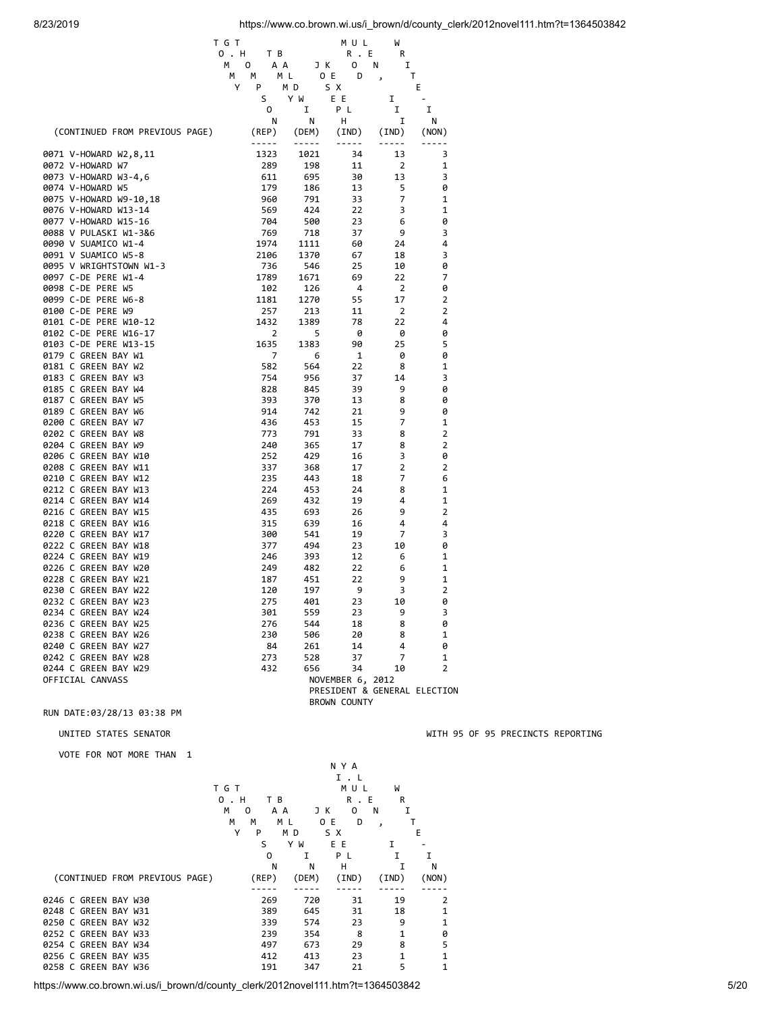|                                              | T G T       |            | MUL                 | W              |                              |
|----------------------------------------------|-------------|------------|---------------------|----------------|------------------------------|
|                                              | 0 . H<br>ΤВ |            | R.E                 | R              |                              |
|                                              | м<br>0      | ΑA<br>JК   | 0                   | I<br>Ν         |                              |
|                                              | М<br>M      | M L        | O E<br>D            |                | т                            |
|                                              | Υ<br>P      | M D        | S X                 |                | E                            |
|                                              | S           | Y W        | ΕE                  | I              |                              |
|                                              | 0           | 1          | ΡL                  | I              | I                            |
|                                              | Ν           | Ν          | н                   | I              | N                            |
| (CONTINUED FROM PREVIOUS PAGE)               | (REP)       | (DEM)      | (IND)               | (IND)          | (NON)                        |
|                                              | -----       |            |                     | .              |                              |
| 0071 V-HOWARD W2,8,11                        | 1323        | 1021       | 34                  | 13             | 3                            |
| 0072 V-HOWARD W7                             | 289         | 198        | 11                  | $\overline{2}$ | $\mathbf{1}$                 |
| 0073 V-HOWARD W3-4,6                         | 611         | 695        | 30                  | 13             | 3                            |
| 0074 V-HOWARD W5                             | 179         | 186        | 13                  | 5              | 0                            |
| 0075 V-HOWARD W9-10,18                       | 960         | 791        | 33                  | 7              | 1                            |
| 0076 V-HOWARD W13-14                         | 569         | 424        | 22                  | 3              | 1                            |
| 0077 V-HOWARD W15-16                         | 704         | 500        | 23                  | 6              | 0                            |
| 0088 V PULASKI W1-3&6                        | 769         | 718        | 37                  | 9              | 3                            |
| 0090 V SUAMICO W1-4                          | 1974        | 1111       | 60                  | 24             | 4                            |
| 0091 V SUAMICO W5-8                          | 2106        | 1370       | 67                  | 18             | 3                            |
| 0095 V WRIGHTSTOWN W1-3                      | 736         | 546        | 25                  | 10             | 0                            |
| 0097 C-DE PERE W1-4                          | 1789        | 1671       | 69                  | 22             | 7                            |
| 0098 C-DE PERE W5                            | 102         | 126        | 4                   | 2              | 0                            |
| 0099 C-DE PERE W6-8                          | 1181        | 1270       | 55                  | 17             | 2                            |
| 0100 C-DE PERE W9                            | 257         | 213        | 11                  | 2              | 2                            |
| 0101 C-DE PERE W10-12                        | 1432        | 1389       | 78                  | 22             | 4                            |
| 0102 C-DE PERE W16-17                        | 2           | 5          | 0                   | 0              | 0                            |
| 0103 C-DE PERE W13-15                        | 1635        | 1383       | 90                  | 25             | 5                            |
| 0179 C GREEN BAY W1                          | 7           |            |                     |                | 0                            |
| 0181 C GREEN BAY W2                          | 582         | 6<br>564   | 1<br>22             | 0<br>8         | 1                            |
| 0183 C GREEN BAY W3                          | 754         | 956        | 37                  | 14             | 3                            |
| 0185 C GREEN BAY W4                          | 828         | 845        | 39                  | 9              | 0                            |
| 0187 C GREEN BAY W5                          | 393         |            |                     | 8              | 0                            |
| 0189 C GREEN BAY W6                          | 914         | 370<br>742 | 13<br>21            | 9              | 0                            |
|                                              |             |            |                     | 7              | $\mathbf{1}$                 |
| 0200 C GREEN BAY W7<br>0202 C GREEN BAY W8   | 436         | 453        | 15                  | 8              | 2                            |
| 0204 C GREEN BAY W9                          | 773<br>240  | 791        | 33<br>17            | 8              | $\overline{2}$               |
| 0206 C GREEN BAY W10                         | 252         | 365<br>429 |                     | 3              | 0                            |
|                                              |             |            | 16                  | 2              |                              |
| 0208 C GREEN BAY W11                         | 337         | 368        | 17                  | 7              | 2<br>6                       |
| 0210 C GREEN BAY W12                         | 235         | 443        | 18                  |                | $\mathbf{1}$                 |
| 0212 C GREEN BAY W13                         | 224         | 453        | 24                  | 8<br>4         | 1                            |
| 0214 C GREEN BAY W14                         | 269         | 432        | 19                  |                | 2                            |
| 0216 C GREEN BAY W15                         | 435         | 693        | 26                  | 9              |                              |
| 0218 C GREEN BAY W16<br>0220 C GREEN BAY W17 | 315         | 639        | 16                  | 4              | 4                            |
| 0222 C GREEN BAY W18                         | 300         | 541        | 19                  | 7              | 3<br>0                       |
|                                              | 377         | 494        | 23                  | 10             |                              |
| 0224 C GREEN BAY W19                         | 246         | 393        | 12                  | 6              | 1<br>1                       |
| 0226 C GREEN BAY W20                         | 249         | 482        | 22                  | 6              |                              |
| 0228 C GREEN BAY W21                         | 187         | 451        | 22                  | 9              | 1                            |
| 0230 C GREEN BAY W22                         | 120         | 197        | 9                   | 3              | 2                            |
| 0232 C GREEN BAY W23                         | 275         | 401        | 23                  | 10             | 0                            |
| 0234 C GREEN BAY W24                         | 301         | 559        | 23                  | 9              | 3                            |
| 0236 C GREEN BAY W25                         | 276         | 544        | 18                  | 8              | 0                            |
| 0238 C GREEN BAY W26                         | 230         | 506        | 20                  | 8              | 1                            |
| 0240 C GREEN BAY W27                         | 84          | 261        | 14                  | 4              | 0                            |
| 0242 C GREEN BAY W28                         | 273         | 528        | 37                  | 7              | 1                            |
| 0244 C GREEN BAY W29                         | 432         | 656        | 34                  | 10             | 2                            |
| OFFICIAL CANVASS                             |             |            | NOVEMBER 6, 2012    |                |                              |
|                                              |             |            |                     |                | PRESIDENT & GENERAL ELECTION |
|                                              |             |            | <b>BROWN COUNTY</b> |                |                              |

VOTE FOR NOT MORE THAN 1

|                      |  |                                |          |       |                                                                                           |     |       | N Y A |       |         |    |       |
|----------------------|--|--------------------------------|----------|-------|-------------------------------------------------------------------------------------------|-----|-------|-------|-------|---------|----|-------|
|                      |  |                                |          |       |                                                                                           |     |       |       | I.L   |         |    |       |
|                      |  |                                |          | T G T |                                                                                           |     |       |       | MU L  | W       |    |       |
|                      |  |                                |          | 0.H   |                                                                                           | ТB  |       |       | R.E   |         | R  |       |
|                      |  |                                |          | м     | 0                                                                                         | A A |       | JК    | 0     | N       | I  |       |
|                      |  |                                |          | м     | м                                                                                         | M L |       | 0 E   | D     | $\cdot$ |    | т     |
|                      |  |                                |          | Υ     | P                                                                                         | M D |       | S X   |       |         |    | Е     |
|                      |  |                                |          |       | S                                                                                         |     | Y W   | E E   |       | Ι.      |    |       |
|                      |  |                                |          |       | 0                                                                                         |     | I     | P L   |       | I       |    | I     |
|                      |  |                                |          |       |                                                                                           | N   | N     | н     |       |         | I  | N     |
|                      |  | (CONTINUED FROM PREVIOUS PAGE) |          |       | (REP)                                                                                     |     | (DEM) |       | (IND) | (IND)   |    | (NON) |
|                      |  |                                |          |       |                                                                                           |     |       |       |       |         |    |       |
| 0246 C GREEN BAY W30 |  |                                |          |       | 269                                                                                       |     | 720   |       | 31    |         | 19 | 2     |
| 0248 C GREEN BAY W31 |  |                                |          |       | 389                                                                                       |     | 645   |       | 31    |         | 18 | 1     |
| 0250 C GREEN BAY W32 |  |                                |          |       | 339                                                                                       |     | 574   |       | 23    |         | 9  | 1     |
| 0252 C GREEN BAY W33 |  |                                |          |       | 239                                                                                       |     | 354   |       | 8     |         | 1  | 0     |
| 0254 C GREEN BAY W34 |  |                                |          |       | 497                                                                                       |     | 673   |       | 29    |         | 8  | 5     |
| 0256 C GREEN BAY W35 |  |                                |          |       | 412                                                                                       |     | 413   |       | 23    |         | 1  | 1     |
| 0258 C GREEN BAY W36 |  |                                |          |       | 191                                                                                       |     | 347   |       | 21    |         | 5  | 1     |
| .                    |  | .                              | $\cdots$ |       | $\overline{1}$ $\overline{1}$ $\overline{2}$ $\overline{3}$ $\overline{4}$ $\overline{2}$ |     |       |       |       |         |    |       |

## UNITED STATES SENATOR WITH 95 OF 95 PRECINCTS REPORTING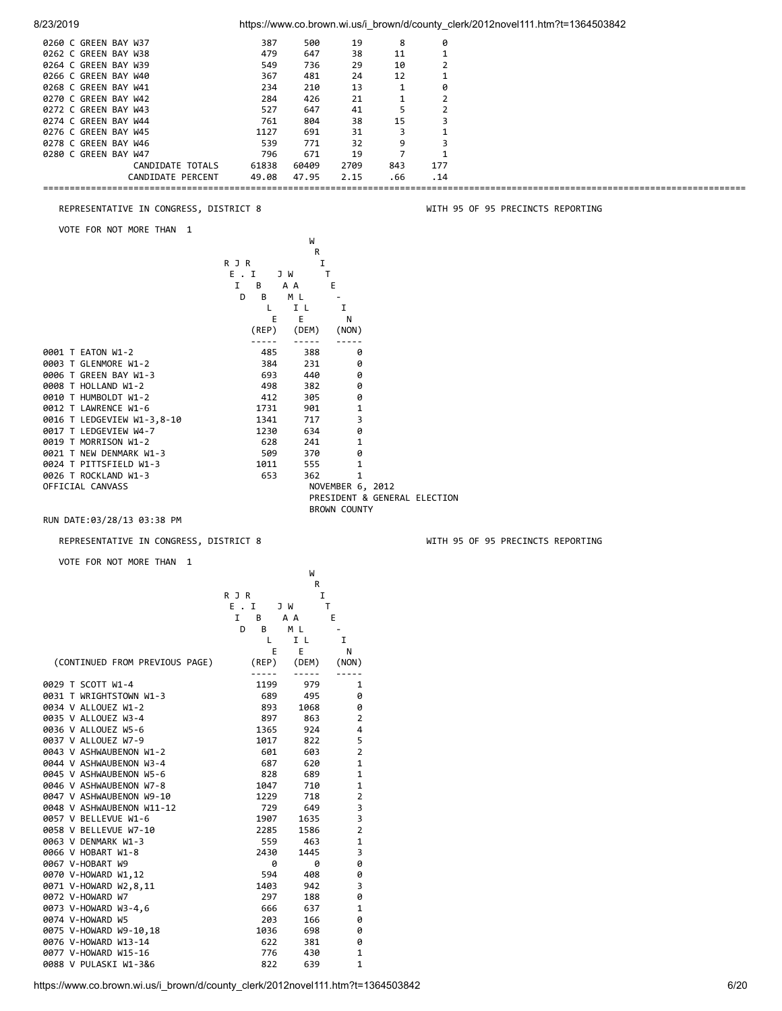| 8/23/2019                                             |                   |                |                               |            |                              | https://www.co.brown.wi.us/i_brown/d/county_clerk/2012novel111.htm?t=1364503842 |
|-------------------------------------------------------|-------------------|----------------|-------------------------------|------------|------------------------------|---------------------------------------------------------------------------------|
| 0260 C GREEN BAY W37                                  | 387               | 500            | 19                            | 8          | 0                            |                                                                                 |
| 0262 C GREEN BAY W38                                  | 479               | 647            | 38                            | 11         | $\mathbf{1}$                 |                                                                                 |
| 0264 C GREEN BAY W39                                  | 549               | 736            | 29                            | 10         | $\overline{2}$               |                                                                                 |
| 0266 C GREEN BAY W40                                  | 367               | 481            | 24                            | 12         | 1                            |                                                                                 |
| 0268 C GREEN BAY W41<br>0270 C GREEN BAY W42          | 234<br>284        | 210<br>426     | 13<br>21                      | 1<br>1     | 0<br>2                       |                                                                                 |
| 0272 C GREEN BAY W43                                  | 527               | 647            | 41                            | 5          | 2                            |                                                                                 |
| 0274 C GREEN BAY W44                                  | 761               | 804            | 38                            | 15         | 3                            |                                                                                 |
| 0276 C GREEN BAY W45                                  | 1127              | 691            | 31                            | 3          | 1                            |                                                                                 |
| 0278 C GREEN BAY W46                                  | 539               | 771            | 32                            | 9          | 3                            |                                                                                 |
| 0280 C GREEN BAY W47                                  | 796               | 671            | 19                            | 7          | 1                            |                                                                                 |
| CANDIDATE TOTALS<br>CANDIDATE PERCENT                 | 61838<br>49.08    | 60409<br>47.95 | 2709<br>2.15                  | 843<br>.66 | 177<br>. 14                  |                                                                                 |
|                                                       |                   |                |                               |            |                              |                                                                                 |
|                                                       |                   |                |                               |            |                              |                                                                                 |
| REPRESENTATIVE IN CONGRESS, DISTRICT 8                |                   |                |                               |            |                              | WITH 95 OF 95 PRECINCTS REPORTING                                               |
| VOTE FOR NOT MORE THAN 1                              |                   |                |                               |            |                              |                                                                                 |
|                                                       |                   | W              |                               |            |                              |                                                                                 |
|                                                       |                   | R              |                               |            |                              |                                                                                 |
|                                                       | R J R<br>E.I      | I<br>J W       | Τ                             |            |                              |                                                                                 |
|                                                       | I<br>В            | A A            | E                             |            |                              |                                                                                 |
|                                                       | D<br>В            | ΜL             |                               |            |                              |                                                                                 |
|                                                       | L                 | I L            | I                             |            |                              |                                                                                 |
|                                                       | Ε                 | Ε              | N                             |            |                              |                                                                                 |
|                                                       | (REP)             | (DEM)          | (NON)                         |            |                              |                                                                                 |
| 0001 T EATON W1-2                                     | -----<br>485      | -----<br>388   | -----<br>0                    |            |                              |                                                                                 |
| 0003 T GLENMORE W1-2                                  | 384               | 231            | 0                             |            |                              |                                                                                 |
| 0006 T GREEN BAY W1-3                                 | 693               | 440            | 0                             |            |                              |                                                                                 |
| 0008 T HOLLAND W1-2                                   | 498               | 382            | 0                             |            |                              |                                                                                 |
| 0010 T HUMBOLDT W1-2                                  | 412               | 305            | 0                             |            |                              |                                                                                 |
| 0012 T LAWRENCE W1-6                                  | 1731              | 901            | 1                             |            |                              |                                                                                 |
| 0016 T LEDGEVIEW W1-3,8-10                            | 1341              | 717            | 3                             |            |                              |                                                                                 |
| 0017 T LEDGEVIEW W4-7<br>0019 T MORRISON W1-2         | 1230<br>628       | 634<br>241     | 0<br>1                        |            |                              |                                                                                 |
| 0021 T NEW DENMARK W1-3                               | 509               | 370            | 0                             |            |                              |                                                                                 |
| 0024 T PITTSFIELD W1-3                                | 1011              | 555            | 1                             |            |                              |                                                                                 |
| 0026 T ROCKLAND W1-3                                  | 653               | 362            | 1                             |            |                              |                                                                                 |
| OFFICIAL CANVASS                                      |                   |                | NOVEMBER 6, 2012              |            |                              |                                                                                 |
|                                                       |                   |                |                               |            | PRESIDENT & GENERAL ELECTION |                                                                                 |
| RUN DATE:03/28/13 03:38 PM                            |                   |                | <b>BROWN COUNTY</b>           |            |                              |                                                                                 |
|                                                       |                   |                |                               |            |                              |                                                                                 |
| REPRESENTATIVE IN CONGRESS, DISTRICT 8                |                   |                |                               |            |                              | WITH 95 OF 95 PRECINCTS REPORTING                                               |
| VOTE FOR NOT MORE THAN 1                              |                   |                |                               |            |                              |                                                                                 |
|                                                       |                   | W              |                               |            |                              |                                                                                 |
|                                                       |                   | R              |                               |            |                              |                                                                                 |
|                                                       | R J R             | I              |                               |            |                              |                                                                                 |
|                                                       | E.I               | J W            | Τ                             |            |                              |                                                                                 |
|                                                       | Ι.<br>В<br>D<br>В | A A<br>ΜL      | E<br>$\overline{\phantom{a}}$ |            |                              |                                                                                 |
|                                                       | L                 | I L            | 1                             |            |                              |                                                                                 |
|                                                       | Е                 | Ε              | N                             |            |                              |                                                                                 |
| (CONTINUED FROM PREVIOUS PAGE)                        | (REP)             | (DEM)          | (NON)                         |            |                              |                                                                                 |
|                                                       | -----             | -----          | $- - - - -$                   |            |                              |                                                                                 |
| 0029 T SCOTT W1-4                                     | 1199              | 979            | 1                             |            |                              |                                                                                 |
| 0031 T WRIGHTSTOWN W1-3<br>0034 V ALLOUEZ W1-2        | 689<br>893        | 495<br>1068    | 0<br>0                        |            |                              |                                                                                 |
| 0035 V ALLOUEZ W3-4                                   | 897               | 863            | 2                             |            |                              |                                                                                 |
| 0036 V ALLOUEZ W5-6                                   | 1365              | 924            | 4                             |            |                              |                                                                                 |
| 0037 V ALLOUEZ W7-9                                   | 1017              | 822            | 5                             |            |                              |                                                                                 |
| 0043 V ASHWAUBENON W1-2                               | 601               | 603            | 2                             |            |                              |                                                                                 |
| 0044 V ASHWAUBENON W3-4                               | 687               | 620            | $\mathbf 1$                   |            |                              |                                                                                 |
| 0045 V ASHWAUBENON W5-6                               | 828               | 689            | $\mathbf{1}$                  |            |                              |                                                                                 |
| 0046 V ASHWAUBENON W7-8                               | 1047              | 710            | $\mathbf{1}$                  |            |                              |                                                                                 |
| 0047 V ASHWAUBENON W9-10<br>0048 V ASHWAUBENON W11-12 | 1229<br>729       | 718<br>649     | $\overline{2}$<br>3           |            |                              |                                                                                 |
| 0057 V BELLEVUE W1-6                                  |                   | 1635           | 3                             |            |                              |                                                                                 |
| 0058 V BELLEVUE W7-10                                 |                   |                |                               |            |                              |                                                                                 |
|                                                       | 1907<br>2285      | 1586           | $\overline{2}$                |            |                              |                                                                                 |
| 0063 V DENMARK W1-3                                   | 559               | 463            | 1                             |            |                              |                                                                                 |
| 0066 V HOBART W1-8                                    | 2430              | 1445           | 3                             |            |                              |                                                                                 |
| 0067 V-HOBART W9                                      | 0                 | 0              | 0                             |            |                              |                                                                                 |
| 0070 V-HOWARD W1,12                                   | 594               | 408            | 0                             |            |                              |                                                                                 |
| 0071 V-HOWARD W2,8,11                                 | 1403              | 942            | 3                             |            |                              |                                                                                 |
| 0072 V-HOWARD W7                                      | 297               | 188            | 0                             |            |                              |                                                                                 |
| 0073 V-HOWARD W3-4,6<br>0074 V-HOWARD W5              | 666<br>203        | 637<br>166     | 1<br>0                        |            |                              |                                                                                 |
| 0075 V-HOWARD W9-10,18                                | 1036              | 698            | 0                             |            |                              |                                                                                 |
| 0076 V-HOWARD W13-14<br>0077 V-HOWARD W15-16          | 622<br>776        | 381<br>430     | 0<br>1                        |            |                              |                                                                                 |

0088 V PULASKI W1-3&6 822 639 1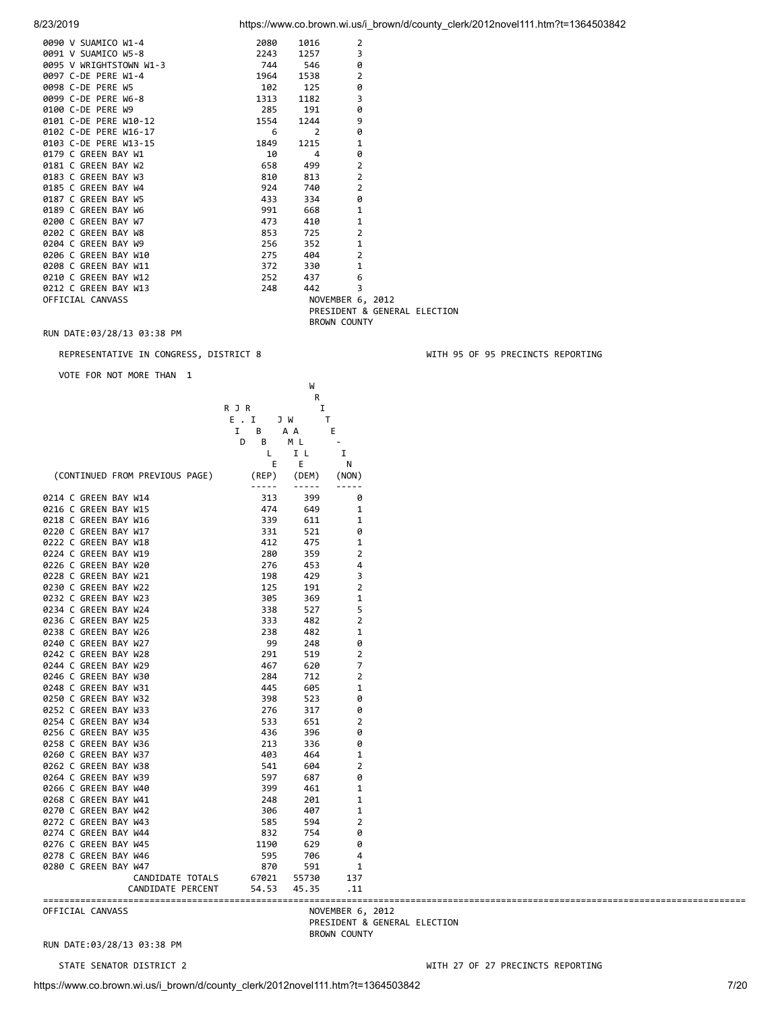| 8/23/2019 |  | https://www.co.brown.wi.us/i brown/d/county clerk/2012novel111.htm?t=1364503842 |
|-----------|--|---------------------------------------------------------------------------------|
|           |  |                                                                                 |

| 0090 V SUAMICO W1-4     | 2080 | 1016           | $\overline{2}$               |  |
|-------------------------|------|----------------|------------------------------|--|
| 0091 V SUAMICO W5-8     | 2243 | 1257           | 3                            |  |
| 0095 V WRIGHTSTOWN W1-3 | 744  | 546            | 0                            |  |
| 0097 C-DE PERE W1-4     | 1964 | 1538           | $\overline{2}$               |  |
| 0098 C-DE PERE W5       | 102  | 125            | 0                            |  |
| 0099 C-DE PERE W6-8     | 1313 | 1182           | $\overline{3}$               |  |
| 0100 C-DE PERE W9       | 285  | 191            | 0                            |  |
| 0101 C-DE PERE W10-12   | 1554 | 1244           | 9                            |  |
| 0102 C-DE PERE W16-17   | 6    | $\overline{2}$ | 0                            |  |
| 0103 C-DE PERE W13-15   | 1849 | 1215           | $\mathbf{1}$                 |  |
| 0179 C GREEN BAY W1     | 10   | 4              | ø                            |  |
| 0181 C GREEN BAY W2     | 658  | 499            | $\overline{2}$               |  |
| 0183 C GREEN BAY W3     | 810  | 813            | $\overline{2}$               |  |
| 0185 C GREEN BAY W4     | 924  | 740            | $\overline{2}$               |  |
| 0187 C GREEN BAY W5     | 433  | 334            | 0                            |  |
| 0189 C GREEN BAY W6     | 991  | 668            | $\mathbf{1}$                 |  |
| 0200 C GREEN BAY W7     | 473  | 410            | 1                            |  |
| 0202 C GREEN BAY W8     | 853  | 725            | $\overline{2}$               |  |
| 0204 C GREEN BAY W9     | 256  | 352            | $\mathbf{1}$                 |  |
| 0206 C GREEN BAY W10    | 275  | 404            | $\overline{2}$               |  |
| 0208 C GREEN BAY W11    | 372  | 330            | $\mathbf{1}$                 |  |
| 0210 C GREEN BAY W12    | 252  | 437            | 6                            |  |
| 0212 C GREEN BAY W13    | 248  | 442            | 3                            |  |
| OFFICIAL CANVASS        |      |                | NOVEMBER 6, 2012             |  |
|                         |      |                | PRESIDENT & GENERAL ELECTION |  |
|                         |      |                | <b>BROWN COUNTY</b>          |  |

### REPRESENTATIVE IN CONGRESS, DISTRICT 8 WITH 95 OF 95 PRECINCTS REPORTING

VOTE FOR NOT MORE THAN 1

|                                |                                                                                                                                                                                                                                                                                                                                                                                              | W                                                                                                                                                                                                                                                                                                                                                                                            |                                                                                                                                                                                                                                                                                                                                                                                              |
|--------------------------------|----------------------------------------------------------------------------------------------------------------------------------------------------------------------------------------------------------------------------------------------------------------------------------------------------------------------------------------------------------------------------------------------|----------------------------------------------------------------------------------------------------------------------------------------------------------------------------------------------------------------------------------------------------------------------------------------------------------------------------------------------------------------------------------------------|----------------------------------------------------------------------------------------------------------------------------------------------------------------------------------------------------------------------------------------------------------------------------------------------------------------------------------------------------------------------------------------------|
|                                |                                                                                                                                                                                                                                                                                                                                                                                              | R                                                                                                                                                                                                                                                                                                                                                                                            |                                                                                                                                                                                                                                                                                                                                                                                              |
|                                | R J R                                                                                                                                                                                                                                                                                                                                                                                        | I                                                                                                                                                                                                                                                                                                                                                                                            |                                                                                                                                                                                                                                                                                                                                                                                              |
|                                | E.I                                                                                                                                                                                                                                                                                                                                                                                          | T<br>J W                                                                                                                                                                                                                                                                                                                                                                                     |                                                                                                                                                                                                                                                                                                                                                                                              |
|                                | В<br>1                                                                                                                                                                                                                                                                                                                                                                                       | A A                                                                                                                                                                                                                                                                                                                                                                                          | Ε                                                                                                                                                                                                                                                                                                                                                                                            |
|                                | В<br>D                                                                                                                                                                                                                                                                                                                                                                                       | M L                                                                                                                                                                                                                                                                                                                                                                                          |                                                                                                                                                                                                                                                                                                                                                                                              |
|                                | L                                                                                                                                                                                                                                                                                                                                                                                            | I L                                                                                                                                                                                                                                                                                                                                                                                          | I                                                                                                                                                                                                                                                                                                                                                                                            |
|                                | Ε                                                                                                                                                                                                                                                                                                                                                                                            | Е                                                                                                                                                                                                                                                                                                                                                                                            | N                                                                                                                                                                                                                                                                                                                                                                                            |
| (CONTINUED FROM PREVIOUS PAGE) | (REP)                                                                                                                                                                                                                                                                                                                                                                                        | (DEM)                                                                                                                                                                                                                                                                                                                                                                                        | (NON)                                                                                                                                                                                                                                                                                                                                                                                        |
|                                | $\frac{1}{2} \frac{1}{2} \frac{1}{2} \frac{1}{2} \frac{1}{2} \frac{1}{2} \frac{1}{2} \frac{1}{2} \frac{1}{2} \frac{1}{2} \frac{1}{2} \frac{1}{2} \frac{1}{2} \frac{1}{2} \frac{1}{2} \frac{1}{2} \frac{1}{2} \frac{1}{2} \frac{1}{2} \frac{1}{2} \frac{1}{2} \frac{1}{2} \frac{1}{2} \frac{1}{2} \frac{1}{2} \frac{1}{2} \frac{1}{2} \frac{1}{2} \frac{1}{2} \frac{1}{2} \frac{1}{2} \frac{$ | $\frac{1}{2} \frac{1}{2} \frac{1}{2} \frac{1}{2} \frac{1}{2} \frac{1}{2} \frac{1}{2} \frac{1}{2} \frac{1}{2} \frac{1}{2} \frac{1}{2} \frac{1}{2} \frac{1}{2} \frac{1}{2} \frac{1}{2} \frac{1}{2} \frac{1}{2} \frac{1}{2} \frac{1}{2} \frac{1}{2} \frac{1}{2} \frac{1}{2} \frac{1}{2} \frac{1}{2} \frac{1}{2} \frac{1}{2} \frac{1}{2} \frac{1}{2} \frac{1}{2} \frac{1}{2} \frac{1}{2} \frac{$ | $\frac{1}{2} \frac{1}{2} \frac{1}{2} \frac{1}{2} \frac{1}{2} \frac{1}{2} \frac{1}{2} \frac{1}{2} \frac{1}{2} \frac{1}{2} \frac{1}{2} \frac{1}{2} \frac{1}{2} \frac{1}{2} \frac{1}{2} \frac{1}{2} \frac{1}{2} \frac{1}{2} \frac{1}{2} \frac{1}{2} \frac{1}{2} \frac{1}{2} \frac{1}{2} \frac{1}{2} \frac{1}{2} \frac{1}{2} \frac{1}{2} \frac{1}{2} \frac{1}{2} \frac{1}{2} \frac{1}{2} \frac{$ |
| 0214 C GREEN BAY W14           | 313                                                                                                                                                                                                                                                                                                                                                                                          | 399                                                                                                                                                                                                                                                                                                                                                                                          | 0                                                                                                                                                                                                                                                                                                                                                                                            |
| 0216 C GREEN BAY W15           | 474                                                                                                                                                                                                                                                                                                                                                                                          | 649                                                                                                                                                                                                                                                                                                                                                                                          | 1                                                                                                                                                                                                                                                                                                                                                                                            |
| 0218 C GREEN BAY W16           | 339                                                                                                                                                                                                                                                                                                                                                                                          | 611                                                                                                                                                                                                                                                                                                                                                                                          | 1                                                                                                                                                                                                                                                                                                                                                                                            |
| 0220 C GREEN BAY W17           | 331                                                                                                                                                                                                                                                                                                                                                                                          | 521                                                                                                                                                                                                                                                                                                                                                                                          | 0                                                                                                                                                                                                                                                                                                                                                                                            |
| 0222 C GREEN BAY W18           | 412                                                                                                                                                                                                                                                                                                                                                                                          | 475                                                                                                                                                                                                                                                                                                                                                                                          | 1                                                                                                                                                                                                                                                                                                                                                                                            |
| 0224 C GREEN BAY W19           | 280                                                                                                                                                                                                                                                                                                                                                                                          | 359                                                                                                                                                                                                                                                                                                                                                                                          | 2                                                                                                                                                                                                                                                                                                                                                                                            |
| 0226 C GREEN BAY W20           | 276                                                                                                                                                                                                                                                                                                                                                                                          | 453                                                                                                                                                                                                                                                                                                                                                                                          | 4                                                                                                                                                                                                                                                                                                                                                                                            |
| 0228 C GREEN BAY W21           | 198                                                                                                                                                                                                                                                                                                                                                                                          | 429                                                                                                                                                                                                                                                                                                                                                                                          | 3                                                                                                                                                                                                                                                                                                                                                                                            |
| 0230 C GREEN BAY W22           | 125                                                                                                                                                                                                                                                                                                                                                                                          | 191                                                                                                                                                                                                                                                                                                                                                                                          | $\overline{2}$                                                                                                                                                                                                                                                                                                                                                                               |
|                                |                                                                                                                                                                                                                                                                                                                                                                                              |                                                                                                                                                                                                                                                                                                                                                                                              |                                                                                                                                                                                                                                                                                                                                                                                              |
| 0232 C GREEN BAY W23           | 305                                                                                                                                                                                                                                                                                                                                                                                          | 369                                                                                                                                                                                                                                                                                                                                                                                          | 1                                                                                                                                                                                                                                                                                                                                                                                            |
| 0234 C GREEN BAY W24           | 338                                                                                                                                                                                                                                                                                                                                                                                          | 527                                                                                                                                                                                                                                                                                                                                                                                          | 5                                                                                                                                                                                                                                                                                                                                                                                            |
| 0236 C GREEN BAY W25           | 333                                                                                                                                                                                                                                                                                                                                                                                          | 482                                                                                                                                                                                                                                                                                                                                                                                          | $\overline{2}$                                                                                                                                                                                                                                                                                                                                                                               |
| 0238 C GREEN BAY W26           | 238                                                                                                                                                                                                                                                                                                                                                                                          | 482                                                                                                                                                                                                                                                                                                                                                                                          | 1                                                                                                                                                                                                                                                                                                                                                                                            |
| 0240 C GREEN BAY W27           | 99                                                                                                                                                                                                                                                                                                                                                                                           | 248                                                                                                                                                                                                                                                                                                                                                                                          | 0                                                                                                                                                                                                                                                                                                                                                                                            |
| 0242 C GREEN BAY W28           | 291                                                                                                                                                                                                                                                                                                                                                                                          | 519                                                                                                                                                                                                                                                                                                                                                                                          | $\overline{2}$                                                                                                                                                                                                                                                                                                                                                                               |
| 0244 C GREEN BAY W29           | 467                                                                                                                                                                                                                                                                                                                                                                                          | 620                                                                                                                                                                                                                                                                                                                                                                                          | $\overline{7}$                                                                                                                                                                                                                                                                                                                                                                               |
| 0246 C GREEN BAY W30           | 284                                                                                                                                                                                                                                                                                                                                                                                          | 712                                                                                                                                                                                                                                                                                                                                                                                          | $\overline{2}$                                                                                                                                                                                                                                                                                                                                                                               |
| 0248 C GREEN BAY W31           | 445                                                                                                                                                                                                                                                                                                                                                                                          | 605                                                                                                                                                                                                                                                                                                                                                                                          | $\mathbf{1}$                                                                                                                                                                                                                                                                                                                                                                                 |
| 0250 C GREEN BAY W32           | 398                                                                                                                                                                                                                                                                                                                                                                                          | 523                                                                                                                                                                                                                                                                                                                                                                                          | 0                                                                                                                                                                                                                                                                                                                                                                                            |
| 0252 C GREEN BAY W33           | 276                                                                                                                                                                                                                                                                                                                                                                                          | 317                                                                                                                                                                                                                                                                                                                                                                                          | 0                                                                                                                                                                                                                                                                                                                                                                                            |
| 0254 C GREEN BAY W34           | 533                                                                                                                                                                                                                                                                                                                                                                                          | 651                                                                                                                                                                                                                                                                                                                                                                                          | 2                                                                                                                                                                                                                                                                                                                                                                                            |
| 0256 C GREEN BAY W35           | 436                                                                                                                                                                                                                                                                                                                                                                                          | 396                                                                                                                                                                                                                                                                                                                                                                                          | 0                                                                                                                                                                                                                                                                                                                                                                                            |
| 0258 C GREEN BAY W36           | 213                                                                                                                                                                                                                                                                                                                                                                                          | 336                                                                                                                                                                                                                                                                                                                                                                                          | 0                                                                                                                                                                                                                                                                                                                                                                                            |
| 0260 C GREEN BAY W37           | 403                                                                                                                                                                                                                                                                                                                                                                                          | 464                                                                                                                                                                                                                                                                                                                                                                                          | 1                                                                                                                                                                                                                                                                                                                                                                                            |
|                                |                                                                                                                                                                                                                                                                                                                                                                                              |                                                                                                                                                                                                                                                                                                                                                                                              | $\overline{2}$                                                                                                                                                                                                                                                                                                                                                                               |
| 0262 C GREEN BAY W38           | 541                                                                                                                                                                                                                                                                                                                                                                                          | 604                                                                                                                                                                                                                                                                                                                                                                                          |                                                                                                                                                                                                                                                                                                                                                                                              |
| 0264 C GREEN BAY W39           | 597                                                                                                                                                                                                                                                                                                                                                                                          | 687                                                                                                                                                                                                                                                                                                                                                                                          | 0                                                                                                                                                                                                                                                                                                                                                                                            |
| 0266 C GREEN BAY W40           | 399                                                                                                                                                                                                                                                                                                                                                                                          | 461                                                                                                                                                                                                                                                                                                                                                                                          | 1                                                                                                                                                                                                                                                                                                                                                                                            |
| 0268 C GREEN BAY W41           | 248                                                                                                                                                                                                                                                                                                                                                                                          | 201                                                                                                                                                                                                                                                                                                                                                                                          | 1                                                                                                                                                                                                                                                                                                                                                                                            |
| 0270 C GREEN BAY W42           | 306                                                                                                                                                                                                                                                                                                                                                                                          | 407                                                                                                                                                                                                                                                                                                                                                                                          | 1                                                                                                                                                                                                                                                                                                                                                                                            |
| 0272 C GREEN BAY W43           | 585                                                                                                                                                                                                                                                                                                                                                                                          | 594                                                                                                                                                                                                                                                                                                                                                                                          | $\overline{2}$                                                                                                                                                                                                                                                                                                                                                                               |
| 0274 C GREEN BAY W44           | 832                                                                                                                                                                                                                                                                                                                                                                                          | 754                                                                                                                                                                                                                                                                                                                                                                                          | 0                                                                                                                                                                                                                                                                                                                                                                                            |
| 0276 C GREEN BAY W45           | 1190                                                                                                                                                                                                                                                                                                                                                                                         | 629                                                                                                                                                                                                                                                                                                                                                                                          | 0                                                                                                                                                                                                                                                                                                                                                                                            |
| 0278 C GREEN BAY W46           | 595                                                                                                                                                                                                                                                                                                                                                                                          | 706                                                                                                                                                                                                                                                                                                                                                                                          | 4                                                                                                                                                                                                                                                                                                                                                                                            |
| 0280 C GREEN BAY W47           | 870                                                                                                                                                                                                                                                                                                                                                                                          | 591                                                                                                                                                                                                                                                                                                                                                                                          | 1                                                                                                                                                                                                                                                                                                                                                                                            |
| CANDIDATE TOTALS               | 67021                                                                                                                                                                                                                                                                                                                                                                                        | 55730                                                                                                                                                                                                                                                                                                                                                                                        | 137                                                                                                                                                                                                                                                                                                                                                                                          |
| CANDIDATE PERCENT              | 54.53                                                                                                                                                                                                                                                                                                                                                                                        | 45.35                                                                                                                                                                                                                                                                                                                                                                                        | .11                                                                                                                                                                                                                                                                                                                                                                                          |
|                                |                                                                                                                                                                                                                                                                                                                                                                                              |                                                                                                                                                                                                                                                                                                                                                                                              | =============================                                                                                                                                                                                                                                                                                                                                                                |
| OFFICIAL CANVASS               |                                                                                                                                                                                                                                                                                                                                                                                              |                                                                                                                                                                                                                                                                                                                                                                                              | NOVEMBER 6, 2012                                                                                                                                                                                                                                                                                                                                                                             |
|                                |                                                                                                                                                                                                                                                                                                                                                                                              |                                                                                                                                                                                                                                                                                                                                                                                              | PRESIDENT & GENERAL ELECTION                                                                                                                                                                                                                                                                                                                                                                 |

RUN DATE:03/28/13 03:38 PM

BROWN COUNTY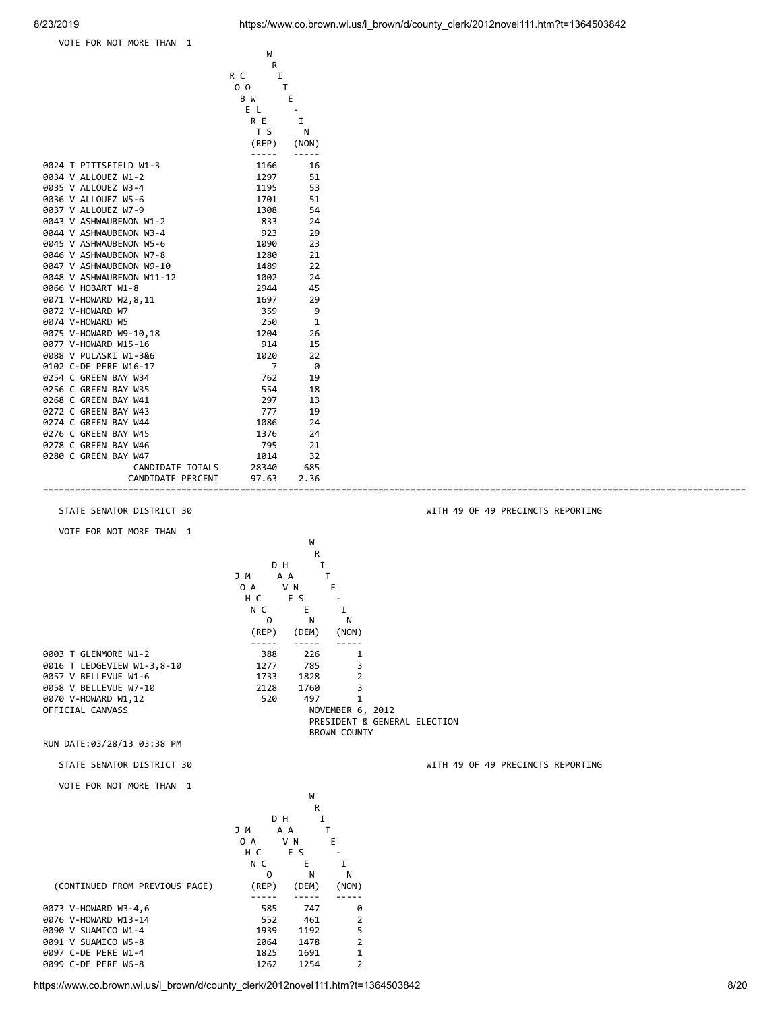|                           | W                   |             |
|---------------------------|---------------------|-------------|
|                           | R                   |             |
|                           | I<br>R C            |             |
|                           | 0 <sub>0</sub><br>T |             |
|                           | B W                 | Е           |
|                           | E L                 |             |
|                           | R E                 | I           |
|                           | T S                 | N           |
|                           | (REP)               | (NON)       |
|                           | -----               |             |
| 0024 T PITTSFIELD W1-3    | 1166                | 16          |
| 0034 V ALLOUEZ W1-2       | 1297                | 51          |
| 0035 V ALLOUEZ W3-4       | 1195                | 53          |
| 0036 V ALLOUEZ W5-6       | 1701                | 51          |
| 0037 V ALLOUEZ W7-9       | 1308                | 54          |
| 0043 V ASHWAUBENON W1-2   | 833                 | 24          |
| 0044 V ASHWAUBENON W3-4   | 923                 | 29          |
| 0045 V ASHWAUBENON W5-6   | 1090                | 23          |
| 0046 V ASHWAUBENON W7-8   | 1280                | 21          |
| 0047 V ASHWAUBENON W9-10  | 1489                | 22          |
| 0048 V ASHWAUBENON W11-12 | 1002                | 24          |
| 0066 V HOBART W1-8        | 2944                | 45          |
| 0071 V-HOWARD W2,8,11     | 1697                | 29          |
| 0072 V-HOWARD W7          | 359                 | 9           |
| 0074 V-HOWARD W5          | 250                 | $\mathbf 1$ |
| 0075 V-HOWARD W9-10,18    | 1204                | 26          |
| 0077 V-HOWARD W15-16      | 914                 | 15          |
| 0088 V PULASKI W1-3&6     | 1020                | 22          |
| 0102 C-DE PERE W16-17     | $\overline{7}$      | 0           |
| 0254 C GREEN BAY W34      | 762                 | 19          |
| 0256 C GREEN BAY W35      | 554                 | 18          |
| 0268 C GREEN BAY W41      | 297                 | 13          |
| 0272 C GREEN BAY W43      | 777                 | 19          |
| 0274 C GREEN BAY W44      | 1086                | 24          |
| 0276 C GREEN BAY W45      | 1376                | 24          |
| 0278 C GREEN BAY W46      | 795                 | 21          |
| 0280 C GREEN BAY W47      | 1014                | 32          |
| CANDIDATE TOTALS          | 28340               | 685         |
| CANDIDATE PERCENT         | 97.63               | 2.36        |
| ===========               |                     |             |

STATE SENATOR DISTRICT 30 WITH 49 OF 49 PRECINCTS REPORTING

VOTE FOR NOT MORE THAN 1

W<sub>1</sub>

**R** D H I J M A A T O A V N E H C E S - N C E I O N N (REP) (DEM) (NON) ----- ----- ----- 0003 T GLENMORE W1-2 388 226 1 0016 T LEDGEVIEW W1-3,8-10 1277 785 3 0057 V BELLEVUE W1-6 1733 1828 2 0070 V-HOWARD W1,12 520 497 1<br>OFFICIAL CANVASS 6 NOVEMBER 6, 2012 PRESIDENT & GENERAL ELECTION BROWN COUNTY

RUN DATE:03/28/13 03:38 PM

0058 V BELLEVUE W7-10

VOTE FOR NOT MORE THAN 1

|                                |       | W     |                |
|--------------------------------|-------|-------|----------------|
|                                |       | R     |                |
|                                |       | DН    | I              |
|                                | J M   | A A   |                |
|                                | 0 A   | V N   | Е              |
|                                | H C   | E S   |                |
|                                | N C   | E     | т              |
|                                | 0     | N     | N              |
| (CONTINUED FROM PREVIOUS PAGE) | (REP) | (DEM) | (NON)          |
|                                |       |       |                |
| 0073 V-HOWARD W3-4,6           | 585   | 747   | ø              |
| 0076 V-HOWARD W13-14           | 552   | 461   | $\overline{2}$ |
| 0090 V SUAMICO W1-4            | 1939  | 1192  | 5              |
| 0091 V SUAMICO W5-8            | 2064  | 1478  | $\mathfrak{p}$ |
| 0097 C-DE PERE W1-4            | 1825  | 1691  | $\mathbf{1}$   |
| 0099 C-DE PERE W6-8            | 1262  | 1254  | $\overline{2}$ |
|                                |       |       |                |

https://www.co.brown.wi.us/i\_brown/d/county\_clerk/2012novel111.htm?t=1364503842 8/20

STATE SENATOR DISTRICT 30 WITH 49 OF 49 PRECINCTS REPORTING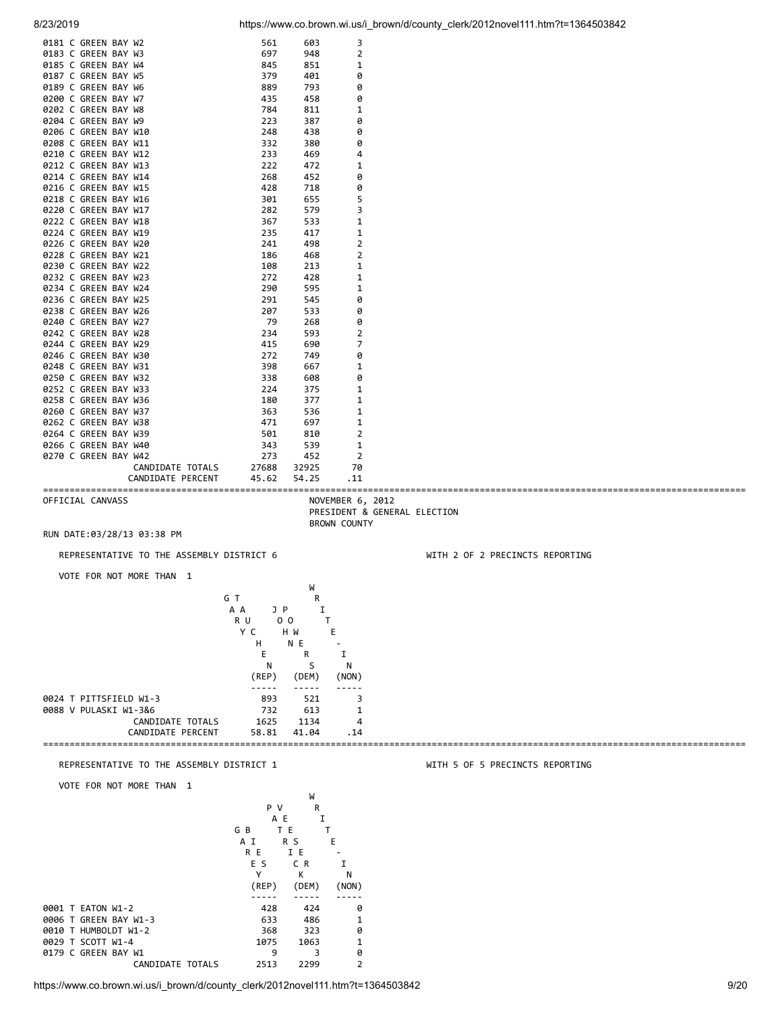| 0208 C GREEN BAY W11 |                   | 332   | 380   | 0              |
|----------------------|-------------------|-------|-------|----------------|
| 0210 C GREEN BAY W12 |                   | 233   | 469   | 4              |
| 0212 C GREEN BAY W13 |                   | 222   | 472   | 1              |
| 0214 C GREEN BAY W14 |                   | 268   | 452   | 0              |
| 0216 C GREEN BAY W15 |                   | 428   | 718   | 0              |
| 0218 C GREEN BAY W16 |                   | 301   | 655   | 5              |
| 0220 C GREEN BAY W17 |                   | 282   | 579   | 3              |
| 0222 C GREEN BAY W18 |                   | 367   | 533   | 1              |
| 0224 C GREEN BAY W19 |                   | 235   | 417   | 1              |
| 0226 C GREEN BAY W20 |                   | 241   | 498   | $\overline{2}$ |
| 0228 C GREEN BAY W21 |                   | 186   | 468   | $\overline{2}$ |
| 0230 C GREEN BAY W22 |                   | 108   | 213   | $\mathbf{1}$   |
| 0232 C GREEN BAY W23 |                   | 272   | 428   | 1              |
| 0234 C GREEN BAY W24 |                   | 290   | 595   | 1              |
| 0236 C GREEN BAY W25 |                   | 291   | 545   | 0              |
| 0238 C GREEN BAY W26 |                   | 207   | 533   | 0              |
| 0240 C GREEN BAY W27 |                   | 79    | 268   | 0              |
| 0242 C GREEN BAY W28 |                   | 234   | 593   | 2              |
| 0244 C GREEN BAY W29 |                   | 415   | 690   | $\overline{7}$ |
| 0246 C GREEN BAY W30 |                   | 272   | 749   | 0              |
| 0248 C GREEN BAY W31 |                   | 398   | 667   | 1              |
| 0250 C GREEN BAY W32 |                   | 338   | 608   | 0              |
| 0252 C GREEN BAY W33 |                   | 224   | 375   | 1              |
| 0258 C GREEN BAY W36 |                   | 180   | 377   | 1              |
| 0260 C GREEN BAY W37 |                   | 363   | 536   | 1              |
| 0262 C GREEN BAY W38 |                   | 471   | 697   | 1              |
| 0264 C GREEN BAY W39 |                   | 501   | 810   | $\overline{2}$ |
| 0266 C GREEN BAY W40 |                   | 343   | 539   | 1              |
| 0270 C GREEN BAY W42 |                   | 273   | 452   | $\overline{2}$ |
|                      | CANDIDATE TOTALS  | 27688 | 32925 | 70             |
|                      | CANDIDATE PERCENT | 45.62 | 54.25 | .11            |

0181 C GREEN BAY W2 561 603 3<br>0183 C GREEN BAY W3 697 948 2 0183 C GREEN BAY W3 697 948<br>0185 C GREEN BAY W4 845 851 0185 C GREEN BAY W4 845 851 1<br>0187 C GREEN BAY W5 379 401 0 0187 C GREEN BAY W5 379 401 0 0189 C GREEN BAY W6 889 793 0<br>0200 C GREEN BAY W7 435 458 0 0200 C GREEN BAY W7 435 458<br>0202 C GREEN BAY W8 784 811 0202 C GREEN BAY W8 784 811 1<br>0204 C GREEN BAY W9 223 387 0 0204 C GREEN BAY W9 223 387 0 0206 C GREEN BAY W10<br>
0208 C GREEN BAY W11 2332 380

==================================================================================================================================== OFFICIAL CANVASS NOVEMBER 6, 2012 PRESIDENT & GENERAL ELECTION

BROWN COUNTY

RUN DATE:03/28/13 03:38 PM

REPRESENTATIVE TO THE ASSEMBLY DISTRICT 6 WITH 2 OF 2 PRECINCTS REPORTING

VOTE FOR NOT MORE THAN 1

W<sub>1</sub> G T R A A J P I R U 00 T Y C H W E H N E - E R I N S N (REP) (DEM) (NON) ----- ----- ----- 0024 T PITTSFIELD W1-3 893 521 3 0088 V PULASKI W1-3&6 732 613 1 CANDIDATE TOTALS CANDIDATE PERCENT 58.81 41.04 .14 ====================================================================================================================================

### REPRESENTATIVE TO THE ASSEMBLY DISTRICT 1 WITH 5 OF 5 PRECINCTS REPORTING

VOTE FOR NOT MORE THAN 1

|                             |       | W     |                |
|-----------------------------|-------|-------|----------------|
|                             | P V   | R     |                |
|                             | A E   | I     |                |
|                             | G B   | ТE    |                |
|                             | ΑI    | R S   | Е              |
|                             | R E   | I E   |                |
|                             | E S   | C R   | I              |
|                             | Υ     | К     | N              |
|                             | (REP) | (DEM) | (NON)          |
|                             |       |       |                |
| 0001 T EATON W1-2           | 428   | 424   | 0              |
| 0006 T GREEN BAY W1-3       | 633   | 486   | 1              |
| HUMBOLDT W1-2<br>0010<br>т. | 368   | 323   | 0              |
| 0029 T SCOTT W1-4           | 1075  | 1063  | 1              |
| 0179 C GREEN BAY W1         | 9     | 3     | ø              |
| CANDIDATE TOTALS            | 2513  | 2299  | $\overline{2}$ |
|                             |       |       |                |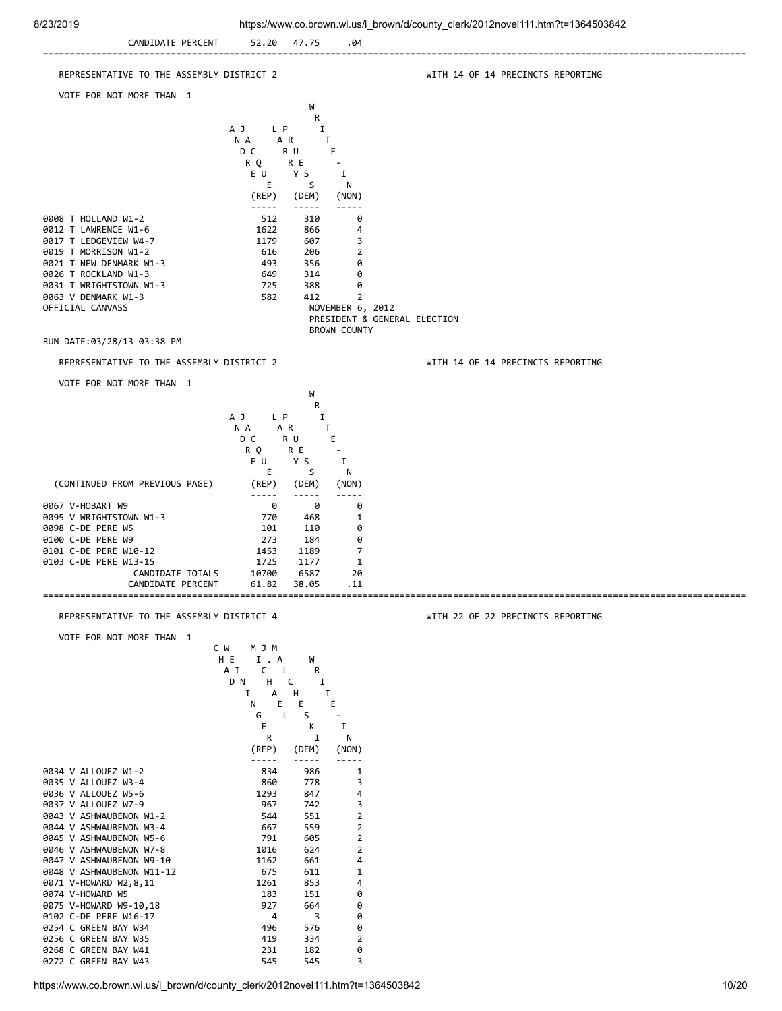| 912312019<br>CANDIDATE PERCENT                                                                                                                                                                                                                                                                                                                                                            | 52.20<br>47.75                                                                                                                                                                                                                                                                                                                                                                                                                                                                                                                                                                                                                                                                                                                                                              | .04                                                                                                                                                                                                                                                                                         | Trups://www.co.prown.wi.us/i_brown/d/county_clerk/2012hove(111.htm /t=1364503842 |
|-------------------------------------------------------------------------------------------------------------------------------------------------------------------------------------------------------------------------------------------------------------------------------------------------------------------------------------------------------------------------------------------|-----------------------------------------------------------------------------------------------------------------------------------------------------------------------------------------------------------------------------------------------------------------------------------------------------------------------------------------------------------------------------------------------------------------------------------------------------------------------------------------------------------------------------------------------------------------------------------------------------------------------------------------------------------------------------------------------------------------------------------------------------------------------------|---------------------------------------------------------------------------------------------------------------------------------------------------------------------------------------------------------------------------------------------------------------------------------------------|----------------------------------------------------------------------------------|
| ==============<br>REPRESENTATIVE TO THE ASSEMBLY DISTRICT 2                                                                                                                                                                                                                                                                                                                               |                                                                                                                                                                                                                                                                                                                                                                                                                                                                                                                                                                                                                                                                                                                                                                             |                                                                                                                                                                                                                                                                                             | WITH 14 OF 14 PRECINCTS REPORTING                                                |
| VOTE FOR NOT MORE THAN 1                                                                                                                                                                                                                                                                                                                                                                  |                                                                                                                                                                                                                                                                                                                                                                                                                                                                                                                                                                                                                                                                                                                                                                             |                                                                                                                                                                                                                                                                                             |                                                                                  |
|                                                                                                                                                                                                                                                                                                                                                                                           | W<br>R<br>A J<br>L P<br>N A<br>A R<br>D C<br>R U<br>R Q<br>R E<br>EU.<br>Y S<br>E<br>S                                                                                                                                                                                                                                                                                                                                                                                                                                                                                                                                                                                                                                                                                      | I<br>T<br>E.<br>Ι.<br>N                                                                                                                                                                                                                                                                     |                                                                                  |
| 0008 T HOLLAND W1-2<br>0012 T LAWRENCE W1-6<br>0017 T LEDGEVIEW W4-7<br>0019 T MORRISON W1-2<br>0021 T NEW DENMARK W1-3<br>0026 T ROCKLAND W1-3<br>0031 T WRIGHTSTOWN W1-3<br>0063 V DENMARK W1-3<br>OFFICIAL CANVASS<br>RUN DATE:03/28/13 03:38 PM                                                                                                                                       | (REP)<br>(DEM)<br>$- - - - -$<br>-----<br>512<br>310<br>1622<br>866<br>1179<br>607<br>616<br>206<br>493<br>356<br>649<br>314<br>388<br>725<br>582<br>412                                                                                                                                                                                                                                                                                                                                                                                                                                                                                                                                                                                                                    | (NON)<br>0<br>4<br>3<br>2<br>0<br>0<br>0<br>2<br>NOVEMBER 6, 2012<br><b>BROWN COUNTY</b>                                                                                                                                                                                                    | PRESIDENT & GENERAL ELECTION                                                     |
| REPRESENTATIVE TO THE ASSEMBLY DISTRICT 2                                                                                                                                                                                                                                                                                                                                                 |                                                                                                                                                                                                                                                                                                                                                                                                                                                                                                                                                                                                                                                                                                                                                                             |                                                                                                                                                                                                                                                                                             | WITH 14 OF 14 PRECINCTS REPORTING                                                |
| VOTE FOR NOT MORE THAN 1                                                                                                                                                                                                                                                                                                                                                                  |                                                                                                                                                                                                                                                                                                                                                                                                                                                                                                                                                                                                                                                                                                                                                                             |                                                                                                                                                                                                                                                                                             |                                                                                  |
| (CONTINUED FROM PREVIOUS PAGE)<br>0067 V-HOBART W9<br>0095 V WRIGHTSTOWN W1-3<br>0098 C-DE PERE W5<br>0100 C-DE PERE W9<br>0101 C-DE PERE W10-12<br>0103 C-DE PERE W13-15<br>CANDIDATE TOTALS<br>CANDIDATE PERCENT                                                                                                                                                                        | N A<br>A R<br>D C<br>R U<br>R E<br>R Q<br>EU.<br>Y S<br>Е<br>S<br>(REP)<br>(DEM)<br>-----<br>0<br>0<br>770<br>468<br>101<br>110<br>273<br>184<br>1453<br>1189<br>1725<br>1177<br>10700<br>6587<br>61.82<br>38.05                                                                                                                                                                                                                                                                                                                                                                                                                                                                                                                                                            | $\mathsf T$<br>Е.<br>$\overline{\phantom{a}}$<br>Ι.<br>N<br>(NON)<br>.<br>0<br>1<br>0<br>0<br>7<br>$\mathbf{1}$<br>20<br>.11                                                                                                                                                                |                                                                                  |
| REPRESENTATIVE TO THE ASSEMBLY DISTRICT 4                                                                                                                                                                                                                                                                                                                                                 |                                                                                                                                                                                                                                                                                                                                                                                                                                                                                                                                                                                                                                                                                                                                                                             |                                                                                                                                                                                                                                                                                             | WITH 22 OF 22 PRECINCTS REPORTING                                                |
| VOTE FOR NOT MORE THAN 1<br>0034 V ALLOUEZ W1-2<br>0035 V ALLOUEZ W3-4<br>0036 V ALLOUEZ W5-6<br>0037 V ALLOUEZ W7-9<br>0043 V ASHWAUBENON W1-2<br>0044 V ASHWAUBENON W3-4<br>0045 V ASHWAUBENON W5-6<br>0046 V ASHWAUBENON W7-8<br>0047 V ASHWAUBENON W9-10<br>0048 V ASHWAUBENON W11-12<br>0071 V-HOWARD W2,8,11<br>0074 V-HOWARD W5<br>0075 V-HOWARD W9-10,18<br>0102 C-DE PERE W16-17 | C M<br>M J M<br>H E<br>I . A<br>W<br>A I<br>C<br>- L<br>R<br>H.<br>D N<br>C<br>H<br>1<br>А<br>E<br>E<br>N<br>G<br>L<br>S<br>Ε<br>К<br>R<br>I<br>(REP)<br>(DEM)<br>$\frac{1}{2} \frac{1}{2} \frac{1}{2} \frac{1}{2} \frac{1}{2} \frac{1}{2} \frac{1}{2} \frac{1}{2} \frac{1}{2} \frac{1}{2} \frac{1}{2} \frac{1}{2} \frac{1}{2} \frac{1}{2} \frac{1}{2} \frac{1}{2} \frac{1}{2} \frac{1}{2} \frac{1}{2} \frac{1}{2} \frac{1}{2} \frac{1}{2} \frac{1}{2} \frac{1}{2} \frac{1}{2} \frac{1}{2} \frac{1}{2} \frac{1}{2} \frac{1}{2} \frac{1}{2} \frac{1}{2} \frac{$<br>-----<br>834<br>986<br>860<br>778<br>1293<br>847<br>967<br>742<br>551<br>544<br>559<br>667<br>791<br>605<br>1016<br>624<br>661<br>1162<br>675<br>611<br>1261<br>853<br>183<br>151<br>927<br>664<br>3<br>4 | I<br>T<br>E.<br>$\blacksquare$<br>Ι.<br>N<br>(NON)<br>$\frac{1}{2} \frac{1}{2} \frac{1}{2} \frac{1}{2} \frac{1}{2} \frac{1}{2} \frac{1}{2} \frac{1}{2} \frac{1}{2}$<br>1<br>3<br>4<br>3<br>$\overline{2}$<br>$\mathbf{2}$<br>$\overline{2}$<br>$\overline{2}$<br>4<br>1<br>4<br>0<br>0<br>0 |                                                                                  |

0254 C GREEN BAY W34 **496** 576 0 0256 C GREEN BAY W35 419 334 2<br>
0268 C GREEN BAY W41 231 182 0<br>
0272 C GREEN BAY W43 545 545 3 0268 C GREEN BAY W41 231 182 0 0272 C GREEN BAY W43 545 545 545 3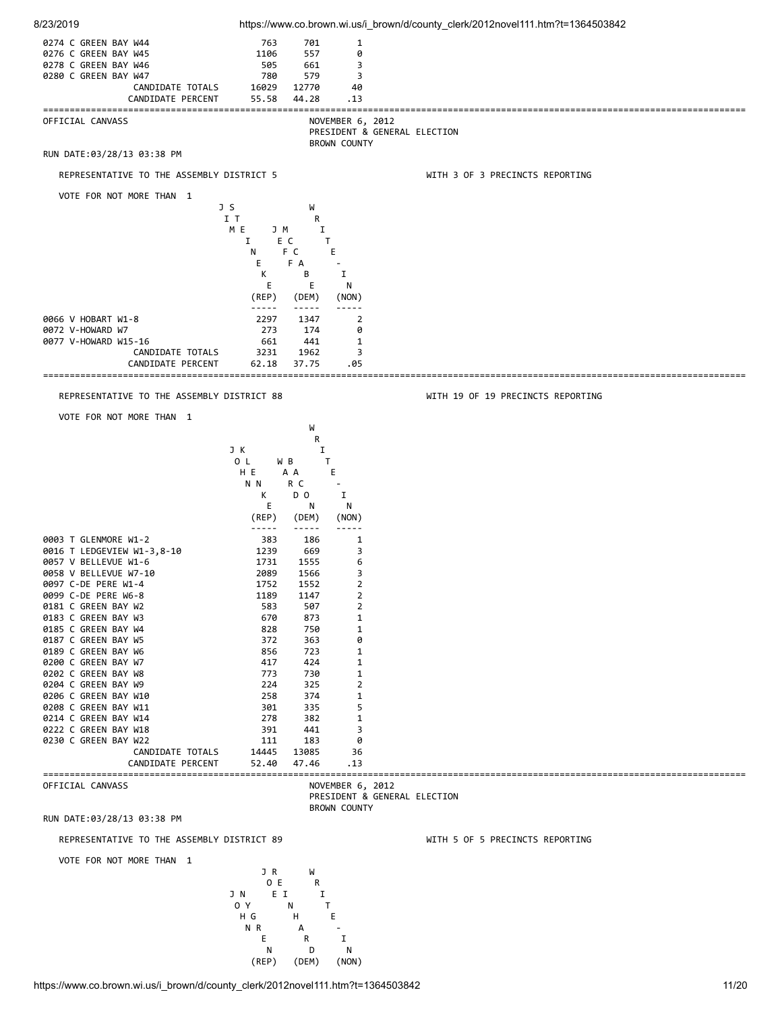

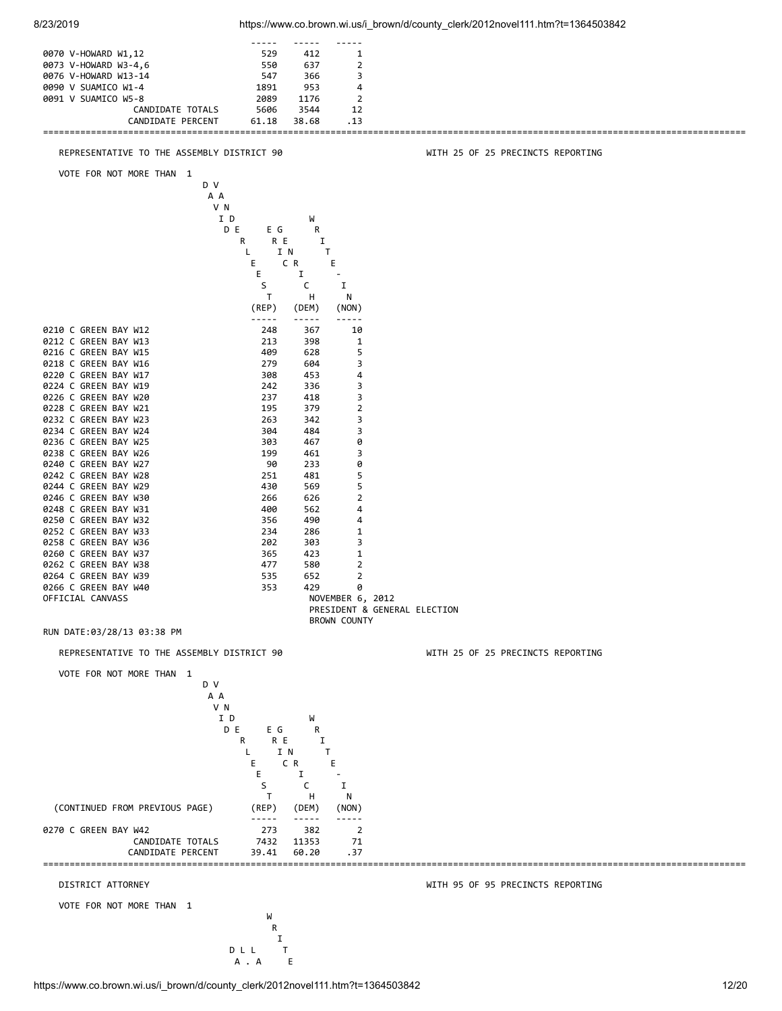| 0073 V-HOWARD W3-4,6<br>0076 V-HOWARD W13-14 | 550<br>547           | 637<br>366      | $\overline{2}$<br>3                                 |                                   |
|----------------------------------------------|----------------------|-----------------|-----------------------------------------------------|-----------------------------------|
| 0090 V SUAMICO W1-4                          | 1891                 | 953             | 4                                                   |                                   |
| 0091 V SUAMICO W5-8<br>CANDIDATE TOTALS      | 2089<br>5606         | 1176<br>3544    | $\overline{2}$<br>12                                |                                   |
| CANDIDATE PERCENT                            | 61.18                | 38.68           | .13                                                 |                                   |
| REPRESENTATIVE TO THE ASSEMBLY DISTRICT 90   |                      |                 |                                                     | WITH 25 OF 25 PRECINCTS REPORTING |
| VOTE FOR NOT MORE THAN 1                     |                      |                 |                                                     |                                   |
|                                              | D V<br>A A           |                 |                                                     |                                   |
|                                              | V N                  |                 |                                                     |                                   |
|                                              | I D<br>D E<br>E G    | W<br>R          |                                                     |                                   |
|                                              | R<br>R E             | Ι.              |                                                     |                                   |
|                                              | L<br>Е               | I N<br>Τ<br>C R | Ε                                                   |                                   |
|                                              | E.<br>S              | I<br>C          | $\overline{\phantom{a}}$<br>Ι.                      |                                   |
|                                              | Τ                    | н               | N                                                   |                                   |
|                                              | (REP)<br>-----       | (DEM)<br>-----  | (NON)<br>-----                                      |                                   |
| 0210 C GREEN BAY W12                         | 248                  | 367             | 10                                                  |                                   |
| 0212 C GREEN BAY W13<br>0216 C GREEN BAY W15 | 213<br>409           | 398<br>628      | 1<br>5                                              |                                   |
| 0218 C GREEN BAY W16                         | 279                  | 604             | 3                                                   |                                   |
| 0220 C GREEN BAY W17<br>0224 C GREEN BAY W19 | 308<br>242           | 453<br>336      | 4<br>3                                              |                                   |
| 0226 C GREEN BAY W20<br>0228 C GREEN BAY W21 | 237<br>195           | 418<br>379      | 3<br>$\overline{2}$                                 |                                   |
| 0232 C GREEN BAY W23                         | 263                  | 342             | 3                                                   |                                   |
| 0234 C GREEN BAY W24<br>0236 C GREEN BAY W25 | 304<br>303           | 484<br>467      | 3<br>0                                              |                                   |
| 0238 C GREEN BAY W26                         | 199                  | 461             | 3                                                   |                                   |
| 0240 C GREEN BAY W27<br>0242 C GREEN BAY W28 | 90<br>251            | 233<br>481      | 0<br>5                                              |                                   |
| 0244 C GREEN BAY W29                         | 430                  | 569             | 5                                                   |                                   |
| 0246 C GREEN BAY W30<br>0248 C GREEN BAY W31 | 266<br>400           | 626<br>562      | 2<br>4                                              |                                   |
| 0250 C GREEN BAY W32<br>0252 C GREEN BAY W33 | 356<br>234           | 490<br>286      | 4<br>1                                              |                                   |
| 0258 C GREEN BAY W36                         | 202                  | 303             | 3                                                   |                                   |
| 0260 C GREEN BAY W37<br>0262 C GREEN BAY W38 | 365<br>477           | 423<br>580      | 1<br>2                                              |                                   |
| 0264 C GREEN BAY W39                         | 535                  | 652             | 2                                                   |                                   |
| 0266 C GREEN BAY W40<br>OFFICIAL CANVASS     | 353                  | 429             | 0<br>NOVEMBER 6, 2012                               |                                   |
|                                              |                      |                 | PRESIDENT & GENERAL ELECTION<br><b>BROWN COUNTY</b> |                                   |
| RUN DATE:03/28/13 03:38 PM                   |                      |                 |                                                     |                                   |
| REPRESENTATIVE TO THE ASSEMBLY DISTRICT 90   |                      |                 |                                                     | WITH 25 OF 25 PRECINCTS REPORTING |
| VOTE FOR NOT MORE THAN 1                     |                      |                 |                                                     |                                   |
|                                              | D V<br>A A           |                 |                                                     |                                   |
|                                              | V N                  |                 |                                                     |                                   |
|                                              | I D<br>D E<br>E G    | W<br>R          |                                                     |                                   |
|                                              | R E<br>R             | Ι.              |                                                     |                                   |
|                                              | L<br>Е               | I N<br>C R      | Τ<br>Е                                              |                                   |
|                                              | Е<br>S               | Ι.<br>C         | Ι.                                                  |                                   |
|                                              | T                    | H               | N                                                   |                                   |
| (CONTINUED FROM PREVIOUS PAGE)               | (REP)<br>$- - - - -$ | (DEM)           | (NON)<br>-----                                      |                                   |
| 0270 C GREEN BAY W42                         | 273                  | 382             | $\overline{2}$                                      |                                   |
| CANDIDATE TOTALS<br>CANDIDATE PERCENT        | 7432<br>39.41        | 11353<br>60.20  | 71<br>.37                                           |                                   |
|                                              |                      |                 |                                                     |                                   |
| DISTRICT ATTORNEY                            |                      |                 |                                                     | WITH 95 OF 95 PRECINCTS REPORTING |
| VOTE FOR NOT MORE THAN 1                     | W                    |                 |                                                     |                                   |
|                                              | R                    |                 |                                                     |                                   |

 ----- ----- ----- 0070 V-HOWARD W1,12 529 412 1

 I D L L T A . A E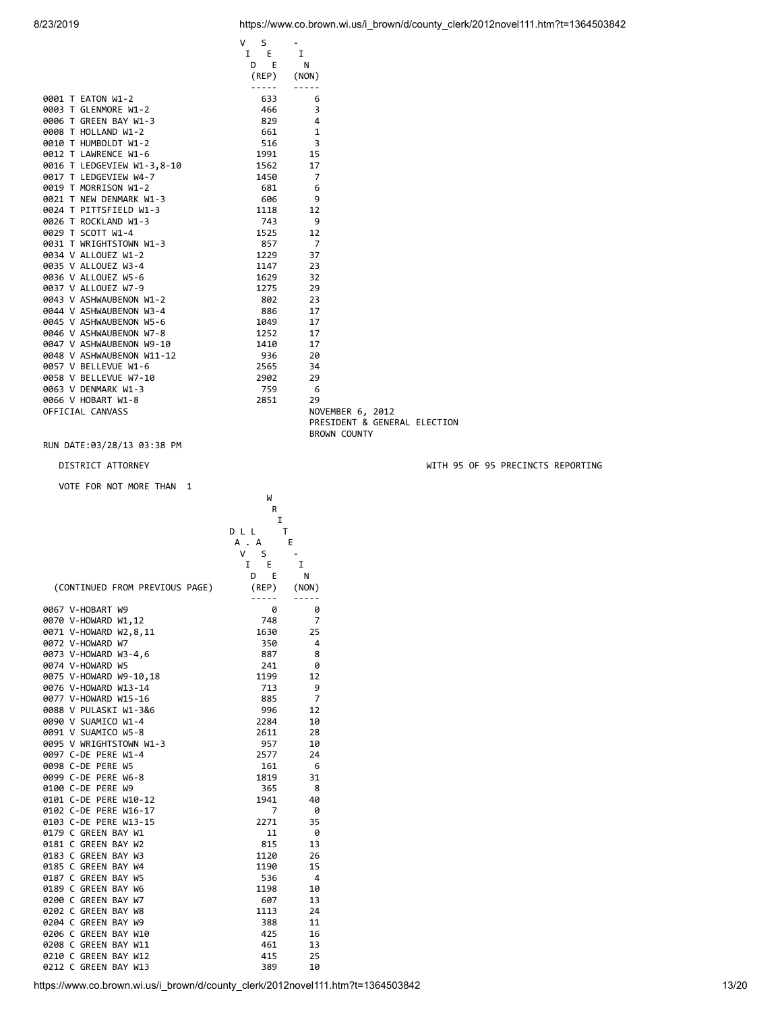|                            | S<br>V. |                |                              |  |
|----------------------------|---------|----------------|------------------------------|--|
|                            | I E     | I              |                              |  |
|                            | E<br>D  | N              |                              |  |
|                            | (REP)   | (NON)          |                              |  |
|                            | -----   |                |                              |  |
| 0001 T EATON W1-2          | 633     | 6              |                              |  |
| 0003 T GLENMORE W1-2       | 466     | 3              |                              |  |
| 0006 T GREEN BAY W1-3      | 829     | 4              |                              |  |
| 0008 T HOLLAND W1-2        | 661     | $\mathbf{1}$   |                              |  |
| 0010 T HUMBOLDT W1-2       | 516     | 3              |                              |  |
| 0012 T LAWRENCE W1-6       | 1991    | 15             |                              |  |
| 0016 T LEDGEVIEW W1-3,8-10 | 1562    | 17             |                              |  |
| 0017 T LEDGEVIEW W4-7      | 1450    | $\overline{7}$ |                              |  |
| 0019 T MORRISON W1-2       | 681     | 6              |                              |  |
| 0021 T NEW DENMARK W1-3    | 606     | 9              |                              |  |
| 0024 T PITTSFIELD W1-3     | 1118    | 12             |                              |  |
| 0026 T ROCKLAND W1-3       | 743     | 9              |                              |  |
| 0029 T SCOTT W1-4          | 1525    | 12             |                              |  |
| 0031 T WRIGHTSTOWN W1-3    | 857     | $\overline{7}$ |                              |  |
| 0034 V ALLOUEZ W1-2        | 1229    | 37             |                              |  |
| 0035 V ALLOUEZ W3-4        | 1147    | 23             |                              |  |
| 0036 V ALLOUEZ W5-6        | 1629    | 32             |                              |  |
| 0037 V ALLOUEZ W7-9        | 1275    | 29             |                              |  |
| 0043 V ASHWAUBENON W1-2    | 802     | 23             |                              |  |
| 0044 V ASHWAUBENON W3-4    | 886     | 17             |                              |  |
| 0045 V ASHWAUBENON W5-6    | 1049    | 17             |                              |  |
| 0046 V ASHWAUBENON W7-8    | 1252    | 17             |                              |  |
| 0047 V ASHWAUBENON W9-10   | 1410    | 17             |                              |  |
| 0048 V ASHWAUBENON W11-12  | 936     | 20             |                              |  |
| 0057 V BELLEVUE W1-6       | 2565    | 34             |                              |  |
| 0058 V BELLEVUE W7-10      | 2902    | 29             |                              |  |
| 0063 V DENMARK W1-3        | 759     | - 6            |                              |  |
| 0066 V HOBART W1-8         | 2851    | 29             |                              |  |
| OFFICIAL CANVASS           |         |                | NOVEMBER 6, 2012             |  |
|                            |         |                | PRESIDENT & GENERAL ELECTION |  |
|                            |         |                | <b>BROWN COUNTY</b>          |  |
|                            |         |                |                              |  |

VOTE FOR NOT MORE THAN 1

W<sub>1</sub>

|                                | R        |       |
|--------------------------------|----------|-------|
|                                | I        |       |
|                                | DLL      | т     |
|                                | A.A      | Е     |
|                                | V I<br>S |       |
|                                | E<br>1   | I     |
|                                | D<br>E   | Ν     |
| (CONTINUED FROM PREVIOUS PAGE) | (REP)    | (NON) |
| 0067 V-HOBART W9               | 0        | 0     |
| 0070 V-HOWARD W1,12            | 748      | 7     |
| 0071 V-HOWARD W2,8,11          | 1630     | 25    |
| 0072 V-HOWARD W7               | 350      | 4     |
| 0073 V-HOWARD W3-4,6           | 887      | 8     |
| 0074 V-HOWARD W5               | 241      | 0     |
| 0075 V-HOWARD W9-10,18         | 1199     | 12    |
| 0076 V-HOWARD W13-14           | 713      | 9     |
| 0077 V-HOWARD W15-16           | 885      | 7     |
| 0088 V PULASKI W1-3&6          | 996      | 12    |
| 0090 V SUAMICO W1-4            | 2284     | 10    |
| 0091 V SUAMICO W5-8            | 2611     | 28    |
| 0095 V WRIGHTSTOWN W1-3        | 957      | 10    |
| 0097 C-DE PERE W1-4            | 2577     | 24    |
| 0098 C-DE PERE W5              | 161      | 6     |
| 0099 C-DE PERE W6-8            | 1819     | 31    |
| 0100 C-DE PERE W9              | 365      | 8     |
| 0101 C-DE PERE W10-12          | 1941     | 40    |
| 0102 C-DE PERE W16-17          | 7        | 0     |
| 0103 C-DE PERE W13-15          | 2271     | 35    |
| 0179 C GREEN BAY W1            | 11       | 0     |
| 0181 C GREEN BAY W2            | 815      | 13    |
| 0183 C GREEN BAY W3            | 1120     | 26    |
| 0185 C GREEN BAY W4            | 1190     | 15    |
| 0187 C GREEN BAY W5            | 536      | 4     |
| 0189 C GREEN BAY W6            | 1198     | 10    |
| 0200 C GREEN BAY W7            | 607      | 13    |
| 0202 C GREEN BAY W8            | 1113     | 24    |
| 0204 C GREEN BAY W9            | 388      | 11    |
| 0206 C GREEN BAY W10           | 425      | 16    |
| 0208 C GREEN BAY W11           | 461      | 13    |
| 0210 C GREEN BAY W12           | 415      | 25    |
| 0212 C GREEN BAY W13           | 389      | 10    |

DISTRICT ATTORNEY WITH 95 OF 95 PRECINCTS REPORTING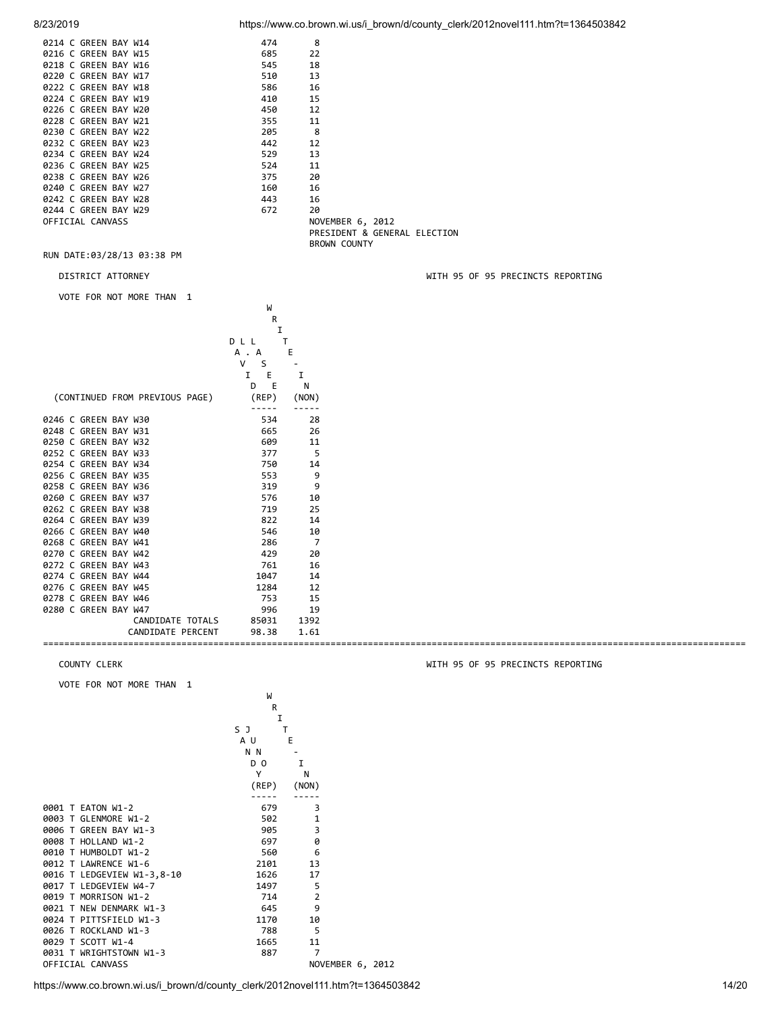8/23/2019 https://www.co.brown.wi.us/i\_brown/d/county\_clerk/2012novel111.htm?t=1364503842

| 0214 C GREEN BAY W14 | 474 | 8                            |
|----------------------|-----|------------------------------|
| 0216 C GREEN BAY W15 | 685 | 22                           |
| 0218 C GREEN BAY W16 | 545 | 18                           |
| 0220 C GREEN BAY W17 | 510 | 13                           |
| 0222 C GREEN BAY W18 | 586 | 16                           |
| 0224 C GREEN BAY W19 | 410 | 15                           |
| 0226 C GREEN BAY W20 | 450 | 12                           |
| 0228 C GREEN BAY W21 | 355 | 11                           |
| 0230 C GREEN BAY W22 | 205 | - 8                          |
| 0232 C GREEN BAY W23 | 442 | 12                           |
| 0234 C GREEN BAY W24 | 529 | 13                           |
| 0236 C GREEN BAY W25 | 524 | 11                           |
| 0238 C GREEN BAY W26 | 375 | 20                           |
| 0240 C GREEN BAY W27 | 160 | 16                           |
| 0242 C GREEN BAY W28 | 443 | 16                           |
| 0244 C GREEN BAY W29 | 672 | 20                           |
| OFFICIAL CANVASS     |     | NOVEMBER 6, 2012             |
|                      |     | PRESIDENT & GENERAL ELECTION |

BROWN COUNTY

RUN DATE:03/28/13 03:38 PM

VOTE FOR NOT MORE THAN 1

where the contract of the contract of the contract of the contract of the contract of the contract of the contract of the contract of the contract of the contract of the contract of the contract of the contract of the cont

|                      |                                | R      |       |
|----------------------|--------------------------------|--------|-------|
|                      |                                |        |       |
|                      |                                | DLL    |       |
|                      |                                | A . A  | Ε     |
|                      |                                | v<br>S |       |
|                      |                                | I<br>E | I     |
|                      |                                | D<br>E | N     |
|                      | (CONTINUED FROM PREVIOUS PAGE) | (REP)  | (NON) |
| 0246 C GREEN BAY W30 |                                | 534    | 28    |
| 0248 C GREEN BAY W31 |                                | 665    | 26    |
| 0250 C GREEN BAY W32 |                                | 609    | 11    |
| 0252 C GREEN BAY W33 |                                | 377    | 5     |
| 0254 C GREEN BAY W34 |                                | 750    | 14    |
| 0256 C GREEN BAY W35 |                                | 553    | 9     |
| 0258 C GREEN BAY W36 |                                | 319    | 9     |
| 0260 C GREEN BAY W37 |                                | 576    | 10    |
| 0262 C GREEN BAY W38 |                                | 719    | 25    |
| 0264 C GREEN BAY W39 |                                | 822    | 14    |
| 0266 C GREEN BAY W40 |                                | 546    | 10    |
| 0268 C GREEN BAY W41 |                                | 286    | 7     |
| 0270 C GREEN BAY W42 |                                | 429    | 20    |
| 0272 C GREEN BAY W43 |                                | 761    | 16    |
| 0274 C GREEN BAY W44 |                                | 1047   | 14    |
| 0276 C GREEN BAY W45 |                                | 1284   | 12    |
| 0278 C GREEN BAY W46 |                                | 753    | 15    |
| 0280 C GREEN BAY W47 |                                | 996    | 19    |
|                      | CANDIDATE TOTALS               | 85031  | 1392  |
|                      | CANDIDATE PERCENT              | 98.38  | 1.61  |
|                      |                                |        |       |

VOTE FOR NOT MORE THAN 1

W<sub>1</sub>

|                            | R              |                  |  |
|----------------------------|----------------|------------------|--|
|                            | I              |                  |  |
|                            | S J            | т                |  |
|                            | A U            | E                |  |
|                            | N N            |                  |  |
|                            | D <sub>0</sub> | I                |  |
|                            | Υ              | N                |  |
|                            | (REP)          | (NON)            |  |
|                            |                |                  |  |
| 0001 T EATON W1-2          | 679            | 3                |  |
| 0003 T GLENMORE W1-2       | 502            | 1                |  |
| 0006 T GREEN BAY W1-3      | 905            | 3                |  |
| 0008 T HOLLAND W1-2        | 697            | 0                |  |
| 0010 T HUMBOLDT W1-2       | 560            | 6                |  |
| 0012 T LAWRENCE W1-6       | 2101           | 13               |  |
| 0016 T LEDGEVIEW W1-3,8-10 | 1626           | 17               |  |
| 0017 T LEDGEVIEW W4-7      | 1497           | 5                |  |
| 0019 T MORRISON W1-2       | 714            | $\overline{2}$   |  |
| 0021 T NEW DENMARK W1-3    | 645            | 9                |  |
| 0024 T PITTSFIELD W1-3     | 1170           | 10               |  |
| 0026 T ROCKLAND W1-3       | 788            | 5                |  |
| 0029 T SCOTT W1-4          | 1665           | 11               |  |
| 0031 T WRIGHTSTOWN W1-3    | 887            | 7                |  |
| OFFICIAL CANVASS           |                | NOVEMBER 6, 2012 |  |
|                            |                |                  |  |

DISTRICT ATTORNEY WITH 95 OF 95 PRECINCTS REPORTING

COUNTY CLERK WITH 95 OF 95 PRECINCTS REPORTING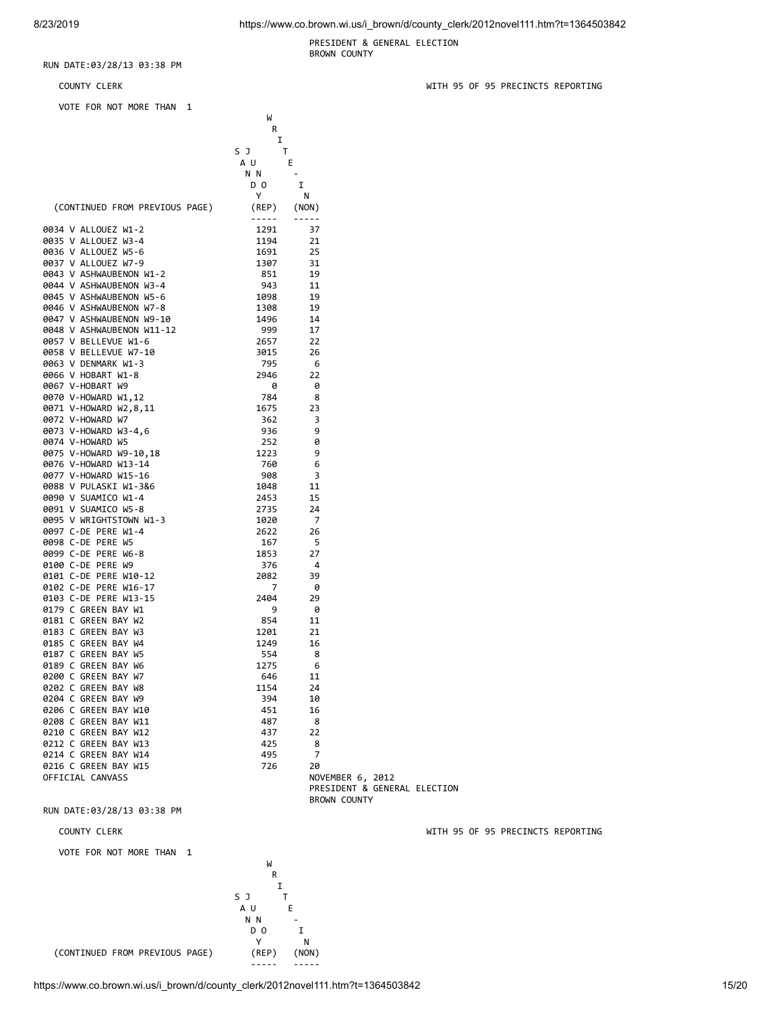PRESIDENT & GENERAL ELECTION BROWN COUNTY

### RUN DATE:03/28/13 03:38 PM

VOTE FOR NOT MORE THAN 1

where the contract of the contract of the contract of the contract of the contract of the contract of the contract of the contract of the contract of the contract of the contract of the contract of the contract of the cont **R R** 

|                                                                                                                                       | Ι              |                   |  |
|---------------------------------------------------------------------------------------------------------------------------------------|----------------|-------------------|--|
|                                                                                                                                       | S J<br>Т       |                   |  |
|                                                                                                                                       | A U            | Ε                 |  |
|                                                                                                                                       | N N            |                   |  |
|                                                                                                                                       | D <sub>0</sub> | I                 |  |
|                                                                                                                                       | Υ              | N                 |  |
| (CONTINUED FROM PREVIOUS PAGE)                                                                                                        | (REP)          | (NON)             |  |
|                                                                                                                                       | -----          | $- - - - - -$     |  |
| 0034 V ALLOUEZ W1-2                                                                                                                   | 1291           | 37                |  |
| 0035 V ALLOUEZ W3-4                                                                                                                   | 1194           | 21                |  |
| 0036 V ALLOUEZ W5-6                                                                                                                   | 1691           | 25                |  |
| 0037 V ALLOUEZ W7-9                                                                                                                   | 1307           | 31                |  |
| 0043 V ASHWAUBENON W1-2                                                                                                               | 851            | 19                |  |
| 0044 V ASHWAUBENON W3-4                                                                                                               | 943            | -11               |  |
| 0044 V ASHWAUBENON W3-4<br>0045 V ASHWAUBENON W5-6<br>0046 V ASHWAUBENON W7-8<br>0047 V ASHWAUBENON W9-10<br>0048 V ASHWAUBENON W1-12 | 1098           | 19                |  |
|                                                                                                                                       | 1308           | 19                |  |
|                                                                                                                                       | 1496           | 14                |  |
|                                                                                                                                       | 999            | 17                |  |
| 0057 V BELLEVUE W1-6                                                                                                                  | 2657           | 22                |  |
| 0058 V BELLEVUE W7-10                                                                                                                 | 3015           | 26                |  |
| 0063 V DENMARK W1-3                                                                                                                   | 795            | -6                |  |
| 0066 V HOBART W1-8                                                                                                                    | 2946           | 22                |  |
| 0067 V-HOBART W9                                                                                                                      | 0              | 0                 |  |
| 0070 V-HOWARD W1,12                                                                                                                   | 784            | 8                 |  |
| 0071 V-HOWARD W2,8,11                                                                                                                 | 1675           | 23                |  |
| 0072 V-HOWARD W7                                                                                                                      | 362            | 3                 |  |
| 0073 V-HOWARD W3-4,6                                                                                                                  | 936            | 9                 |  |
| 0074 V-HOWARD W5                                                                                                                      | 252            | 0                 |  |
| 0075 V-HOWARD W9-10,18                                                                                                                | 1223           | 9                 |  |
| 0076 V-HOWARD W13-14                                                                                                                  | 760            | 6                 |  |
| 0077 V-HOWARD W15-16                                                                                                                  | 908            | 3                 |  |
| 0088 V PULASKI W1-3&6                                                                                                                 |                |                   |  |
| 0090 V SUAMICO W1-4                                                                                                                   | 1048<br>2453   | 11<br>15          |  |
|                                                                                                                                       | 2735           | 24                |  |
|                                                                                                                                       |                |                   |  |
| <b>0091 V SUAMICO WS-0<br/>0095 V WRIGHTSTOWN W1-3<br/>- C DE PERF W1-4</b>                                                           | 1020           | -7                |  |
| 0098 C-DE PERE W5                                                                                                                     | 2622           | 26                |  |
|                                                                                                                                       | 167            | - 5               |  |
| 0099 C-DE PERE W6-8                                                                                                                   | 1853           | 27                |  |
| 0100 C-DE PERE W9                                                                                                                     | 376            | -4                |  |
| 0101 C-DE PERE W10-12                                                                                                                 | 2082           | 39                |  |
| 0102 C-DE PERE W16-17                                                                                                                 | 7              | 0                 |  |
| 0103 C-DE PERE W13-15                                                                                                                 | 2404           | 29                |  |
| 0179 C GREEN BAY W1                                                                                                                   | 9              | 0                 |  |
| 0181 C GREEN BAY W2                                                                                                                   | 854            | 11                |  |
| 0183 C GREEN BAY W3                                                                                                                   | 1201           | 21                |  |
| 0185 C GREEN BAY W4                                                                                                                   | 1249           | 16                |  |
| 0187 C GREEN BAY W5                                                                                                                   | 554            | 8                 |  |
| 0189 C GREEN BAY W6                                                                                                                   | 1275           | 6                 |  |
| 0200 C GREEN BAY W7                                                                                                                   | 646            | 11                |  |
| 0202 C GREEN BAY W8                                                                                                                   | 1154           | 24                |  |
| 0204 C GREEN BAY W9                                                                                                                   | 394            | 10                |  |
| 0206 C GREEN BAY W10                                                                                                                  | 451            | 16                |  |
| 0208 C GREEN BAY W11                                                                                                                  | 487            | 8                 |  |
| 0210 C GREEN BAY W12                                                                                                                  | 437            | 22                |  |
| 0212 C GREEN BAY W13                                                                                                                  | 425            | 8                 |  |
| 0214 C GREEN BAY W14                                                                                                                  | 495            | 7                 |  |
| 0216 C GREEN BAY W15                                                                                                                  | 726            | 20                |  |
| OFFICIAL CANVASS                                                                                                                      |                | NOVEMBER 6, 2012  |  |
|                                                                                                                                       |                | DDECTRENT & CENED |  |

 PRESIDENT & GENERAL ELECTION BROWN COUNTY

RUN DATE:03/28/13 03:38 PM

## COUNTY CLERK WITH 95 OF 95 PRECINCTS REPORTING

VOTE FOR NOT MORE THAN 1



(CONTINUED FROM PREVIOUS PAGE) (REP) (NON)

COUNTY CLERK WITH 95 OF 95 PRECINCTS REPORTING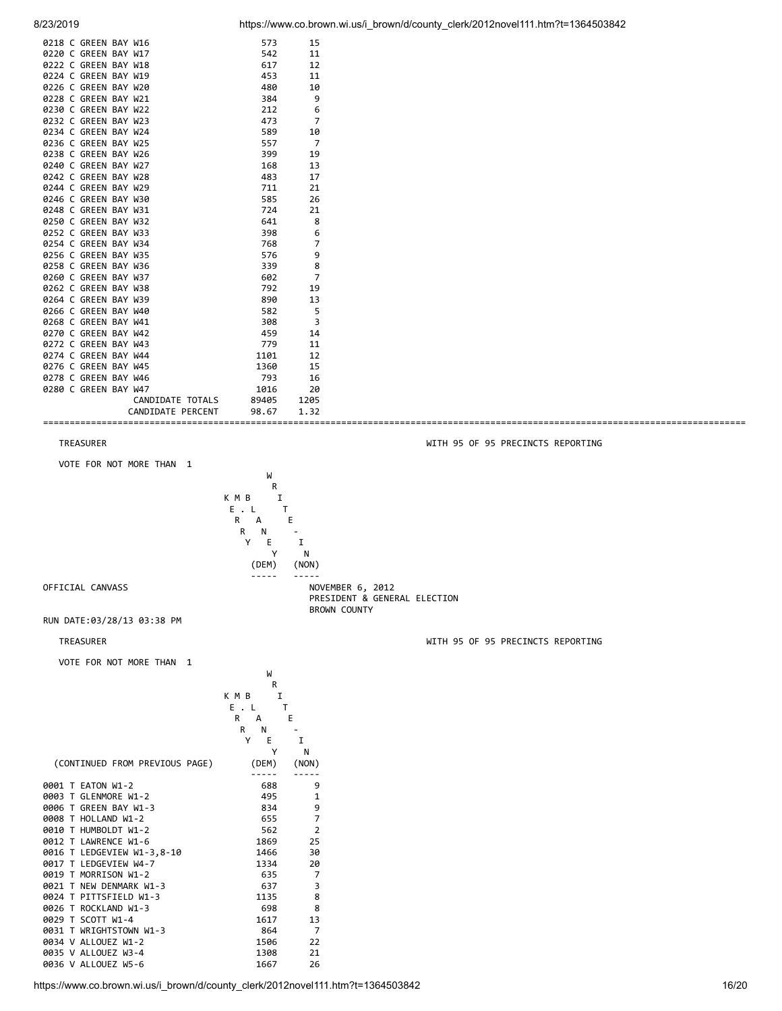| 0218 C GREEN BAY W16 | 573        | 15             |
|----------------------|------------|----------------|
| 0220 C GREEN BAY W17 | 542        | 11             |
| 0222 C GREEN BAY W18 | 617        | 12             |
| 0224 C GREEN BAY W19 | 453        | 11             |
| 0226 C GREEN BAY W20 | 480        | 10             |
| 0228 C GREEN BAY W21 | 384        | 9              |
| 0230 C GREEN BAY W22 | 212        | 6              |
| 0232 C GREEN BAY W23 | 473        | $\overline{7}$ |
| 0234 C GREEN BAY W24 | 589        | 10             |
| 0236 C GREEN BAY W25 | 557        | 7              |
| 0238 C GREEN BAY W26 | 399        | 19             |
| 0240 C GREEN BAY W27 | 168        | 13             |
| 0242 C GREEN BAY W28 | 483        | 17             |
| 0244 C GREEN BAY W29 | 711        | 21             |
| 0246 C GREEN BAY W30 | 585        | 26             |
| 0248 C GREEN BAY W31 | 724        | 21             |
| 0250 C GREEN BAY W32 | 641        | 8              |
| 0252 C GREEN BAY W33 | 398        | 6              |
| 0254 C GREEN BAY W34 | 768        | 7              |
| 0256 C GREEN BAY W35 | 576        | 9              |
| 0258 C GREEN BAY W36 | 339        | 8              |
| 0260 C GREEN BAY W37 | 602        | $\overline{7}$ |
| 0262 C GREEN BAY W38 | 792        | 19             |
| 0264 C GREEN BAY W39 | 890        | 13             |
| 0266 C GREEN BAY W40 | 582        | 5              |
| 0268 C GREEN BAY W41 |            | 3              |
| 0270 C GREEN BAY W42 | 308<br>459 | 14             |
|                      |            |                |
| 0272 C GREEN BAY W43 | 779        | 11             |
| 0274 C GREEN BAY W44 | 1101       | 12             |
| 0276 C GREEN BAY W45 | 1360       | 15             |
| 0278 C GREEN BAY W46 | 793        | 16             |
| 0280 C GREEN BAY W47 | 1016       | 20             |
| CANDIDATE TOTALS     | 89405      | 1205           |
| CANDIDATE PERCENT    | 98.67      | 1.32           |
|                      |            |                |

TREASURER WITH 95 OF 95 PRECINCTS REPORTING

VOTE FOR NOT MORE THAN 1

where the contract of the contract of the contract of the contract of the contract of the contract of the contract of the contract of the contract of the contract of the contract of the contract of the contract of the cont **R R** K M B I<br>E . L T  $E \cdot L \qquad T$ <br>R  $A \qquad F$  $R$  A<br> $R$  N **R** N - Y E I Y N (DEM) (NON) ----- -----

BROWN COUNTY

PRESIDENT & GENERAL ELECTION

OFFICIAL CANVASS **Note and SECULIAR SECURE 2012** 

RUN DATE:03/28/13 03:38 PM

TREASURER WITH 95 OF 95 PRECINCTS REPORTING

| VOTE FOR NOT MORE THAN 1       |            |                |
|--------------------------------|------------|----------------|
|                                | W          |                |
|                                | R          |                |
|                                | K M B<br>I |                |
|                                | E.L        | т              |
|                                | R<br>A     | Ε              |
|                                | R<br>N     |                |
|                                | Е<br>Υ     | I              |
|                                | Υ          | N              |
| (CONTINUED FROM PREVIOUS PAGE) | (DEM)      | (NON)          |
|                                |            |                |
| 0001 T EATON W1-2              | 688        | 9              |
| 0003 T GLENMORE W1-2           | 495        | 1              |
| 0006 T GREEN BAY W1-3          | 834        | 9              |
| 0008 T HOLLAND W1-2            | 655        | 7              |
| 0010 T HUMBOLDT W1-2           | 562        | $\overline{2}$ |
| 0012 T LAWRENCE W1-6           | 1869       | 25             |
| 0016 T LEDGEVIEW W1-3,8-10     | 1466       | 30             |
| 0017 T LEDGEVIEW W4-7          | 1334       | 20             |
| 0019 T MORRISON W1-2           | 635        | 7              |
| 0021 T NEW DENMARK W1-3        | 637        | 3              |
| 0024 T PITTSFIELD W1-3         | 1135       | 8              |
| 0026 T ROCKLAND W1-3           | 698        | 8              |
| 0029 T SCOTT W1-4              | 1617       | 13             |
| 0031 T WRIGHTSTOWN W1-3        | 864        | 7              |
| 0034 V ALLOUEZ W1-2            | 1506       | 22             |
| 0035 V ALLOUEZ W3-4            | 1308       | 21             |
| 0036 V ALLOUEZ W5-6            | 1667       | 26             |

https://www.co.brown.wi.us/i\_brown/d/county\_clerk/2012novel111.htm?t=1364503842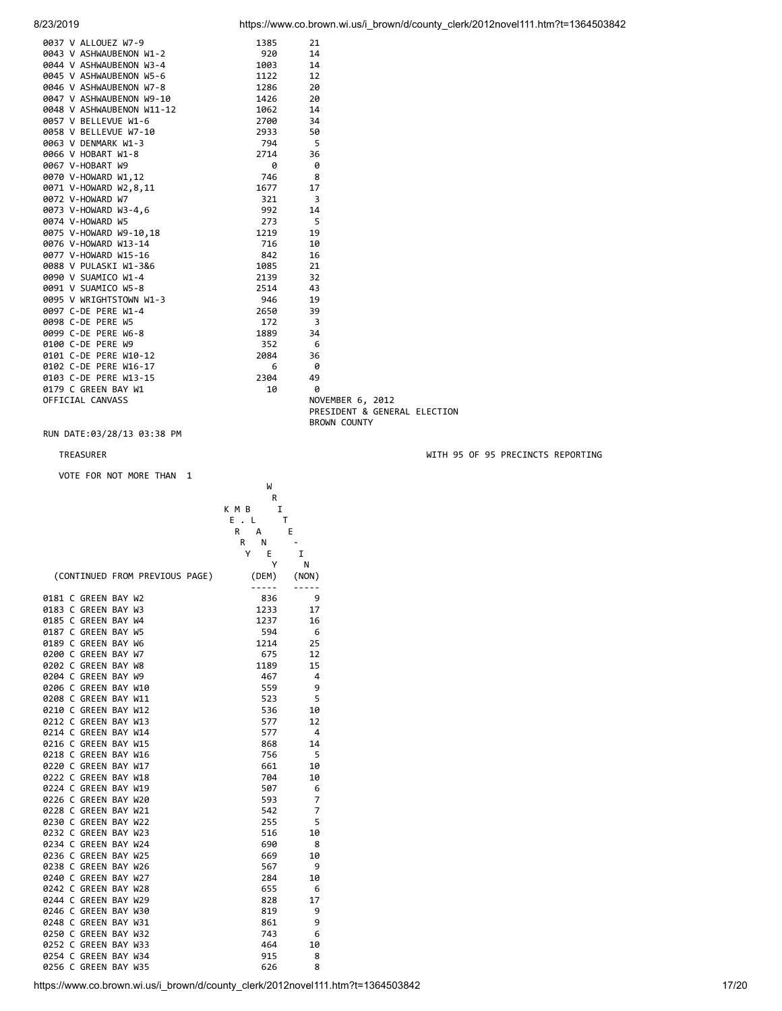| 0037 V ALLOUEZ W7-9       | 1385 | 21                           |
|---------------------------|------|------------------------------|
| 0043 V ASHWAUBENON W1-2   | 920  | 14                           |
| 0044 V ASHWAUBENON W3-4   | 1003 | 14                           |
| 0045 V ASHWAUBENON W5-6   | 1122 | 12                           |
| 0046 V ASHWAUBENON W7-8   | 1286 | 20                           |
| 0047 V ASHWAUBENON W9-10  | 1426 | 20                           |
| 0048 V ASHWAUBENON W11-12 | 1062 | 14                           |
| 0057 V BELLEVUE W1-6      | 2700 | 34                           |
| 0058 V BELLEVUE W7-10     | 2933 | 50                           |
| 0063 V DENMARK W1-3       | 794  | - 5                          |
| 0066 V HOBART W1-8        | 2714 | 36                           |
| 0067 V-HOBART W9          | 0    | 0                            |
| 0070 V-HOWARD W1,12       | 746  | - 8                          |
| 0071 V-HOWARD W2,8,11     | 1677 | 17                           |
| 0072 V-HOWARD W7          | 321  | $\overline{\phantom{a}}$     |
| 0073 V-HOWARD W3-4,6      | 992  | 14                           |
| 0074 V-HOWARD W5          | 273  | - 5                          |
| 0075 V-HOWARD W9-10,18    | 1219 | 19                           |
| 0076 V-HOWARD W13-14      | 716  | 10                           |
| 0077 V-HOWARD W15-16      | 842  | 16                           |
| 0088 V PULASKI W1-3&6     | 1085 | 21                           |
| 0090 V SUAMICO W1-4       | 2139 | 32                           |
| 0091 V SUAMICO W5-8       | 2514 | 43                           |
| 0095 V WRIGHTSTOWN W1-3   | 946  | 19                           |
| 0097 C-DE PERE W1-4       | 2650 | 39                           |
| 0098 C-DE PERE W5         | 172  | $\overline{\mathbf{3}}$      |
| 0099 C-DE PERE W6-8       | 1889 | 34                           |
| 0100 C-DE PERE W9         | 352  | - 6                          |
| 0101 C-DE PERE W10-12     | 2084 | 36                           |
| 0102 C-DE PERE W16-17     | 6    | - 0                          |
| 0103 C-DE PERE W13-15     | 2304 | 49                           |
| 0179 C GREEN BAY W1       | 10   | 0                            |
| OFFICIAL CANVASS          |      | NOVEMBER 6, 2012             |
|                           |      | PRESIDENT & GENERAL ELECTION |
|                           |      | <b>BROWN COUNTY</b>          |

VOTE FOR NOT MORE THAN 1

where the contract of the contract of the contract of the contract of the contract of the contract of the contract of the contract of the contract of the contract of the contract of the contract of the contract of the cont

|        |                      |                                |       | R     |       |
|--------|----------------------|--------------------------------|-------|-------|-------|
|        |                      |                                | K M B | I     |       |
|        |                      |                                | E     | L     | т     |
|        |                      |                                | R     | А     | E     |
|        |                      |                                | R     | N     |       |
|        |                      |                                | Υ     | E     | I     |
|        |                      |                                |       | Υ     | N     |
|        |                      | (CONTINUED FROM PREVIOUS PAGE) |       | (DEM) | (NON) |
|        |                      |                                |       |       |       |
|        | 0181 C GREEN BAY W2  |                                |       | 836   | 9     |
| 0183 C | <b>GREEN BAY W3</b>  |                                |       | 1233  | 17    |
| 0185 C | GREEN BAY W4         |                                |       | 1237  | 16    |
| 0187 C | <b>GREEN BAY W5</b>  |                                |       | 594   | 6     |
| 0189 C | <b>GREEN BAY W6</b>  |                                |       | 1214  | 25    |
| 0200 C | GREEN BAY W7         |                                |       | 675   | 12    |
|        | 0202 C GREEN BAY W8  |                                |       | 1189  | 15    |
|        | 0204 C GREEN BAY W9  |                                |       | 467   | 4     |
|        | 0206 C GREEN BAY W10 |                                |       | 559   | 9     |
|        | 0208 C GREEN BAY W11 |                                |       | 523   | 5     |
| 0210 C | <b>GREEN BAY W12</b> |                                |       | 536   | 10    |
| 0212 C | <b>GREEN BAY W13</b> |                                |       | 577   | 12    |
|        | 0214 C GREEN BAY W14 |                                |       | 577   | 4     |
|        | 0216 C GREEN BAY W15 |                                |       | 868   | 14    |
|        | 0218 C GREEN BAY W16 |                                |       | 756   | 5     |
|        | 0220 C GREEN BAY W17 |                                |       | 661   | 10    |
|        | 0222 C GREEN BAY W18 |                                |       | 704   | 10    |
| 0224 C | <b>GREEN BAY W19</b> |                                |       | 507   | 6     |
| 0226 C | <b>GREEN BAY W20</b> |                                |       | 593   | 7     |
| 0228 C | <b>GREEN BAY W21</b> |                                |       | 542   | 7     |
|        | 0230 C GREEN BAY W22 |                                |       | 255   | 5     |
|        | 0232 C GREEN BAY W23 |                                |       | 516   | 10    |
|        | 0234 C GREEN BAY W24 |                                |       | 690   | 8     |
|        | 0236 C GREEN BAY W25 |                                |       | 669   | 10    |
| 0238 C | <b>GREEN BAY W26</b> |                                |       | 567   | 9     |
| 0240 C | <b>GREEN BAY W27</b> |                                |       | 284   | 10    |
| 0242 C | <b>GREEN BAY W28</b> |                                |       | 655   | 6     |
| 0244 C | <b>GREEN BAY W29</b> |                                |       | 828   | 17    |
| 0246 C | <b>GREEN BAY W30</b> |                                |       | 819   | 9     |
| 0248 C | <b>GREEN BAY W31</b> |                                |       | 861   | 9     |
| 0250 C | GREEN BAY W32        |                                |       | 743   | 6     |
| 0252 C | <b>GREEN BAY W33</b> |                                |       | 464   | 10    |
| 0254 C | <b>GREEN BAY W34</b> |                                |       | 915   | 8     |
|        | 0256 C GREEN BAY W35 |                                |       | 626   | 8     |
|        |                      |                                |       |       |       |

TREASURER WITH 95 OF 95 PRECINCTS REPORTING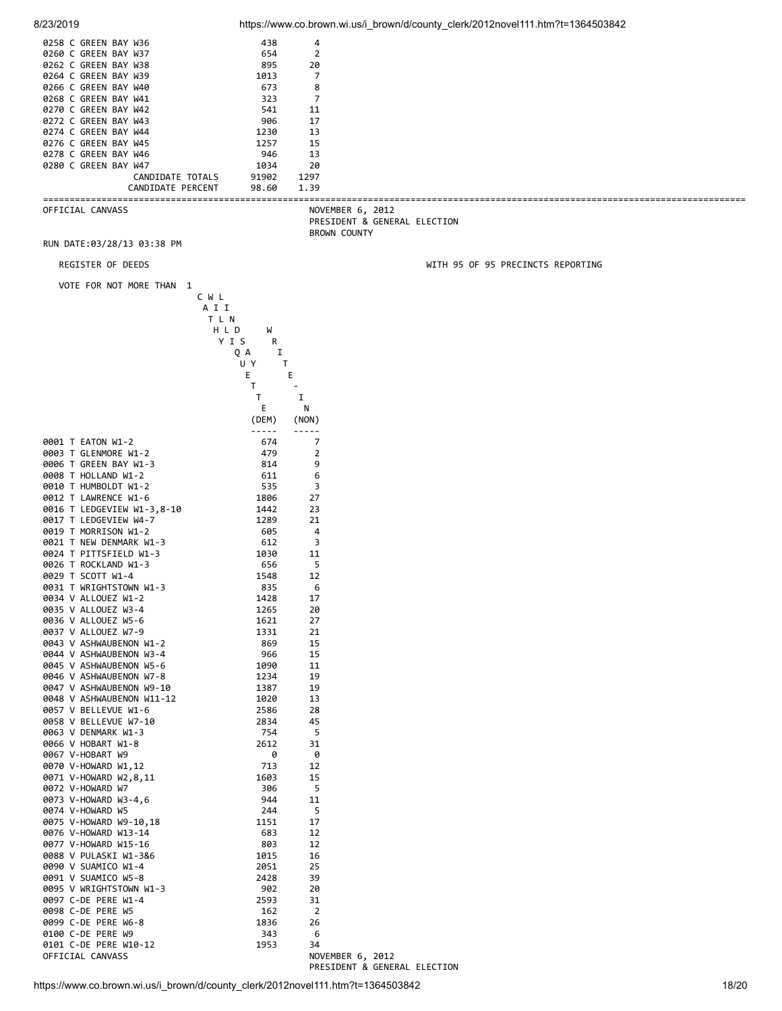| 8/23/2019                                          |                                                                                                               |                | https://www.co.brown.wi.us/i_brown/d/county_clerk/2012novel111.htm?t=1364503842 |
|----------------------------------------------------|---------------------------------------------------------------------------------------------------------------|----------------|---------------------------------------------------------------------------------|
| 0258 C GREEN BAY W36                               | 438                                                                                                           | 4              |                                                                                 |
| 0260 C GREEN BAY W37                               | 654                                                                                                           | $\overline{2}$ |                                                                                 |
| 0262 C GREEN BAY W38                               | 895                                                                                                           | 20             |                                                                                 |
| 0264 C GREEN BAY W39                               | 1013                                                                                                          | 7              |                                                                                 |
| 0266 C GREEN BAY W40                               | 673                                                                                                           | 8              |                                                                                 |
| 0268 C GREEN BAY W41                               | 323                                                                                                           | 7              |                                                                                 |
| 0270 C GREEN BAY W42<br>0272 C GREEN BAY W43       | 541<br>906                                                                                                    | 11<br>17       |                                                                                 |
| 0274 C GREEN BAY W44                               | 1230                                                                                                          | 13             |                                                                                 |
| 0276 C GREEN BAY W45                               | 1257                                                                                                          | 15             |                                                                                 |
| 0278 C GREEN BAY W46                               | 946                                                                                                           | 13             |                                                                                 |
| 0280 C GREEN BAY W47                               | 1034                                                                                                          | 20             |                                                                                 |
| CANDIDATE TOTALS                                   | 91902                                                                                                         | 1297           |                                                                                 |
| CANDIDATE PERCENT                                  | 98.60                                                                                                         | 1.39           |                                                                                 |
| OFFICIAL CANVASS                                   |                                                                                                               |                | NOVEMBER 6, 2012<br>PRESIDENT & GENERAL ELECTION                                |
| RUN DATE:03/28/13 03:38 PM                         |                                                                                                               |                | <b>BROWN COUNTY</b>                                                             |
| REGISTER OF DEEDS                                  |                                                                                                               |                | WITH 95 OF 95 PRECINCTS REPORTING                                               |
| VOTE FOR NOT MORE THAN 1                           |                                                                                                               |                |                                                                                 |
|                                                    | C W L                                                                                                         |                |                                                                                 |
|                                                    | A I I                                                                                                         |                |                                                                                 |
|                                                    | T L N                                                                                                         |                |                                                                                 |
|                                                    | H L D<br>W                                                                                                    |                |                                                                                 |
|                                                    | YIS<br>R<br>Ι.<br>QA                                                                                          |                |                                                                                 |
|                                                    | U Y<br>T                                                                                                      |                |                                                                                 |
|                                                    | Е                                                                                                             | Е              |                                                                                 |
|                                                    | T                                                                                                             |                |                                                                                 |
|                                                    | T                                                                                                             | I              |                                                                                 |
|                                                    | Е                                                                                                             | N              |                                                                                 |
|                                                    | (DEM)                                                                                                         | (NON)          |                                                                                 |
|                                                    | $\frac{1}{2} \frac{1}{2} \frac{1}{2} \frac{1}{2} \frac{1}{2} \frac{1}{2} \frac{1}{2} \frac{1}{2} \frac{1}{2}$ | -----          |                                                                                 |
| 0001 T EATON W1-2<br>0003 T GLENMORE W1-2          | 674<br>479                                                                                                    | 7<br>2         |                                                                                 |
| 0006 T GREEN BAY W1-3                              | 814                                                                                                           | 9              |                                                                                 |
| 0008 T HOLLAND W1-2                                | 611                                                                                                           | 6              |                                                                                 |
| 0010 T HUMBOLDT W1-2                               | 535                                                                                                           | 3              |                                                                                 |
| 0012 T LAWRENCE W1-6                               | 1806                                                                                                          | 27             |                                                                                 |
| 0016 T LEDGEVIEW W1-3,8-10                         | 1442                                                                                                          | 23             |                                                                                 |
| 0017 T LEDGEVIEW W4-7                              | 1289                                                                                                          | 21             |                                                                                 |
| 0019 T MORRISON W1-2                               | 605                                                                                                           | 4              |                                                                                 |
| 0021 T NEW DENMARK W1-3                            | 612                                                                                                           | 3              |                                                                                 |
| 0024 T PITTSFIELD W1-3<br>0026 T ROCKLAND W1-3     | 1030<br>656                                                                                                   | 11<br>5        |                                                                                 |
| 0029 T SCOTT W1-4                                  | 1548                                                                                                          | 12             |                                                                                 |
| 0031 T WRIGHTSTOWN W1-3                            | 835                                                                                                           | 6              |                                                                                 |
| 0034 V ALLOUEZ W1-2                                | 1428                                                                                                          | 17             |                                                                                 |
| 0035 V ALLOUEZ W3-4                                | 1265                                                                                                          | 20             |                                                                                 |
| 0036 V ALLOUEZ W5-6                                | 1621                                                                                                          | 27             |                                                                                 |
| 0037 V ALLOUEZ W7-9                                | 1331                                                                                                          | 21             |                                                                                 |
| 0043 V ASHWAUBENON W1-2                            | 869                                                                                                           | 15             |                                                                                 |
| 0044 V ASHWAUBENON W3-4<br>0045 V ASHWAUBENON W5-6 | 966<br>1090                                                                                                   | 15<br>11       |                                                                                 |
| 0046 V ASHWAUBENON W7-8                            | 1234                                                                                                          | 19             |                                                                                 |
| 0047 V ASHWAUBENON W9-10                           | 1387                                                                                                          | 19             |                                                                                 |
| 0048 V ASHWAUBENON W11-12                          | 1020                                                                                                          | 13             |                                                                                 |
| 0057 V BELLEVUE W1-6                               | 2586                                                                                                          | 28             |                                                                                 |
| 0058 V BELLEVUE W7-10                              | 2834                                                                                                          | 45             |                                                                                 |
| 0063 V DENMARK W1-3                                | 754                                                                                                           | 5              |                                                                                 |
| 0066 V HOBART W1-8<br>0067 V-HOBART W9             | 2612<br>0                                                                                                     | 31<br>0        |                                                                                 |
| 0070 V-HOWARD W1,12                                | 713                                                                                                           | 12             |                                                                                 |
| 0071 V-HOWARD W2,8,11                              | 1603                                                                                                          | 15             |                                                                                 |
| 0072 V-HOWARD W7                                   | 306                                                                                                           | 5              |                                                                                 |
| 0073 V-HOWARD W3-4,6                               | 944                                                                                                           | 11             |                                                                                 |
| 0074 V-HOWARD W5                                   | 244                                                                                                           | 5              |                                                                                 |
| 0075 V-HOWARD W9-10,18                             | 1151                                                                                                          | 17             |                                                                                 |
| 0076 V-HOWARD W13-14                               | 683                                                                                                           | 12             |                                                                                 |
| 0077 V-HOWARD W15-16<br>0088 V PULASKI W1-3&6      | 803<br>1015                                                                                                   | 12<br>16       |                                                                                 |
| 0090 V SUAMICO W1-4                                | 2051                                                                                                          | 25             |                                                                                 |
| 0091 V SUAMICO W5-8                                | 2428                                                                                                          | 39             |                                                                                 |
| 0095 V WRIGHTSTOWN W1-3                            | 902                                                                                                           | 20             |                                                                                 |
| 0097 C-DE PERE W1-4                                | 2593                                                                                                          | 31             |                                                                                 |
| 0098 C-DE PERE W5                                  | 162                                                                                                           | $\overline{2}$ |                                                                                 |
| 0099 C-DE PERE W6-8                                | 1836                                                                                                          | 26             |                                                                                 |
| 0100 C-DE PERE W9<br>0101 C-DE PERE W10-12         | 343<br>1953                                                                                                   | 6<br>34        |                                                                                 |
| OFFICIAL CANVASS                                   |                                                                                                               |                | NOVEMBER 6, 2012                                                                |
|                                                    |                                                                                                               |                | PRESIDENT & GENERAL ELECTION                                                    |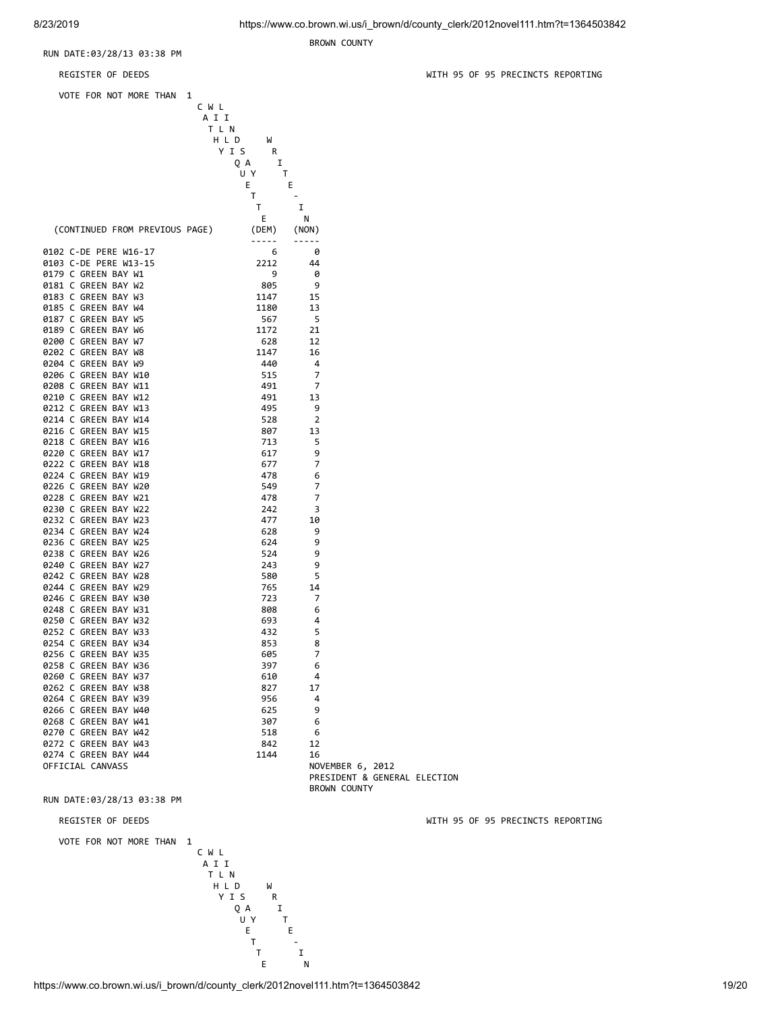BROWN COUNTY

RUN DATE:03/28/13 03:38 PM

| REGISTER OF DEEDS                            |              |                |                                                  | WITH 95 |
|----------------------------------------------|--------------|----------------|--------------------------------------------------|---------|
| VOTE FOR NOT MORE THAN                       | 1            |                |                                                  |         |
|                                              | CWL<br>A I I |                |                                                  |         |
|                                              | TLN<br>H L D | W              |                                                  |         |
|                                              | YIS          | R              |                                                  |         |
|                                              | QA<br>U Y    | I<br>Τ         |                                                  |         |
|                                              | E.           | Е              |                                                  |         |
|                                              | Τ            |                |                                                  |         |
|                                              | Τ            | I<br>Е<br>N    |                                                  |         |
| (CONTINUED FROM PREVIOUS PAGE)               |              | (DEM)<br>(NON) |                                                  |         |
| 0102 C-DE PERE W16-17                        |              | -----<br>6     | 0                                                |         |
| 0103 C-DE PERE W13-15                        |              | 2212           | 44                                               |         |
| 0179 C GREEN BAY W1                          |              | 9              | 0                                                |         |
| 0181 C GREEN BAY W2<br>0183 C GREEN BAY W3   |              | 805<br>1147    | 9<br>15                                          |         |
| 0185 C GREEN BAY W4                          |              | 1180           | 13                                               |         |
| 0187 C GREEN BAY W5                          |              | 567            | - 5                                              |         |
| 0189 C GREEN BAY W6                          |              | 1172           | 21                                               |         |
| 0200 C GREEN BAY W7<br>0202 C GREEN BAY W8   |              | 628<br>1147    | 12<br>16                                         |         |
| 0204 C GREEN BAY W9                          |              | 440            | 4                                                |         |
| 0206 C GREEN BAY W10                         |              | 515            | 7                                                |         |
| 0208 C GREEN BAY W11                         |              | 491            | 7                                                |         |
| 0210 C GREEN BAY W12<br>0212 C GREEN BAY W13 |              | 491<br>495     | 13<br>9                                          |         |
| 0214 C GREEN BAY W14                         |              | 528            | 2                                                |         |
| 0216 C GREEN BAY W15                         |              | 807            | 13                                               |         |
| 0218 C GREEN BAY W16                         |              | 713            | 5                                                |         |
| 0220 C GREEN BAY W17<br>0222 C GREEN BAY W18 |              | 617<br>677     | 9<br>7                                           |         |
| 0224 C GREEN BAY W19                         |              | 478            | 6                                                |         |
| 0226 C GREEN BAY W20                         |              | 549            | 7                                                |         |
| 0228 C GREEN BAY W21                         |              | 478            | 7                                                |         |
| 0230 C GREEN BAY W22<br>0232 C GREEN BAY W23 |              | 242<br>477     | 3<br>10                                          |         |
| 0234 C GREEN BAY W24                         |              | 628            | 9                                                |         |
| 0236 C GREEN BAY W25                         |              | 624            | 9                                                |         |
| 0238 C GREEN BAY W26<br>0240 C GREEN BAY W27 |              | 524<br>243     | 9<br>9                                           |         |
| 0242 C GREEN BAY W28                         |              | 580            | 5                                                |         |
| 0244 C GREEN BAY W29                         |              | 765            | 14                                               |         |
| 0246 C GREEN BAY W30                         |              | 723            | 7                                                |         |
| 0248 C GREEN BAY W31<br>0250 C GREEN BAY W32 |              | 808<br>693     | 6<br>4                                           |         |
| 0252 C GREEN BAY W33                         |              | 432            | 5                                                |         |
| 0254 C GREEN BAY W34                         |              | 853            | 8                                                |         |
| 0256 C GREEN BAY W35                         |              | 605            | 7                                                |         |
| 0258 C GREEN BAY W36<br>0260 C GREEN BAY W37 |              | 397<br>610     | 6<br>4                                           |         |
| 0262 C GREEN BAY W38                         |              | 827            | 17                                               |         |
| 0264 C GREEN BAY W39                         |              | 956            | 4                                                |         |
| 0266 C GREEN BAY W40<br>0268 C GREEN BAY W41 |              | 625<br>307     | 9                                                |         |
| 0270 C GREEN BAY W42                         |              | 518            | 6<br>6                                           |         |
| 0272 C GREEN BAY W43                         |              | 842            | 12                                               |         |
| 0274 C GREEN BAY W44                         |              | 1144           | 16                                               |         |
| OFFICIAL CANVASS                             |              |                | NOVEMBER 6, 2012<br>PRESIDENT & GENERAL ELECTION |         |
| .<br><b>DATE</b>                             |              |                | BROWN COUNTY                                     |         |

RUN DATE:03/28/13 03:38 PM

REGISTER OF DEEDS WITH 95 OF 95 PRECINCTS REPORTING

VOTE FOR NOT MORE THAN 1



WITH 95 OF 95 PRECINCTS REPORTING

https://www.co.brown.wi.us/i\_brown/d/county\_clerk/2012novel111.htm?t=1364503842 19/20 E N